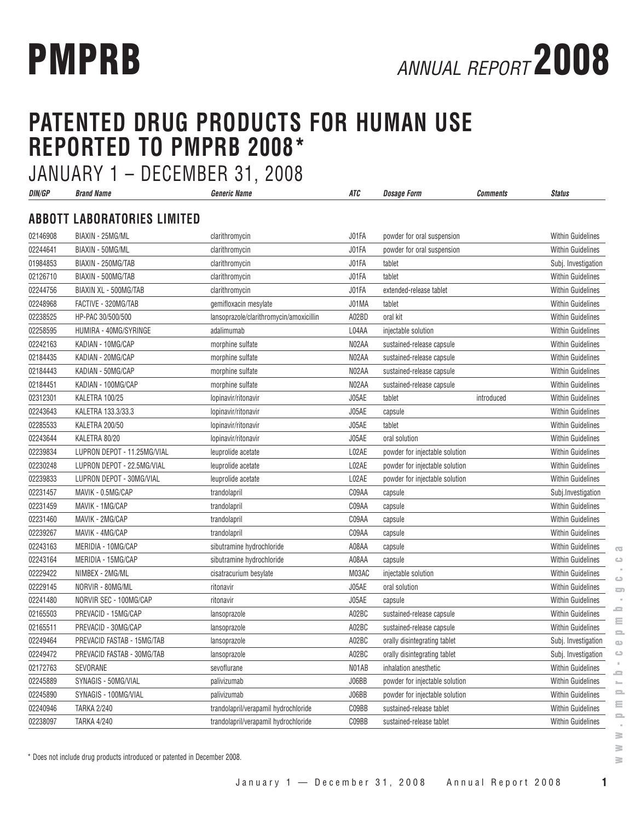# **PATENTED DRUG PRODUCTS FOR HUMAN USE REPORTED TO PMPRB 2008\*** JANUARY 1 – DECEMBER 31, 2008

| DIN/GP   | <b>Brand Name</b>                  | <i><b>Generic Name</b></i>              | ATC   | <b>Dosage Form</b>             | Comments   | <b>Status</b>            |
|----------|------------------------------------|-----------------------------------------|-------|--------------------------------|------------|--------------------------|
|          | <b>ABBOTT LABORATORIES LIMITED</b> |                                         |       |                                |            |                          |
| 02146908 | BIAXIN - 25MG/ML                   | clarithromycin                          | J01FA | powder for oral suspension     |            | <b>Within Guidelines</b> |
| 02244641 | BIAXIN - 50MG/ML                   | clarithromycin                          | J01FA | powder for oral suspension     |            | <b>Within Guidelines</b> |
| 01984853 | BIAXIN - 250MG/TAB                 | clarithromycin                          | J01FA | tablet                         |            | Subj. Investigation      |
| 02126710 | BIAXIN - 500MG/TAB                 | clarithromycin                          | J01FA | tablet                         |            | <b>Within Guidelines</b> |
| 02244756 | BIAXIN XL - 500MG/TAB              | clarithromycin                          | J01FA | extended-release tablet        |            | <b>Within Guidelines</b> |
| 02248968 | FACTIVE - 320MG/TAB                | gemifloxacin mesylate                   | J01MA | tablet                         |            | Within Guidelines        |
| 02238525 | HP-PAC 30/500/500                  | lansoprazole/clarithromycin/amoxicillin | A02BD | oral kit                       |            | <b>Within Guidelines</b> |
| 02258595 | HUMIRA - 40MG/SYRINGE              | adalimumab                              | L04AA | injectable solution            |            | <b>Within Guidelines</b> |
| 02242163 | KADIAN - 10MG/CAP                  | morphine sulfate                        | N02AA | sustained-release capsule      |            | <b>Within Guidelines</b> |
| 02184435 | KADIAN - 20MG/CAP                  | morphine sulfate                        | N02AA | sustained-release capsule      |            | <b>Within Guidelines</b> |
| 02184443 | KADIAN - 50MG/CAP                  | morphine sulfate                        | N02AA | sustained-release capsule      |            | Within Guidelines        |
| 02184451 | KADIAN - 100MG/CAP                 | morphine sulfate                        | N02AA | sustained-release capsule      |            | <b>Within Guidelines</b> |
| 02312301 | KALETRA 100/25                     | lopinavir/ritonavir                     | J05AE | tablet                         | introduced | <b>Within Guidelines</b> |
| 02243643 | KALETRA 133.3/33.3                 | lopinavir/ritonavir                     | J05AE | capsule                        |            | <b>Within Guidelines</b> |
| 02285533 | KALETRA 200/50                     | lopinavir/ritonavir                     | J05AE | tablet                         |            | <b>Within Guidelines</b> |
| 02243644 | KALETRA 80/20                      | lopinavir/ritonavir                     | J05AE | oral solution                  |            | <b>Within Guidelines</b> |
| 02239834 | LUPRON DEPOT - 11.25MG/VIAL        | leuprolide acetate                      | L02AE | powder for injectable solution |            | <b>Within Guidelines</b> |
| 02230248 | LUPRON DEPOT - 22.5MG/VIAL         | leuprolide acetate                      | L02AE | powder for injectable solution |            | <b>Within Guidelines</b> |
| 02239833 | LUPRON DEPOT - 30MG/VIAL           | leuprolide acetate                      | L02AE | powder for injectable solution |            | <b>Within Guidelines</b> |
| 02231457 | MAVIK - 0.5MG/CAP                  | trandolapril                            | C09AA | capsule                        |            | Subj. Investigation      |
| 02231459 | MAVIK - 1MG/CAP                    | trandolapril                            | C09AA | capsule                        |            | <b>Within Guidelines</b> |
| 02231460 | MAVIK - 2MG/CAP                    | trandolapril                            | C09AA | capsule                        |            | <b>Within Guidelines</b> |
| 02239267 | MAVIK - 4MG/CAP                    | trandolapril                            | C09AA | capsule                        |            | Within Guidelines        |
| 02243163 | MERIDIA - 10MG/CAP                 | sibutramine hydrochloride               | A08AA | capsule                        |            | <b>Within Guidelines</b> |
| 02243164 | MERIDIA - 15MG/CAP                 | sibutramine hydrochloride               | A08AA | capsule                        |            | <b>Within Guidelines</b> |
| 02229422 | NIMBEX - 2MG/ML                    | cisatracurium besylate                  | M03AC | injectable solution            |            | <b>Within Guidelines</b> |
| 02229145 | NORVIR - 80MG/ML                   | ritonavir                               | J05AE | oral solution                  |            | <b>Within Guidelines</b> |
| 02241480 | NORVIR SEC - 100MG/CAP             | ritonavir                               | J05AE | capsule                        |            | <b>Within Guidelines</b> |
| 02165503 | PREVACID - 15MG/CAP                | lansoprazole                            | A02BC | sustained-release capsule      |            | <b>Within Guidelines</b> |
| 02165511 | PREVACID - 30MG/CAP                | lansoprazole                            | A02BC | sustained-release capsule      |            | <b>Within Guidelines</b> |
| 02249464 | PREVACID FASTAB - 15MG/TAB         | lansoprazole                            | A02BC | orally disintegrating tablet   |            | Subj. Investigation      |
| 02249472 | PREVACID FASTAB - 30MG/TAB         | lansoprazole                            | A02BC | orally disintegrating tablet   |            | Subj. Investigation      |
| 02172763 | SEVORANE                           | sevoflurane                             | N01AB | inhalation anesthetic          |            | <b>Within Guidelines</b> |
| 02245889 | SYNAGIS - 50MG/VIAL                | palivizumab                             | J06BB | powder for injectable solution |            | <b>Within Guidelines</b> |
| 02245890 | SYNAGIS - 100MG/VIAL               | palivizumab                             | J06BB | powder for injectable solution |            | Within Guidelines        |
| 02240946 | <b>TARKA 2/240</b>                 | trandolapril/verapamil hydrochloride    | C09BB | sustained-release tablet       |            | Within Guidelines        |
| 02238097 | <b>TARKA 4/240</b>                 | trandolapril/verapamil hydrochloride    | C09BB | sustained-release tablet       |            | Within Guidelines        |

\* Does not include drug products introduced or patented in December 2008.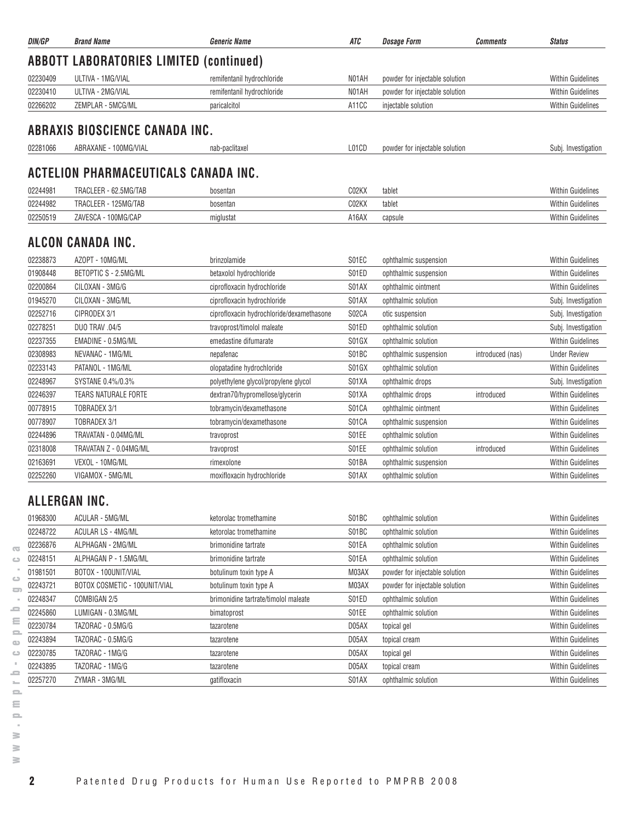| DIN/GP   | <b>Brand Name</b>                              | <b>Generic Name</b>                       | ATC   | <b>Dosage Form</b>             | <b>Comments</b>  | <b>Status</b>            |
|----------|------------------------------------------------|-------------------------------------------|-------|--------------------------------|------------------|--------------------------|
|          | <b>ABBOTT LABORATORIES LIMITED (continued)</b> |                                           |       |                                |                  |                          |
| 02230409 | ULTIVA - 1MG/VIAL                              | remifentanil hydrochloride                | N01AH | powder for injectable solution |                  | <b>Within Guidelines</b> |
| 02230410 | ULTIVA - 2MG/VIAL                              | remifentanil hydrochloride                | N01AH | powder for injectable solution |                  | <b>Within Guidelines</b> |
| 02266202 | ZEMPLAR - 5MCG/ML                              | paricalcitol                              | A11CC | injectable solution            |                  | <b>Within Guidelines</b> |
|          |                                                |                                           |       |                                |                  |                          |
|          | ABRAXIS BIOSCIENCE CANADA INC.                 |                                           |       |                                |                  |                          |
| 02281066 | ABRAXANE - 100MG/VIAL                          | nab-paclitaxel                            | L01CD | powder for injectable solution |                  | Subj. Investigation      |
|          | ACTELION PHARMACEUTICALS CANADA INC.           |                                           |       |                                |                  |                          |
| 02244981 | TRACLEER - 62.5MG/TAB                          | bosentan                                  | C02KX | tablet                         |                  | <b>Within Guidelines</b> |
| 02244982 | TRACLEER - 125MG/TAB                           | bosentan                                  | C02KX | tablet                         |                  | <b>Within Guidelines</b> |
| 02250519 | ZAVESCA - 100MG/CAP                            | miglustat                                 | A16AX | capsule                        |                  | <b>Within Guidelines</b> |
|          | ALCON CANADA INC.                              |                                           |       |                                |                  |                          |
| 02238873 | AZOPT - 10MG/ML                                | brinzolamide                              | S01EC | ophthalmic suspension          |                  | <b>Within Guidelines</b> |
| 01908448 | BETOPTIC S - 2.5MG/ML                          | betaxolol hydrochloride                   | S01ED | ophthalmic suspension          |                  | <b>Within Guidelines</b> |
| 02200864 | CILOXAN - 3MG/G                                | ciprofloxacin hydrochloride               | S01AX | ophthalmic ointment            |                  | <b>Within Guidelines</b> |
| 01945270 | CILOXAN - 3MG/ML                               | ciprofloxacin hydrochloride               | S01AX | ophthalmic solution            |                  | Subj. Investigation      |
| 02252716 | CIPRODEX 3/1                                   | ciprofloxacin hydrochloride/dexamethasone | S02CA | otic suspension                |                  | Subj. Investigation      |
| 02278251 | <b>DUO TRAV .04/5</b>                          | travoprost/timolol maleate                | S01ED | ophthalmic solution            |                  | Subj. Investigation      |
| 02237355 | EMADINE - 0.5MG/ML                             | emedastine difumarate                     | S01GX | ophthalmic solution            |                  | <b>Within Guidelines</b> |
| 02308983 | NEVANAC - 1MG/ML                               | nepafenac                                 | S01BC | ophthalmic suspension          | introduced (nas) | <b>Under Review</b>      |
| 02233143 | PATANOL - 1MG/ML                               | olopatadine hydrochloride                 | S01GX | ophthalmic solution            |                  | <b>Within Guidelines</b> |
| 02248967 | SYSTANE 0.4%/0.3%                              | polyethylene glycol/propylene glycol      | S01XA | ophthalmic drops               |                  | Subj. Investigation      |
| 02246397 | TEARS NATURALE FORTE                           | dextran70/hypromellose/glycerin           | S01XA | ophthalmic drops               | introduced       | <b>Within Guidelines</b> |
| 00778915 | TOBRADEX 3/1                                   | tobramycin/dexamethasone                  | S01CA | ophthalmic ointment            |                  | <b>Within Guidelines</b> |
| 00778907 | TOBRADEX 3/1                                   | tobramycin/dexamethasone                  | S01CA | ophthalmic suspension          |                  | <b>Within Guidelines</b> |
| 02244896 | TRAVATAN - 0.04MG/ML                           | travoprost                                | S01EE | ophthalmic solution            |                  | <b>Within Guidelines</b> |
| 02318008 | TRAVATAN Z - 0.04MG/ML                         | travoprost                                | S01EE | ophthalmic solution            | introduced       | <b>Within Guidelines</b> |
| 02163691 | VEXOL - 10MG/ML                                | rimexolone                                | S01BA | ophthalmic suspension          |                  | <b>Within Guidelines</b> |
| 02252260 | VIGAMOX - 5MG/ML                               | moxifloxacin hydrochloride                | S01AX | ophthalmic solution            |                  | <b>Within Guidelines</b> |
|          | ALLERGAN INC.                                  |                                           |       |                                |                  |                          |
| 01968300 | ACULAR - 5MG/ML                                | ketorolac tromethamine                    | S01BC | ophthalmic solution            |                  | <b>Within Guidelines</b> |
| 02248722 | ACULAR LS - 4MG/ML                             | ketorolac tromethamine                    | S01BC | ophthalmic solution            |                  | <b>Within Guidelines</b> |
| 02236876 | ALPHAGAN - 2MG/ML                              | brimonidine tartrate                      | S01EA | ophthalmic solution            |                  | <b>Within Guidelines</b> |
| 02248151 | ALPHAGAN P - 1.5MG/ML                          | brimonidine tartrate                      | S01EA | ophthalmic solution            |                  | <b>Within Guidelines</b> |
| 01981501 | BOTOX - 100UNIT/VIAL                           | botulinum toxin type A                    | M03AX | powder for injectable solution |                  | Within Guidelines        |
| 02243721 | BOTOX COSMETIC - 100UNIT/VIAL                  | botulinum toxin type A                    | M03AX | powder for injectable solution |                  | <b>Within Guidelines</b> |
| 02248347 | COMBIGAN 2/5                                   | brimonidine tartrate/timolol maleate      | S01ED | ophthalmic solution            |                  | <b>Within Guidelines</b> |
| 02245860 | LUMIGAN - 0.3MG/ML                             | bimatoprost                               | S01EE | ophthalmic solution            |                  | <b>Within Guidelines</b> |
| 02230784 | TAZORAC - 0.5MG/G                              | tazarotene                                | D05AX | topical gel                    |                  | <b>Within Guidelines</b> |
| 02243894 | TAZORAC - 0.5MG/G                              | tazarotene                                | D05AX | topical cream                  |                  | <b>Within Guidelines</b> |
| 02230785 | TAZORAC - 1MG/G                                | tazarotene                                | D05AX | topical gel                    |                  | Within Guidelines        |
| 02243895 | TAZORAC - 1MG/G                                | tazarotene                                | D05AX | topical cream                  |                  | <b>Within Guidelines</b> |
| 02257270 | ZYMAR - 3MG/ML                                 | gatifloxacin                              | S01AX | ophthalmic solution            |                  | <b>Within Guidelines</b> |
|          |                                                |                                           |       |                                |                  |                          |

 $\geq$  $\geq$ 

 $\overline{\infty}$  $\circ$  $\sim$  $\circ$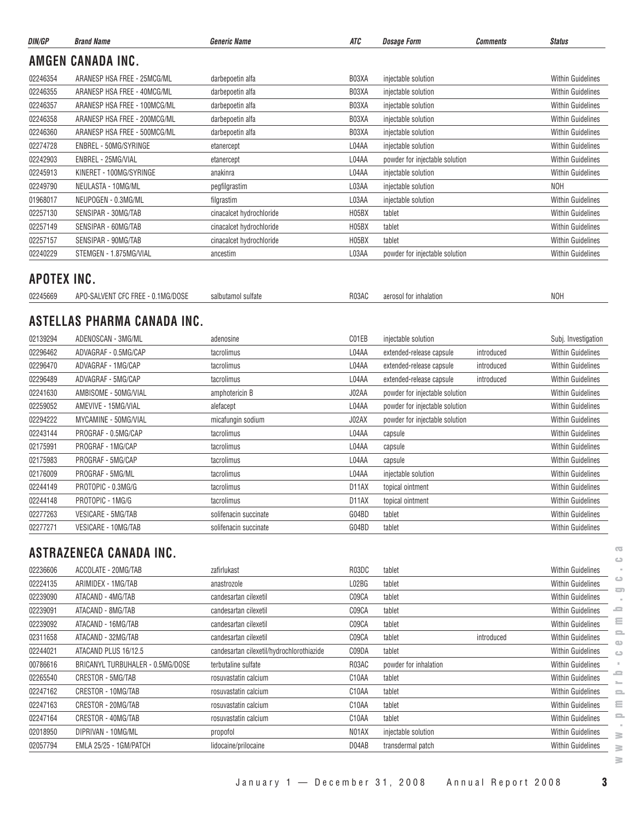| DIN/GP      | <b>Brand Name</b>                 | <b>Generic Name</b>      | ATC                | <b>Dosage Form</b>             | <b>Comments</b> | <b>Status</b>                  |
|-------------|-----------------------------------|--------------------------|--------------------|--------------------------------|-----------------|--------------------------------|
|             | <b>AMGEN CANADA INC.</b>          |                          |                    |                                |                 |                                |
| 02246354    | ARANESP HSA FREE - 25MCG/ML       | darbepoetin alfa         | B03XA              | injectable solution            |                 | <b>Within Guidelines</b>       |
| 02246355    | ARANESP HSA FREE - 40MCG/ML       | darbepoetin alfa         | B03XA              | injectable solution            |                 | <b>Within Guidelines</b>       |
| 02246357    | ARANESP HSA FREE - 100MCG/ML      | darbepoetin alfa         | B03XA              | injectable solution            |                 | <b>Within Guidelines</b>       |
| 02246358    | ARANESP HSA FREE - 200MCG/ML      | darbepoetin alfa         | B03XA              | injectable solution            |                 | <b>Within Guidelines</b>       |
| 02246360    | ARANESP HSA FREE - 500MCG/ML      | darbepoetin alfa         | B03XA              | injectable solution            |                 | <b>Within Guidelines</b>       |
| 02274728    | ENBREL - 50MG/SYRINGE             | etanercept               | L04AA              | injectable solution            |                 | Within Guidelines              |
| 02242903    | ENBREL - 25MG/VIAL                | etanercept               | L04AA              | powder for injectable solution |                 | <b>Within Guidelines</b>       |
| 02245913    | KINERET - 100MG/SYRINGE           | anakinra                 | L04AA              | injectable solution            |                 | <b>Within Guidelines</b>       |
| 02249790    | NEULASTA - 10MG/ML                | pegfilgrastim            | L03AA              | injectable solution            |                 | <b>NOH</b>                     |
| 01968017    | NEUPOGEN - 0.3MG/ML               | filgrastim               | L03AA              | injectable solution            |                 | Within Guidelines              |
| 02257130    | SENSIPAR - 30MG/TAB               | cinacalcet hydrochloride | H05BX              | tablet                         |                 | <b>Within Guidelines</b>       |
| 02257149    | SENSIPAR - 60MG/TAB               | cinacalcet hydrochloride | H05BX              | tablet                         |                 | Within Guidelines              |
| 02257157    | SENSIPAR - 90MG/TAB               | cinacalcet hydrochloride | H05BX              | tablet                         |                 | <b>Within Guidelines</b>       |
| 02240229    | STEMGEN - 1.875MG/VIAL            | ancestim                 | L03AA              | powder for injectable solution |                 | <b>Within Guidelines</b>       |
| APOTEX INC. |                                   |                          |                    |                                |                 |                                |
| 02245669    | APO-SALVENT CFC FREE - 0.1MG/DOSE | salbutamol sulfate       | R03AC              | aerosol for inhalation         |                 | <b>NOH</b>                     |
|             | ASTELLAS PHARMA CANADA INC.       |                          |                    |                                |                 |                                |
| 02139294    | ADENOSCAN - 3MG/ML                | adenosine                | C01EB              | injectable solution            |                 | Subj. Investigation            |
| 02296462    | ADVAGRAF - 0.5MG/CAP              | tacrolimus               | L04AA              | extended-release capsule       | introduced      | <b>Within Guidelines</b>       |
| 02296470    | ADVAGRAF - 1MG/CAP                | tacrolimus               | L04AA              | extended-release capsule       | introduced      | <b>Within Guidelines</b>       |
| 02296489    | ADVAGRAF - 5MG/CAP                | tacrolimus               | L04AA              | extended-release capsule       | introduced      | <b>Within Guidelines</b>       |
| 02241630    | AMBISOME - 50MG/VIAL              | amphotericin B           | J02AA              | powder for injectable solution |                 | Within Guidelines              |
| 02259052    | AMEVIVE - 15MG/VIAL               | alefacept                | L04AA              | powder for injectable solution |                 | <b>Within Guidelines</b>       |
| 02294222    | MYCAMINE - 50MG/VIAL              | micafungin sodium        | J02AX              | powder for injectable solution |                 | <b>Within Guidelines</b>       |
| 02243144    | PROGRAF - 0.5MG/CAP               | tacrolimus               | L04AA              | capsule                        |                 | <b>Within Guidelines</b>       |
| 02175991    | PROGRAF - 1MG/CAP                 | tacrolimus               | L04AA              | capsule                        |                 | <b>Within Guidelines</b>       |
| 02175983    | PROGRAF - 5MG/CAP                 | tacrolimus               | L04AA              | capsule                        |                 | <b>Within Guidelines</b>       |
| 02176009    | PROGRAF - 5MG/ML                  | tacrolimus               | L04AA              | injectable solution            |                 | <b>Within Guidelines</b>       |
| 02244149    | PROTOPIC - 0.3MG/G                | tacrolimus               | D <sub>11</sub> AX | topical ointment               |                 | <b>Within Guidelines</b>       |
| 02244148    | PROTOPIC - 1MG/G                  | tacrolimus               | D <sub>1</sub> 1AX | topical ointment               |                 | <b>Within Guidelines</b>       |
| 02277263    | VESICARE - 5MG/TAB                | solifenacin succinate    | G04BD              | tablet                         |                 | <b>Within Guidelines</b>       |
| 02277271    | <b>VESICARE - 10MG/TAB</b>        | solifenacin succinate    | G04BD              | tablet                         |                 | <b>Within Guidelines</b>       |
|             | ASTRAZENECA CANADA INC.           |                          |                    |                                |                 | $\overline{\mathbf{C}}$<br>ت   |
| 02236606    | ACCOLATE - 20MG/TAB               | zafirlukast              | R03DC              | tablet                         |                 | Within Guidelines              |
| 02224135    | ARIMIDEX - 1MG/TAB                | anastrozole              | L02BG              | tablet                         |                 | ت<br>Within Guidelines         |
| 02239090    | ATACAND - 4MG/TAB                 | candesartan cilexetil    | C09CA              | tablet                         |                 | O)<br><b>Within Guidelines</b> |
| 02239091    | ATACAND - 8MG/TAB                 | candesartan cilexetil    | C09CA              | tablet                         |                 | -<br>Within Guidelines         |

|          | ASTRAZENECA CANADA INC.          |                                           |                    |                       |            |                          |
|----------|----------------------------------|-------------------------------------------|--------------------|-----------------------|------------|--------------------------|
| 02236606 | ACCOLATE - 20MG/TAB              | zafirlukast                               | R03DC              | tablet                |            | <b>Within Guidelines</b> |
| 02224135 | ARIMIDEX - 1MG/TAB               | anastrozole                               | L02BG              | tablet                |            | <b>Within Guidelines</b> |
| 02239090 | ATACAND - 4MG/TAB                | candesartan cilexetil                     | C09CA              | tablet                |            | <b>Within Guidelines</b> |
| 02239091 | ATACAND - 8MG/TAB                | candesartan cilexetil                     | C09CA              | tablet                |            | <b>Within Guidelines</b> |
| 02239092 | ATACAND - 16MG/TAB               | candesartan cilexetil                     | C09CA              | tablet                |            | <b>Within Guidelines</b> |
| 02311658 | ATACAND - 32MG/TAB               | candesartan cilexetil                     | C09CA              | tablet                | introduced | <b>Within Guidelines</b> |
| 02244021 | ATACAND PLUS 16/12.5             | candesartan cilexetil/hydrochlorothiazide | C09DA              | tablet                |            | <b>Within Guidelines</b> |
| 00786616 | BRICANYL TURBUHALER - 0.5MG/DOSE | terbutaline sulfate                       | R03AC              | powder for inhalation |            | <b>Within Guidelines</b> |
| 02265540 | CRESTOR - 5MG/TAB                | rosuvastatin calcium                      | C <sub>10</sub> AA | tablet                |            | <b>Within Guidelines</b> |
| 02247162 | CRESTOR - 10MG/TAB               | rosuvastatin calcium                      | C <sub>10</sub> AA | tablet                |            | <b>Within Guidelines</b> |
| 02247163 | CRESTOR - 20MG/TAB               | rosuvastatin calcium                      | C10AA              | tablet                |            | <b>Within Guidelines</b> |
| 02247164 | CRESTOR - 40MG/TAB               | rosuvastatin calcium                      | C <sub>10</sub> AA | tablet                |            | <b>Within Guidelines</b> |
| 02018950 | DIPRIVAN - 10MG/ML               | propofol                                  | N01AX              | injectable solution   |            | <b>Within Guidelines</b> |
| 02057794 | EMLA 25/25 - 1GM/PATCH           | lidocaine/prilocaine                      | D04AB              | transdermal patch     |            | <b>Within Guidelines</b> |

January 1 — December 31, 2008 Annual Report 2008 **3**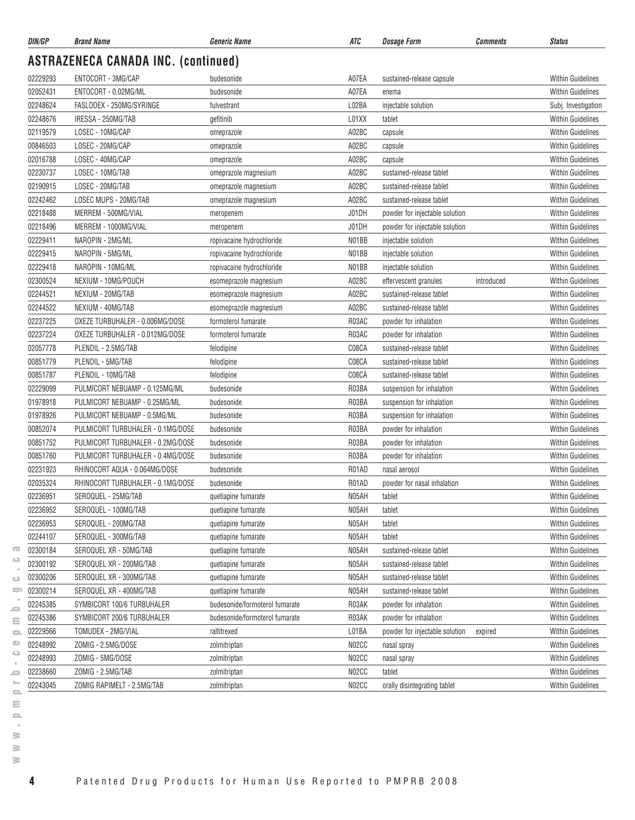| DIN/GP   | <b>Brand Name</b>                          | Generic Name                   | ATC   | <b>Dosage Form</b>             | <b>Comments</b> | <b>Status</b>            |
|----------|--------------------------------------------|--------------------------------|-------|--------------------------------|-----------------|--------------------------|
|          | <b>ASTRAZENECA CANADA INC. (continued)</b> |                                |       |                                |                 |                          |
| 02229293 | ENTOCORT - 3MG/CAP                         | budesonide                     | A07EA | sustained-release capsule      |                 | <b>Within Guidelines</b> |
| 02052431 | ENTOCORT - 0.02MG/ML                       | budesonide                     | A07EA | enema                          |                 | <b>Within Guidelines</b> |
| 02248624 | FASLODEX - 250MG/SYRINGE                   | fulvestrant                    | L02BA | injectable solution            |                 | Subj. Investigation      |
| 02248676 | IRESSA - 250MG/TAB                         | gefitinib                      | L01XX | tablet                         |                 | Within Guidelines        |
| 02119579 | LOSEC - 10MG/CAP                           | omeprazole                     | A02BC | capsule                        |                 | <b>Within Guidelines</b> |
| 00846503 | LOSEC - 20MG/CAP                           | omeprazole                     | A02BC | capsule                        |                 | <b>Within Guidelines</b> |
| 02016788 | LOSEC - 40MG/CAP                           | omeprazole                     | A02BC | capsule                        |                 | <b>Within Guidelines</b> |
| 02230737 | LOSEC - 10MG/TAB                           | omeprazole magnesium           | A02BC | sustained-release tablet       |                 | <b>Within Guidelines</b> |
| 02190915 | LOSEC - 20MG/TAB                           | omeprazole magnesium           | A02BC | sustained-release tablet       |                 | <b>Within Guidelines</b> |
| 02242462 | LOSEC MUPS - 20MG/TAB                      | omeprazole magnesium           | A02BC | sustained-release tablet       |                 | <b>Within Guidelines</b> |
| 02218488 | MERREM - 500MG/VIAL                        | meropenem                      | J01DH | powder for injectable solution |                 | <b>Within Guidelines</b> |
| 02218496 | MERREM - 1000MG/VIAL                       | meropenem                      | J01DH | powder for injectable solution |                 | <b>Within Guidelines</b> |
| 02229411 | NAROPIN - 2MG/ML                           | ropivacaine hydrochloride      | N01BB | injectable solution            |                 | <b>Within Guidelines</b> |
| 02229415 | NAROPIN - 5MG/ML                           | ropivacaine hydrochloride      | N01BB | injectable solution            |                 | <b>Within Guidelines</b> |
| 02229418 | NAROPIN - 10MG/ML                          | ropivacaine hydrochloride      | N01BB | injectable solution            |                 | <b>Within Guidelines</b> |
| 02300524 | NEXIUM - 10MG/POUCH                        | esomeprazole magnesium         | A02BC | effervescent granules          | introduced      | <b>Within Guidelines</b> |
| 02244521 | NEXIUM - 20MG/TAB                          | esomeprazole magnesium         | A02BC | sustained-release tablet       |                 | <b>Within Guidelines</b> |
| 02244522 | NEXIUM - 40MG/TAB                          | esomeprazole magnesium         | A02BC | sustained-release tablet       |                 | <b>Within Guidelines</b> |
| 02237225 | OXEZE TURBUHALER - 0.006MG/DOSE            | formoterol fumarate            | R03AC | powder for inhalation          |                 | <b>Within Guidelines</b> |
| 02237224 | OXEZE TURBUHALER - 0.012MG/DOSE            | formoterol fumarate            | R03AC | powder for inhalation          |                 | <b>Within Guidelines</b> |
| 02057778 | PLENDIL - 2.5MG/TAB                        | felodipine                     | C08CA | sustained-release tablet       |                 | <b>Within Guidelines</b> |
| 00851779 | PLENDIL - 5MG/TAB                          | felodipine                     | C08CA | sustained-release tablet       |                 | <b>Within Guidelines</b> |
| 00851787 | PLENDIL - 10MG/TAB                         | felodipine                     | C08CA | sustained-release tablet       |                 | <b>Within Guidelines</b> |
| 02229099 | PULMICORT NEBUAMP - 0.125MG/ML             | budesonide                     | R03BA | suspension for inhalation      |                 | <b>Within Guidelines</b> |
| 01978918 | PULMICORT NEBUAMP - 0.25MG/ML              | budesonide                     | R03BA | suspension for inhalation      |                 | <b>Within Guidelines</b> |
| 01978926 | PULMICORT NEBUAMP - 0.5MG/ML               | budesonide                     | R03BA | suspension for inhalation      |                 | <b>Within Guidelines</b> |
| 00852074 | PULMICORT TURBUHALER - 0.1MG/DOSE          | budesonide                     | R03BA | powder for inhalation          |                 | <b>Within Guidelines</b> |
| 00851752 | PULMICORT TURBUHALER - 0.2MG/DOSE          | budesonide                     | R03BA | powder for inhalation          |                 | <b>Within Guidelines</b> |
| 00851760 | PULMICORT TURBUHALER - 0.4MG/DOSE          | budesonide                     | R03BA | powder for inhalation          |                 | <b>Within Guidelines</b> |
| 02231923 | RHINOCORT AQUA - 0.064MG/DOSE              | budesonide                     | R01AD | nasal aerosol                  |                 | <b>Within Guidelines</b> |
| 02035324 | RHINOCORT TURBUHALER - 0.1MG/DOSE          | budesonide                     | R01AD | powder for nasal inhalation    |                 | <b>Within Guidelines</b> |
| 02236951 | SEROQUEL - 25MG/TAB                        | quetiapine fumarate            | N05AH | tablet                         |                 | <b>Within Guidelines</b> |
| 02236952 | SEROQUEL - 100MG/TAB                       | quetiapine fumarate            | N05AH | tablet                         |                 | <b>Within Guidelines</b> |
| 02236953 | SEROQUEL - 200MG/TAB                       | quetiapine fumarate            | N05AH | tablet                         |                 | <b>Within Guidelines</b> |
| 02244107 | SEROQUEL - 300MG/TAB                       | quetiapine fumarate            | N05AH | tablet                         |                 | <b>Within Guidelines</b> |
| 02300184 | SEROQUEL XR - 50MG/TAB                     | quetiapine fumarate            | N05AH | sustained-release tablet       |                 | <b>Within Guidelines</b> |
| 02300192 | SEROQUEL XR - 200MG/TAB                    | quetiapine fumarate            | N05AH | sustained-release tablet       |                 | <b>Within Guidelines</b> |
| 02300206 | SEROQUEL XR - 300MG/TAB                    | quetiapine fumarate            | N05AH | sustained-release tablet       |                 | <b>Within Guidelines</b> |
| 02300214 | SEROQUEL XR - 400MG/TAB                    | quetiapine fumarate            | N05AH | sustained-release tablet       |                 | <b>Within Guidelines</b> |
| 02245385 | SYMBICORT 100/6 TURBUHALER                 | budesonide/formoterol fumarate | R03AK | powder for inhalation          |                 | Within Guidelines        |
| 02245386 | SYMBICORT 200/6 TURBUHALER                 | budesonide/formoterol fumarate | R03AK | powder for inhalation          |                 | <b>Within Guidelines</b> |
| 02229566 | TOMUDEX - 2MG/VIAL                         | raltitrexed                    | L01BA | powder for injectable solution | expired         | Within Guidelines        |
| 02248992 | ZOMIG - 2.5MG/DOSE                         | zolmitriptan                   | N02CC | nasal spray                    |                 | Within Guidelines        |
| 02248993 | ZOMIG - 5MG/DOSE                           | zolmitriptan                   | N02CC | nasal spray                    |                 | <b>Within Guidelines</b> |
| 02238660 | ZOMIG - 2.5MG/TAB                          | zolmitriptan                   | N02CC | tablet                         |                 | <b>Within Guidelines</b> |
| 02243045 | ZOMIG RAPIMELT - 2.5MG/TAB                 | zolmitriptan                   | N02CC | orally disintegrating tablet   |                 | <b>Within Guidelines</b> |

 $\geq$  $\geq$ 

 $\overline{\infty}$  $\qquad \qquad \Box$  $\sim$  $\circ$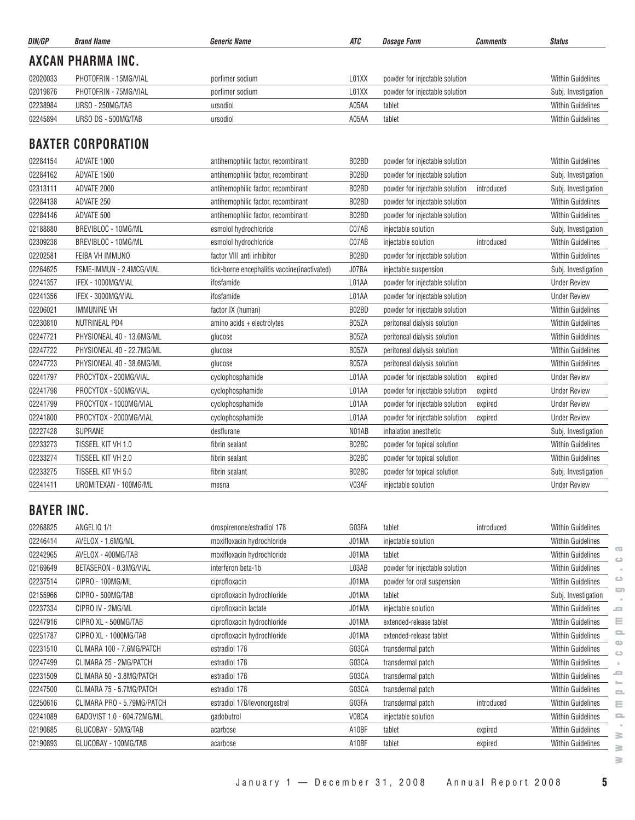| DIN/GP   | <b>Brand Name</b>        | <b>Generic Name</b> | ATC   | Dosage Form                    | <b>Comments</b> | <b>Status</b>            |
|----------|--------------------------|---------------------|-------|--------------------------------|-----------------|--------------------------|
|          | <b>AXCAN PHARMA INC.</b> |                     |       |                                |                 |                          |
| 02020033 | PHOTOFRIN - 15MG/VIAL    | porfimer sodium     | L01XX | powder for injectable solution |                 | <b>Within Guidelines</b> |
| 02019876 | PHOTOFRIN - 75MG/VIAL    | porfimer sodium     | L01XX | powder for injectable solution |                 | Subj. Investigation      |
| 02238984 | URSO - 250MG/TAB         | ursodiol            | A05AA | tablet                         |                 | <b>Within Guidelines</b> |
| 02245894 | URSO DS - 500MG/TAB      | ursodiol            | A05AA | tablet                         |                 | <b>Within Guidelines</b> |
|          |                          |                     |       |                                |                 |                          |

# **BAXTER CORPORATION**

| 02284154 | ADVATE 1000               | antihemophilic factor, recombinant            | B02BD | powder for injectable solution |            | <b>Within Guidelines</b> |
|----------|---------------------------|-----------------------------------------------|-------|--------------------------------|------------|--------------------------|
| 02284162 | ADVATE 1500               | antihemophilic factor, recombinant            | B02BD | powder for injectable solution |            | Subj. Investigation      |
| 02313111 | ADVATE 2000               | antihemophilic factor, recombinant            | B02BD | powder for injectable solution | introduced | Subj. Investigation      |
| 02284138 | ADVATE 250                | antihemophilic factor, recombinant            | B02BD | powder for injectable solution |            | <b>Within Guidelines</b> |
| 02284146 | ADVATE 500                | antihemophilic factor, recombinant            | B02BD | powder for injectable solution |            | <b>Within Guidelines</b> |
| 02188880 | BREVIBLOC - 10MG/ML       | esmolol hydrochloride                         | C07AB | injectable solution            |            | Subj. Investigation      |
| 02309238 | BREVIBLOC - 10MG/ML       | esmolol hydrochloride                         | C07AB | injectable solution            | introduced | <b>Within Guidelines</b> |
| 02202581 | FEIBA VH IMMUNO           | factor VIII anti inhibitor                    | B02BD | powder for injectable solution |            | <b>Within Guidelines</b> |
| 02264625 | FSME-IMMUN - 2.4MCG/VIAL  | tick-borne encephalitis vaccine (inactivated) | J07BA | injectable suspension          |            | Subj. Investigation      |
| 02241357 | IFEX - 1000MG/VIAL        | ifosfamide                                    | L01AA | powder for injectable solution |            | <b>Under Review</b>      |
| 02241356 | IFEX - 3000MG/VIAL        | ifosfamide                                    | L01AA | powder for injectable solution |            | <b>Under Review</b>      |
| 02206021 | <b>IMMUNINE VH</b>        | factor IX (human)                             | B02BD | powder for injectable solution |            | <b>Within Guidelines</b> |
| 02230810 | NUTRINEAL PD4             | amino acids + electrolytes                    | B05ZA | peritoneal dialysis solution   |            | <b>Within Guidelines</b> |
| 02247721 | PHYSIONEAL 40 - 13.6MG/ML | glucose                                       | B05ZA | peritoneal dialysis solution   |            | <b>Within Guidelines</b> |
| 02247722 | PHYSIONEAL 40 - 22.7MG/ML | glucose                                       | B05ZA | peritoneal dialysis solution   |            | <b>Within Guidelines</b> |
| 02247723 | PHYSIONEAL 40 - 38.6MG/ML | glucose                                       | B05ZA | peritoneal dialysis solution   |            | <b>Within Guidelines</b> |
| 02241797 | PROCYTOX - 200MG/VIAL     | cyclophosphamide                              | L01AA | powder for injectable solution | expired    | <b>Under Review</b>      |
| 02241798 | PROCYTOX - 500MG/VIAL     | cyclophosphamide                              | L01AA | powder for injectable solution | expired    | <b>Under Review</b>      |
| 02241799 | PROCYTOX - 1000MG/VIAL    | cyclophosphamide                              | L01AA | powder for injectable solution | expired    | <b>Under Review</b>      |
| 02241800 | PROCYTOX - 2000MG/VIAL    | cyclophosphamide                              | L01AA | powder for injectable solution | expired    | <b>Under Review</b>      |
| 02227428 | <b>SUPRANE</b>            | desflurane                                    | N01AB | inhalation anesthetic          |            | Subj. Investigation      |
| 02233273 | TISSEEL KIT VH 1.0        | fibrin sealant                                | B02BC | powder for topical solution    |            | <b>Within Guidelines</b> |
| 02233274 | TISSEEL KIT VH 2.0        | fibrin sealant                                | B02BC | powder for topical solution    |            | <b>Within Guidelines</b> |
| 02233275 | TISSEEL KIT VH 5.0        | fibrin sealant                                | B02BC | powder for topical solution    |            | Subj. Investigation      |
| 02241411 | UROMITEXAN - 100MG/ML     | mesna                                         | V03AF | injectable solution            |            | <b>Under Review</b>      |
|          |                           |                                               |       |                                |            |                          |

# **BAYER INC.**

| 02268825 | ANGELIQ 1/1                | drospirenone/estradiol 17B   | G03FA | tablet                         | introduced | <b>Within Guidelines</b>      |
|----------|----------------------------|------------------------------|-------|--------------------------------|------------|-------------------------------|
| 02246414 | AVELOX - 1.6MG/ML          | moxifloxacin hydrochloride   | J01MA | injectable solution            |            | <b>Within Guidelines</b>      |
| 02242965 | AVELOX - 400MG/TAB         | moxifloxacin hydrochloride   | J01MA | tablet                         |            | <b>Within Guidelines</b>      |
| 02169649 | BETASERON - 0.3MG/VIAL     | interferon beta-1b           | L03AB | powder for injectable solution |            | <b>Within Guidelines</b>      |
| 02237514 | CIPRO - 100MG/ML           | ciprofloxacin                | J01MA | powder for oral suspension     |            | <b>Within Guidelines</b>      |
| 02155966 | CIPRO - 500MG/TAB          | ciprofloxacin hydrochloride  | J01MA | tablet                         |            | Subj. Investigation           |
| 02237334 | CIPRO IV - 2MG/ML          | ciprofloxacin lactate        | J01MA | injectable solution            |            | <b>Within Guidelines</b><br>ᇰ |
| 02247916 | CIPRO XL - 500MG/TAB       | ciprofloxacin hydrochloride  | J01MA | extended-release tablet        |            | <b>Within Guidelines</b>      |
| 02251787 | CIPRO XL - 1000MG/TAB      | ciprofloxacin hydrochloride  | J01MA | extended-release tablet        |            | <b>Within Guidelines</b>      |
| 02231510 | CLIMARA 100 - 7.6MG/PATCH  | estradiol 17 <sub>B</sub>    | G03CA | transdermal patch              |            | <b>Within Guidelines</b>      |
| 02247499 | CLIMARA 25 - 2MG/PATCH     | estradiol 17 <sub>B</sub>    | G03CA | transdermal patch              |            | <b>Within Guidelines</b>      |
| 02231509 | CLIMARA 50 - 3.8MG/PATCH   | estradiol 17 <sub>B</sub>    | G03CA | transdermal patch              |            | ᇰ<br><b>Within Guidelines</b> |
| 02247500 | CLIMARA 75 - 5.7MG/PATCH   | estradiol 17 <sub>B</sub>    | G03CA | transdermal patch              |            | <b>Within Guidelines</b>      |
| 02250616 | CLIMARA PRO - 5.79MG/PATCH | estradiol 17B/levonorgestrel | G03FA | transdermal patch              | introduced | <b>Within Guidelines</b>      |
| 02241089 | GADOVIST 1.0 - 604.72MG/ML | gadobutrol                   | V08CA | injectable solution            |            | <b>Within Guidelines</b>      |
| 02190885 | GLUCOBAY - 50MG/TAB        | acarbose                     | A10BF | tablet                         | expired    | <b>Within Guidelines</b>      |
| 02190893 | GLUCOBAY - 100MG/TAB       | acarbose                     | A10BF | tablet                         | expired    | <b>Within Guidelines</b>      |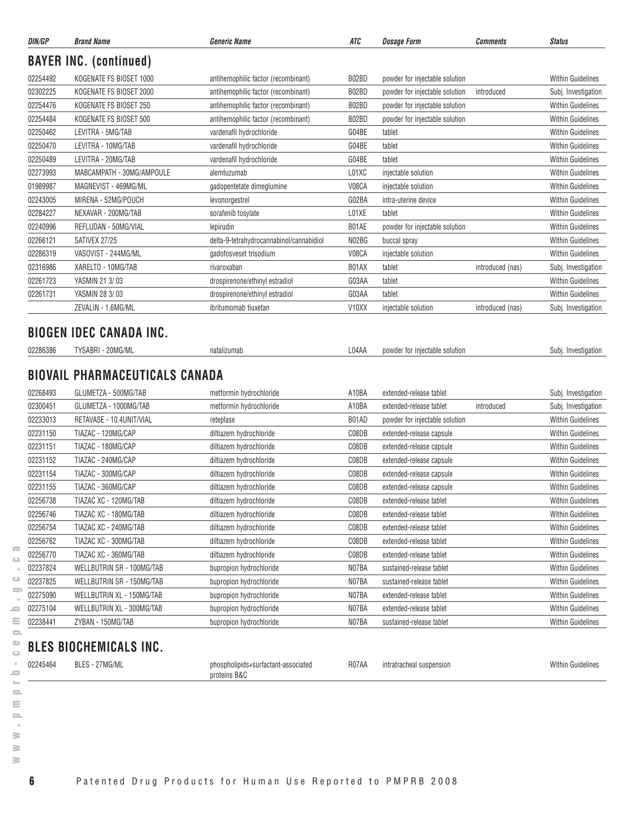| DIN/GP   | <b>Brand Name</b>                                                         | <b>Generic Name</b>                      | ATC                         | <b>Dosage Form</b>                                    | <b>Comments</b>  | <b>Status</b>                                                                                                                                                                                                                                                                                                                                                                                                                                                                                                         |
|----------|---------------------------------------------------------------------------|------------------------------------------|-----------------------------|-------------------------------------------------------|------------------|-----------------------------------------------------------------------------------------------------------------------------------------------------------------------------------------------------------------------------------------------------------------------------------------------------------------------------------------------------------------------------------------------------------------------------------------------------------------------------------------------------------------------|
|          | <b>BAYER INC. (continued)</b>                                             |                                          |                             |                                                       |                  |                                                                                                                                                                                                                                                                                                                                                                                                                                                                                                                       |
| 02254492 | KOGENATE FS BIOSET 1000                                                   | antihemophilic factor (recombinant)      | B02BD                       | powder for injectable solution                        |                  | <b>Within Guidelines</b>                                                                                                                                                                                                                                                                                                                                                                                                                                                                                              |
| 02302225 | KOGENATE FS BIOSET 2000                                                   | antihemophilic factor (recombinant)      | B02BD                       | powder for injectable solution                        | introduced       | Subj. Investigation                                                                                                                                                                                                                                                                                                                                                                                                                                                                                                   |
| 02254476 | KOGENATE FS BIOSET 250                                                    | antihemophilic factor (recombinant)      | B02BD                       | powder for injectable solution                        |                  | <b>Within Guidelines</b>                                                                                                                                                                                                                                                                                                                                                                                                                                                                                              |
| 02254484 | KOGENATE FS BIOSET 500                                                    | antihemophilic factor (recombinant)      | B02BD                       | powder for injectable solution                        |                  | <b>Within Guidelines</b>                                                                                                                                                                                                                                                                                                                                                                                                                                                                                              |
| 02250462 | LEVITRA - 5MG/TAB                                                         | vardenafil hydrochloride                 | G04BE                       | tablet                                                |                  | <b>Within Guidelines</b>                                                                                                                                                                                                                                                                                                                                                                                                                                                                                              |
| 02250470 | LEVITRA - 10MG/TAB                                                        | vardenafil hydrochloride                 | G04BE                       | tablet                                                |                  | <b>Within Guidelines</b>                                                                                                                                                                                                                                                                                                                                                                                                                                                                                              |
| 02250489 | LEVITRA - 20MG/TAB                                                        | vardenafil hydrochloride                 | G04BE                       | tablet                                                |                  | <b>Within Guidelines</b>                                                                                                                                                                                                                                                                                                                                                                                                                                                                                              |
| 02273993 | MABCAMPATH - 30MG/AMPOULE                                                 | alemtuzumab                              | L01XC                       | injectable solution                                   |                  | <b>Within Guidelines</b>                                                                                                                                                                                                                                                                                                                                                                                                                                                                                              |
| 01989987 | MAGNEVIST - 469MG/ML                                                      | gadopentetate dimeglumine                | V08CA                       | injectable solution                                   |                  | <b>Within Guidelines</b>                                                                                                                                                                                                                                                                                                                                                                                                                                                                                              |
| 02243005 | MIRENA - 52MG/POUCH                                                       | levonorgestrel                           | G02BA                       | intra-uterine device                                  |                  | <b>Within Guidelines</b>                                                                                                                                                                                                                                                                                                                                                                                                                                                                                              |
| 02284227 | NEXAVAR - 200MG/TAB                                                       | sorafenib tosylate                       | L01XE                       | tablet                                                |                  | <b>Within Guidelines</b>                                                                                                                                                                                                                                                                                                                                                                                                                                                                                              |
| 02240996 | REFLUDAN - 50MG/VIAL                                                      | lepirudin                                | B01AE                       | powder for injectable solution                        |                  | <b>Within Guidelines</b>                                                                                                                                                                                                                                                                                                                                                                                                                                                                                              |
| 02266121 | SATIVEX 27/25                                                             | delta-9-tetrahydrocannabinol/cannabidiol | N02BG                       | buccal spray                                          |                  | <b>Within Guidelines</b>                                                                                                                                                                                                                                                                                                                                                                                                                                                                                              |
| 02286319 | VASOVIST - 244MG/ML                                                       | gadofosveset trisodium                   | V08CA                       | injectable solution                                   |                  | <b>Within Guidelines</b>                                                                                                                                                                                                                                                                                                                                                                                                                                                                                              |
| 02316986 | XARELTO - 10MG/TAB                                                        | rivaroxaban                              | B01AX                       | tablet                                                | introduced (nas) | Subj. Investigation                                                                                                                                                                                                                                                                                                                                                                                                                                                                                                   |
| 02261723 | YASMIN 21 3/.03                                                           | drospirenone/ethinyl estradiol           | G03AA                       | tablet                                                |                  | <b>Within Guidelines</b>                                                                                                                                                                                                                                                                                                                                                                                                                                                                                              |
|          |                                                                           | drospirenone/ethinyl estradiol           | G03AA                       | tablet                                                |                  | <b>Within Guidelines</b>                                                                                                                                                                                                                                                                                                                                                                                                                                                                                              |
| 02261731 | YASMIN 28 3/.03                                                           |                                          |                             |                                                       |                  |                                                                                                                                                                                                                                                                                                                                                                                                                                                                                                                       |
|          | ZEVALIN - 1.6MG/ML<br><b>BIOGEN IDEC CANADA INC.</b><br>TYSABRI - 20MG/ML | ibritumomab tiuxetan<br>natalizumab      | V <sub>10</sub> XX<br>L04AA | injectable solution<br>powder for injectable solution | introduced (nas) |                                                                                                                                                                                                                                                                                                                                                                                                                                                                                                                       |
| 02286386 | <b>BIOVAIL PHARMACEUTICALS CANADA</b>                                     |                                          |                             |                                                       |                  |                                                                                                                                                                                                                                                                                                                                                                                                                                                                                                                       |
| 02268493 | GLUMETZA - 500MG/TAB                                                      | metformin hydrochloride                  | A10BA                       | extended-release tablet                               |                  |                                                                                                                                                                                                                                                                                                                                                                                                                                                                                                                       |
| 02300451 | GLUMETZA - 1000MG/TAB                                                     | metformin hydrochloride                  | A10BA                       | extended-release tablet                               | introduced       |                                                                                                                                                                                                                                                                                                                                                                                                                                                                                                                       |
| 02233013 | RETAVASE - 10.4UNIT/VIAL                                                  | reteplase                                | B01AD                       | powder for injectable solution                        |                  |                                                                                                                                                                                                                                                                                                                                                                                                                                                                                                                       |
| 02231150 | TIAZAC - 120MG/CAP                                                        | diltiazem hydrochloride                  | C08DB                       | extended-release capsule                              |                  |                                                                                                                                                                                                                                                                                                                                                                                                                                                                                                                       |
| 02231151 | TIAZAC - 180MG/CAP                                                        | diltiazem hydrochloride                  | C08DB                       | extended-release capsule                              |                  |                                                                                                                                                                                                                                                                                                                                                                                                                                                                                                                       |
| 02231152 | TIAZAC - 240MG/CAP                                                        | diltiazem hydrochloride                  | C08DB                       | extended-release capsule                              |                  |                                                                                                                                                                                                                                                                                                                                                                                                                                                                                                                       |
| 02231154 | TIAZAC - 300MG/CAP                                                        | diltiazem hydrochloride                  | C08DB                       | extended-release capsule                              |                  |                                                                                                                                                                                                                                                                                                                                                                                                                                                                                                                       |
| 02231155 | TIAZAC - 360MG/CAP                                                        | diltiazem hydrochloride                  | C08DB                       | extended-release capsule                              |                  |                                                                                                                                                                                                                                                                                                                                                                                                                                                                                                                       |
| 02256738 | TIAZAC XC - 120MG/TAB                                                     | diltiazem hydrochloride                  | C08DB                       | extended-release tablet                               |                  |                                                                                                                                                                                                                                                                                                                                                                                                                                                                                                                       |
| 02256746 | TIAZAC XC - 180MG/TAB                                                     | diltiazem hydrochloride                  | C08DB                       | extended-release tablet                               |                  |                                                                                                                                                                                                                                                                                                                                                                                                                                                                                                                       |
| 02256754 | TIAZAC XC - 240MG/TAB                                                     | diltiazem hydrochloride                  | C08DB                       | extended-release tablet                               |                  |                                                                                                                                                                                                                                                                                                                                                                                                                                                                                                                       |
| 02256762 | TIAZAC XC - 300MG/TAB                                                     | diltiazem hydrochloride                  | C08DB                       | extended-release tablet                               |                  |                                                                                                                                                                                                                                                                                                                                                                                                                                                                                                                       |
| 02256770 | TIAZAC XC - 360MG/TAB                                                     | diltiazem hydrochloride                  | C08DB                       | extended-release tablet                               |                  |                                                                                                                                                                                                                                                                                                                                                                                                                                                                                                                       |
| 02237824 | WELLBUTRIN SR - 100MG/TAB                                                 | bupropion hydrochloride                  | N07BA                       | sustained-release tablet                              |                  |                                                                                                                                                                                                                                                                                                                                                                                                                                                                                                                       |
| 02237825 | WELLBUTRIN SR - 150MG/TAB                                                 | bupropion hydrochloride                  | N07BA                       | sustained-release tablet                              |                  |                                                                                                                                                                                                                                                                                                                                                                                                                                                                                                                       |
| 02275090 | WELLBUTRIN XL - 150MG/TAB                                                 | bupropion hydrochloride                  | N07BA                       | extended-release tablet                               |                  |                                                                                                                                                                                                                                                                                                                                                                                                                                                                                                                       |
| 02275104 | WELLBUTRIN XL - 300MG/TAB                                                 | bupropion hydrochloride                  | N07BA                       | extended-release tablet                               |                  | Subj. Investigation<br>Subj. Investigation<br>Subj. Investigation<br>Subj. Investigation<br><b>Within Guidelines</b><br><b>Within Guidelines</b><br><b>Within Guidelines</b><br><b>Within Guidelines</b><br><b>Within Guidelines</b><br><b>Within Guidelines</b><br><b>Within Guidelines</b><br><b>Within Guidelines</b><br><b>Within Guidelines</b><br><b>Within Guidelines</b><br>Within Guidelines<br><b>Within Guidelines</b><br><b>Within Guidelines</b><br><b>Within Guidelines</b><br><b>Within Guidelines</b> |

02245464 BLES - 27MG/ML phospholipids+surfactant-associated R07AA intratracheal suspension Within Guidelines

 $\geq$  $\geq$ 

**6** Patented Drug Products for Human Use Reported to PMPRB 2008

proteins B&C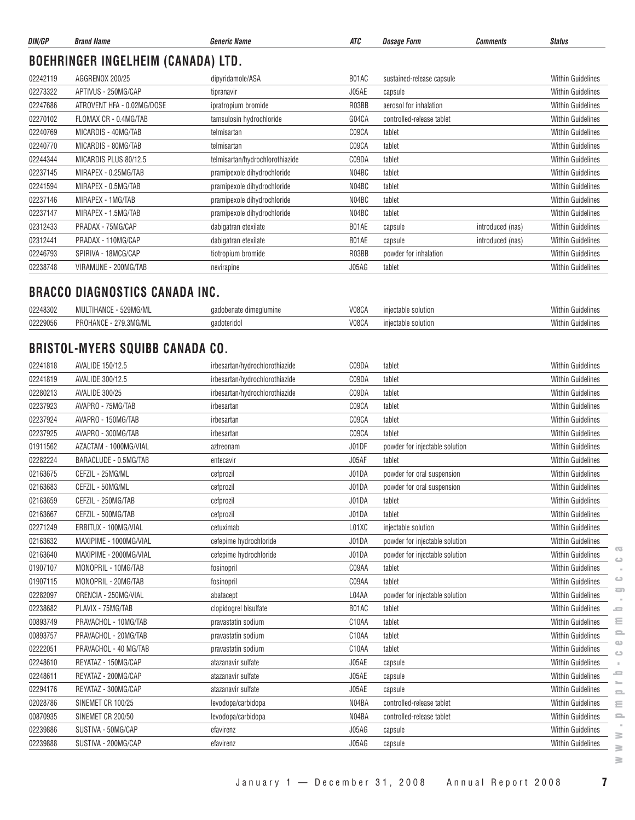| DIN/GP   | <b>Brand Name</b>                         | <b>Generic Name</b>             | ATC   | <b>Dosage Form</b>        | <b>Comments</b>  | <b>Status</b>            |
|----------|-------------------------------------------|---------------------------------|-------|---------------------------|------------------|--------------------------|
|          | <b>BOEHRINGER INGELHEIM (CANADA) LTD.</b> |                                 |       |                           |                  |                          |
| 02242119 | AGGRENOX 200/25                           | dipyridamole/ASA                | B01AC | sustained-release capsule |                  | <b>Within Guidelines</b> |
| 02273322 | APTIVUS - 250MG/CAP                       | tipranavir                      | J05AE | capsule                   |                  | <b>Within Guidelines</b> |
| 02247686 | ATROVENT HFA - 0.02MG/DOSE                | ipratropium bromide             | R03BB | aerosol for inhalation    |                  | <b>Within Guidelines</b> |
| 02270102 | FLOMAX CR - 0.4MG/TAB                     | tamsulosin hydrochloride        | G04CA | controlled-release tablet |                  | <b>Within Guidelines</b> |
| 02240769 | MICARDIS - 40MG/TAB                       | telmisartan                     | C09CA | tablet                    |                  | <b>Within Guidelines</b> |
| 02240770 | MICARDIS - 80MG/TAB                       | telmisartan                     | C09CA | tablet                    |                  | <b>Within Guidelines</b> |
| 02244344 | MICARDIS PLUS 80/12.5                     | telmisartan/hydrochlorothiazide | C09DA | tablet                    |                  | <b>Within Guidelines</b> |
| 02237145 | MIRAPEX - 0.25MG/TAB                      | pramipexole dihydrochloride     | N04BC | tablet                    |                  | <b>Within Guidelines</b> |
| 02241594 | MIRAPEX - 0.5MG/TAB                       | pramipexole dihydrochloride     | N04BC | tablet                    |                  | <b>Within Guidelines</b> |
| 02237146 | MIRAPEX - 1MG/TAB                         | pramipexole dihydrochloride     | N04BC | tablet                    |                  | <b>Within Guidelines</b> |
| 02237147 | MIRAPEX - 1.5MG/TAB                       | pramipexole dihydrochloride     | N04BC | tablet                    |                  | <b>Within Guidelines</b> |
| 02312433 | PRADAX - 75MG/CAP                         | dabigatran etexilate            | B01AE | capsule                   | introduced (nas) | <b>Within Guidelines</b> |
| 02312441 | PRADAX - 110MG/CAP                        | dabigatran etexilate            | B01AE | capsule                   | introduced (nas) | <b>Within Guidelines</b> |
| 02246793 | SPIRIVA - 18MCG/CAP                       | tiotropium bromide              | R03BB | powder for inhalation     |                  | <b>Within Guidelines</b> |
| 02238748 | VIRAMUNE - 200MG/TAB                      | nevirapine                      | J05AG | tablet                    |                  | <b>Within Guidelines</b> |

#### **BRACCO DIAGNOSTICS CANADA INC.**

| 02248302<br>◡▃       | TOMAO<br>1.10<br>'HANU<br>,,,,,  | dimealumine | V08CA | solution<br>.rabir | With<br>ennoemes |
|----------------------|----------------------------------|-------------|-------|--------------------|------------------|
| <sup>იე</sup> 22905p | DD<br><b>HANU</b><br>.3IVIU/IVIL | aoteriao    | V08CA | solution<br>table. | With<br>чишеште: |

## **BRISTOL-MYERS SQUIBB CANADA CO.**

| 02241818 | AVALIDE 150/12.5         | irbesartan/hydrochlorothiazide | C09DA | tablet                         | <b>Within Guidelines</b>                                   |
|----------|--------------------------|--------------------------------|-------|--------------------------------|------------------------------------------------------------|
| 02241819 | AVALIDE 300/12.5         | irbesartan/hydrochlorothiazide | C09DA | tablet                         | <b>Within Guidelines</b>                                   |
| 02280213 | <b>AVALIDE 300/25</b>    | irbesartan/hydrochlorothiazide | C09DA | tablet                         | <b>Within Guidelines</b>                                   |
| 02237923 | AVAPRO - 75MG/TAB        | irbesartan                     | C09CA | tablet                         | <b>Within Guidelines</b>                                   |
| 02237924 | AVAPRO - 150MG/TAB       | irbesartan                     | C09CA | tablet                         | <b>Within Guidelines</b>                                   |
| 02237925 | AVAPRO - 300MG/TAB       | irbesartan                     | C09CA | tablet                         | Within Guidelines                                          |
| 01911562 | AZACTAM - 1000MG/VIAL    | aztreonam                      | J01DF | powder for injectable solution | Within Guidelines                                          |
| 02282224 | BARACLUDE - 0.5MG/TAB    | entecavir                      | J05AF | tablet                         | <b>Within Guidelines</b>                                   |
| 02163675 | CEFZIL - 25MG/ML         | cefprozil                      | J01DA | powder for oral suspension     | <b>Within Guidelines</b>                                   |
| 02163683 | CEFZIL - 50MG/ML         | cefprozil                      | J01DA | powder for oral suspension     | <b>Within Guidelines</b>                                   |
| 02163659 | CEFZIL - 250MG/TAB       | cefprozil                      | J01DA | tablet                         | <b>Within Guidelines</b>                                   |
| 02163667 | CEFZIL - 500MG/TAB       | cefprozil                      | J01DA | tablet                         | <b>Within Guidelines</b>                                   |
| 02271249 | ERBITUX - 100MG/VIAL     | cetuximab                      | L01XC | injectable solution            | <b>Within Guidelines</b>                                   |
| 02163632 | MAXIPIME - 1000MG/VIAL   | cefepime hydrochloride         | J01DA | powder for injectable solution | Within Guidelines                                          |
| 02163640 | MAXIPIME - 2000MG/VIAL   | cefepime hydrochloride         | J01DA | powder for injectable solution | $\overline{\mathbf{C}}$<br>Within Guidelines<br>$\bigcirc$ |
| 01907107 | MONOPRIL - 10MG/TAB      | fosinopril                     | C09AA | tablet                         | Within Guidelines                                          |
| 01907115 | MONOPRIL - 20MG/TAB      | fosinopril                     | C09AA | tablet                         | $\circ$<br><b>Within Guidelines</b>                        |
| 02282097 | ORENCIA - 250MG/VIAL     | abatacept                      | L04AA | powder for injectable solution | $\overline{\phantom{a}}$<br><b>Within Guidelines</b>       |
| 02238682 | PLAVIX - 75MG/TAB        | clopidogrel bisulfate          | B01AC | tablet                         | <b>Within Guidelines</b><br>=                              |
| 00893749 | PRAVACHOL - 10MG/TAB     | pravastatin sodium             | C10AA | tablet                         | $\equiv$<br><b>Within Guidelines</b>                       |
| 00893757 | PRAVACHOL - 20MG/TAB     | pravastatin sodium             | C10AA | tablet                         | $\equiv$<br><b>Within Guidelines</b>                       |
| 02222051 | PRAVACHOL - 40 MG/TAB    | pravastatin sodium             | C10AA | tablet                         | $\bigcirc$<br>Within Guidelines<br>$\bigcirc$              |
| 02248610 | REYATAZ - 150MG/CAP      | atazanavir sulfate             | J05AE | capsule                        | <b>Within Guidelines</b>                                   |
| 02248611 | REYATAZ - 200MG/CAP      | atazanavir sulfate             | J05AE | capsule                        | e<br>Within Guidelines                                     |
| 02294176 | REYATAZ - 300MG/CAP      | atazanavir sulfate             | J05AE | capsule                        | <b>Within Guidelines</b><br>$\equiv$                       |
| 02028786 | SINEMET CR 100/25        | levodopa/carbidopa             | N04BA | controlled-release tablet      | <b>Within Guidelines</b><br>$\equiv$                       |
| 00870935 | <b>SINEMET CR 200/50</b> | levodopa/carbidopa             | N04BA | controlled-release tablet      | <b>Within Guidelines</b><br>$\mathbf{=}$                   |
| 02239886 | SUSTIVA - 50MG/CAP       | efavirenz                      | J05AG | capsule                        | Within Guidelines                                          |
| 02239888 | SUSTIVA - 200MG/CAP      | efavirenz                      | J05AG | capsule                        | ≧<br><b>Within Guidelines</b><br>s                         |
|          |                          |                                |       |                                | ≧                                                          |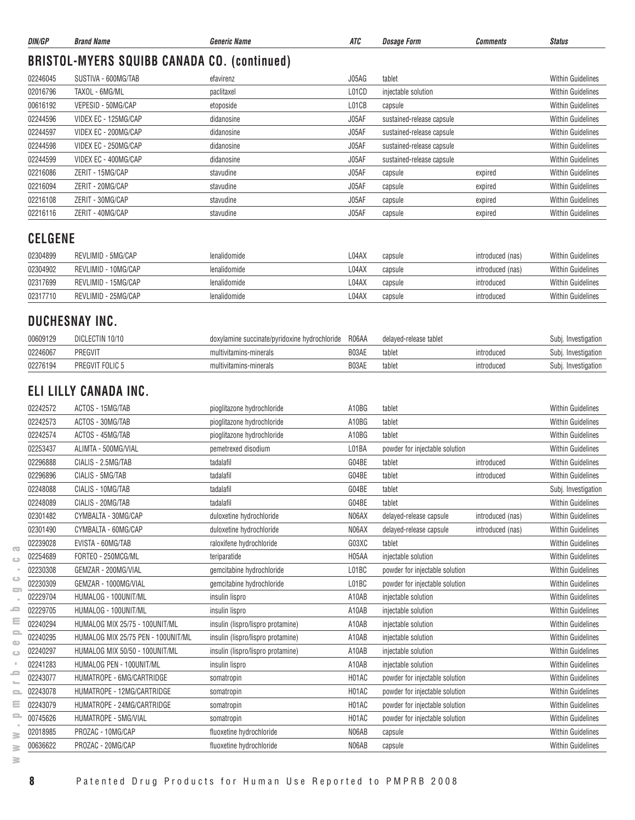| DIN/GP               | <b>Brand Name</b>                                     | <b>Generic Name</b>                           | ATC                         | <b>Dosage Form</b>                                               | Comments         | <b>Status</b>                                        |
|----------------------|-------------------------------------------------------|-----------------------------------------------|-----------------------------|------------------------------------------------------------------|------------------|------------------------------------------------------|
|                      | <b>BRISTOL-MYERS SQUIBB CANADA CO. (continued)</b>    |                                               |                             |                                                                  |                  |                                                      |
| 02246045             | SUSTIVA - 600MG/TAB                                   | efavirenz                                     | J05AG                       | tablet                                                           |                  | <b>Within Guidelines</b>                             |
| 02016796             | TAXOL - 6MG/ML                                        | paclitaxel                                    | L01CD                       | injectable solution                                              |                  | <b>Within Guidelines</b>                             |
| 00616192             | VEPESID - 50MG/CAP                                    | etoposide                                     | L01CB                       | capsule                                                          |                  | <b>Within Guidelines</b>                             |
| 02244596             | VIDEX EC - 125MG/CAP                                  | didanosine                                    | J05AF                       | sustained-release capsule                                        |                  | <b>Within Guidelines</b>                             |
| 02244597             | VIDEX EC - 200MG/CAP                                  | didanosine                                    | J05AF                       | sustained-release capsule                                        |                  | <b>Within Guidelines</b>                             |
| 02244598             | VIDEX EC - 250MG/CAP                                  | didanosine                                    | J05AF                       | sustained-release capsule                                        |                  | <b>Within Guidelines</b>                             |
| 02244599             | VIDEX EC - 400MG/CAP                                  | didanosine                                    | J05AF                       | sustained-release capsule                                        |                  | <b>Within Guidelines</b>                             |
| 02216086             | ZERIT - 15MG/CAP                                      | stavudine                                     | J05AF                       | capsule                                                          | expired          | <b>Within Guidelines</b>                             |
| 02216094             | ZERIT - 20MG/CAP                                      | stavudine                                     | J05AF                       | capsule                                                          | expired          | <b>Within Guidelines</b>                             |
| 02216108             | ZERIT - 30MG/CAP                                      | stavudine                                     | J05AF                       | capsule                                                          | expired          | <b>Within Guidelines</b>                             |
| 02216116             | ZERIT - 40MG/CAP                                      | stavudine                                     | J05AF                       | capsule                                                          | expired          | <b>Within Guidelines</b>                             |
| <b>CELGENE</b>       |                                                       |                                               |                             |                                                                  |                  |                                                      |
| 02304899             | REVLIMID - 5MG/CAP                                    | lenalidomide                                  | L04AX                       | capsule                                                          | introduced (nas) | <b>Within Guidelines</b>                             |
| 02304902             | REVLIMID - 10MG/CAP                                   | lenalidomide                                  | L04AX                       | capsule                                                          | introduced (nas) | <b>Within Guidelines</b>                             |
| 02317699             | REVLIMID - 15MG/CAP                                   | lenalidomide                                  | L04AX                       | capsule                                                          | introduced       | <b>Within Guidelines</b>                             |
| 02317710             | REVLIMID - 25MG/CAP                                   | lenalidomide                                  | L04AX                       | capsule                                                          | introduced       | <b>Within Guidelines</b>                             |
|                      | DUCHESNAY INC.                                        |                                               |                             |                                                                  |                  |                                                      |
| 00609129             | DICLECTIN 10/10                                       | doxylamine succinate/pyridoxine hydrochloride | R06AA                       | delayed-release tablet                                           |                  | Subj. Investigation                                  |
| 02246067             | PREGVIT                                               | multivitamins-minerals                        | B03AE                       | tablet                                                           | introduced       | Subj. Investigation                                  |
| 02276194             | PREGVIT FOLIC 5                                       | multivitamins-minerals                        | B03AE                       | tablet                                                           | introduced       | Subj. Investigation                                  |
| 02242572             | ELI LILLY CANADA INC.<br>ACTOS - 15MG/TAB             | pioglitazone hydrochloride                    | A10BG                       | tablet                                                           |                  | <b>Within Guidelines</b>                             |
| 02242573             | ACTOS - 30MG/TAB                                      | pioglitazone hydrochloride                    | A10BG                       | tablet                                                           |                  | <b>Within Guidelines</b>                             |
| 02242574             | ACTOS - 45MG/TAB                                      | pioglitazone hydrochloride                    | A10BG                       | tablet                                                           |                  | <b>Within Guidelines</b>                             |
| 02253437             | ALIMTA - 500MG/VIAL                                   | pemetrexed disodium                           | L01BA                       | powder for injectable solution                                   |                  | <b>Within Guidelines</b>                             |
| 02296888             | CIALIS - 2.5MG/TAB                                    | tadalafil                                     | G04BE                       | tablet                                                           | introduced       | <b>Within Guidelines</b>                             |
| 02296896             | CIALIS - 5MG/TAB                                      | tadalafil                                     | G04BE                       | tablet                                                           | introduced       | Within Guidelines                                    |
| 02248088             | CIALIS - 10MG/TAB                                     | tadalafil                                     | G04BE                       | tablet                                                           |                  |                                                      |
| 02248089             | CIALIS - 20MG/TAB                                     | tadalafil                                     | G04BE                       | tablet                                                           |                  | Subj. Investigation<br><b>Within Guidelines</b>      |
| 02301482             | CYMBALTA - 30MG/CAP                                   | duloxetine hydrochloride                      | N06AX                       | delayed-release capsule                                          | introduced (nas) | Within Guidelines                                    |
| 02301490             | CYMBALTA - 60MG/CAP                                   | duloxetine hydrochloride                      | N06AX                       | delayed-release capsule                                          |                  | <b>Within Guidelines</b>                             |
| 02239028             | EVISTA - 60MG/TAB                                     | raloxifene hydrochloride                      | G03XC                       | tablet                                                           | introduced (nas) | <b>Within Guidelines</b>                             |
| 02254689             | FORTEO - 250MCG/ML                                    | teriparatide                                  | H <sub>05</sub> AA          | injectable solution                                              |                  | <b>Within Guidelines</b>                             |
| 02230308             | GEMZAR - 200MG/VIAL                                   | gemcitabine hydrochloride                     | L01BC                       | powder for injectable solution                                   |                  | Within Guidelines                                    |
| 02230309             | GEMZAR - 1000MG/VIAL                                  | gemcitabine hydrochloride                     | L01BC                       | powder for injectable solution                                   |                  | Within Guidelines                                    |
| O)<br>02229704       | HUMALOG - 100UNIT/ML                                  |                                               | A10AB                       | injectable solution                                              |                  | <b>Within Guidelines</b>                             |
| 02229705             |                                                       | insulin lispro                                |                             |                                                                  |                  |                                                      |
|                      | HUMALOG - 100UNIT/ML                                  | insulin lispro                                | A10AB                       | injectable solution                                              |                  | <b>Within Guidelines</b>                             |
| 02240294             | HUMALOG MIX 25/75 - 100UNIT/ML                        | insulin (lispro/lispro protamine)             | A10AB                       | injectable solution                                              |                  | <b>Within Guidelines</b>                             |
| 02240295             | HUMALOG MIX 25/75 PEN - 100UNIT/ML                    | insulin (lispro/lispro protamine)             | A10AB                       | injectable solution                                              |                  | <b>Within Guidelines</b>                             |
| 02240297<br>02241283 | HUMALOG MIX 50/50 - 100UNIT/ML                        | insulin (lispro/lispro protamine)             | A10AB<br>A10AB              | injectable solution                                              |                  | Within Guidelines                                    |
|                      | HUMALOG PEN - 100UNIT/ML<br>HUMATROPE - 6MG/CARTRIDGE | insulin lispro                                |                             | injectable solution                                              |                  | Within Guidelines                                    |
| 02243077<br>02243078 | HUMATROPE - 12MG/CARTRIDGE                            | somatropin                                    | H <sub>0</sub> 1AC<br>H01AC | powder for injectable solution                                   |                  | <b>Within Guidelines</b><br><b>Within Guidelines</b> |
| 02243079             | HUMATROPE - 24MG/CARTRIDGE                            | somatropin<br>somatropin                      | H01AC                       | powder for injectable solution<br>powder for injectable solution |                  | Within Guidelines                                    |
| 00745626             | HUMATROPE - 5MG/VIAL                                  | somatropin                                    | H <sub>0</sub> 1AC          | powder for injectable solution                                   |                  | <b>Within Guidelines</b>                             |
| 02018985             | PROZAC - 10MG/CAP                                     | fluoxetine hydrochloride                      | N06AB                       | capsule                                                          |                  | Within Guidelines                                    |
| 00636622             | PROZAC - 20MG/CAP                                     | fluoxetine hydrochloride                      | N06AB                       |                                                                  |                  | Within Guidelines                                    |
|                      |                                                       |                                               |                             | capsule                                                          |                  |                                                      |

 $\overline{\infty}$  $\circ$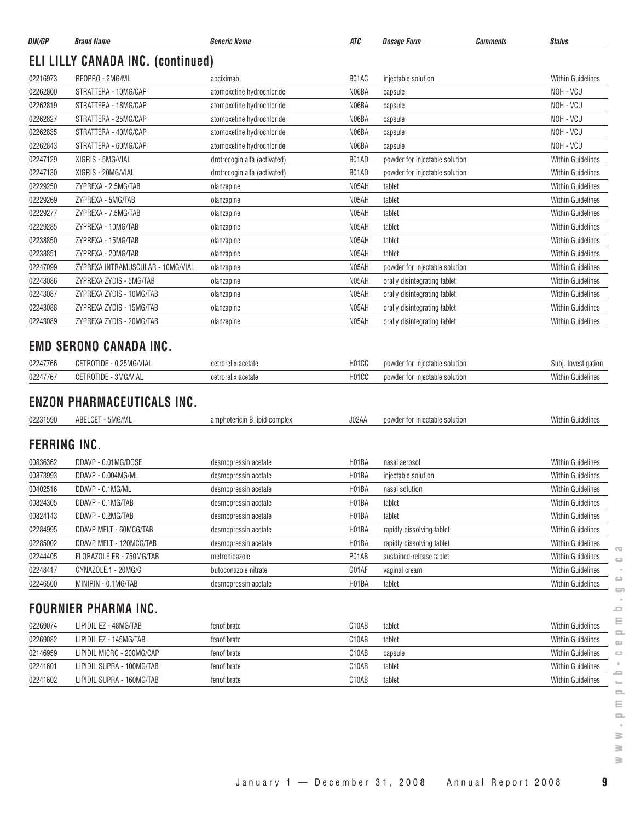| DIN/GP               | <b>Brand Name</b>                                        | <b>Generic Name</b>          | ATC                | <b>Dosage Form</b>             | <b>Comments</b><br><b>Status</b>                |
|----------------------|----------------------------------------------------------|------------------------------|--------------------|--------------------------------|-------------------------------------------------|
|                      | <b>ELI LILLY CANADA INC. (continued)</b>                 |                              |                    |                                |                                                 |
| 02216973             | REOPRO - 2MG/ML                                          | abciximab                    | B01AC              | injectable solution            | <b>Within Guidelines</b>                        |
| 02262800             | STRATTERA - 10MG/CAP                                     | atomoxetine hydrochloride    | N06BA              | capsule                        | NOH - VCU                                       |
| 02262819             | STRATTERA - 18MG/CAP                                     | atomoxetine hydrochloride    | N06BA              | capsule                        | NOH - VCU                                       |
| 02262827             | STRATTERA - 25MG/CAP                                     | atomoxetine hydrochloride    | N06BA              | capsule                        | NOH - VCU                                       |
| 02262835             | STRATTERA - 40MG/CAP                                     | atomoxetine hydrochloride    | N06BA              | capsule                        | NOH - VCU                                       |
| 02262843             | STRATTERA - 60MG/CAP                                     | atomoxetine hydrochloride    | N06BA              | capsule                        | NOH - VCU                                       |
| 02247129             | XIGRIS - 5MG/VIAL                                        | drotrecogin alfa (activated) | B01AD              | powder for injectable solution | Within Guidelines                               |
| 02247130             | XIGRIS - 20MG/VIAL                                       | drotrecogin alfa (activated) | B01AD              | powder for injectable solution | Within Guidelines                               |
| 02229250             | ZYPREXA - 2.5MG/TAB                                      | olanzapine                   | N05AH              | tablet                         | <b>Within Guidelines</b>                        |
| 02229269             | ZYPREXA - 5MG/TAB                                        | olanzapine                   | N05AH              | tablet                         | <b>Within Guidelines</b>                        |
| 02229277             | ZYPREXA - 7.5MG/TAB                                      | olanzapine                   | N05AH              | tablet                         | <b>Within Guidelines</b>                        |
| 02229285             | ZYPREXA - 10MG/TAB                                       | olanzapine                   | N05AH              | tablet                         | <b>Within Guidelines</b>                        |
| 02238850             | ZYPREXA - 15MG/TAB                                       | olanzapine                   | N05AH              | tablet                         | <b>Within Guidelines</b>                        |
| 02238851             | ZYPREXA - 20MG/TAB                                       | olanzapine                   | N05AH              | tablet                         | Within Guidelines                               |
| 02247099             | ZYPREXA INTRAMUSCULAR - 10MG/VIAL                        | olanzapine                   | N05AH              | powder for injectable solution | <b>Within Guidelines</b>                        |
| 02243086             | ZYPREXA ZYDIS - 5MG/TAB                                  | olanzapine                   | N05AH              | orally disintegrating tablet   | <b>Within Guidelines</b>                        |
| 02243087             | ZYPREXA ZYDIS - 10MG/TAB                                 | olanzapine                   | N05AH              | orally disintegrating tablet   | <b>Within Guidelines</b>                        |
| 02243088             | ZYPREXA ZYDIS - 15MG/TAB                                 | olanzapine                   | N05AH              | orally disintegrating tablet   | <b>Within Guidelines</b>                        |
| 02243089             | ZYPREXA ZYDIS - 20MG/TAB                                 | olanzapine                   | N05AH              | orally disintegrating tablet   | <b>Within Guidelines</b>                        |
| 02247766             | <b>EMD SERONO CANADA INC.</b><br>CETROTIDE - 0.25MG/VIAL | cetrorelix acetate           | H01CC              | powder for injectable solution |                                                 |
| 02247767             | CETROTIDE - 3MG/VIAL                                     | cetrorelix acetate           | H01CC              | powder for injectable solution | Subj. Investigation<br><b>Within Guidelines</b> |
| 02231590             | <b>ENZON PHARMACEUTICALS INC.</b><br>ABELCET - 5MG/ML    | amphotericin B lipid complex | J02AA              | powder for injectable solution | Within Guidelines                               |
| <b>FERRING INC.</b>  |                                                          |                              |                    |                                |                                                 |
| 00836362             | DDAVP - 0.01MG/DOSE                                      | desmopressin acetate         | H01BA              | nasal aerosol                  | <b>Within Guidelines</b>                        |
| 00873993             | DDAVP - 0.004MG/ML                                       | desmopressin acetate         | H01BA              | injectable solution            | <b>Within Guidelines</b>                        |
| 00402516             | DDAVP - 0.1MG/ML                                         | desmopressin acetate         | H <sub>01</sub> BA | nasal solution                 | <b>Within Guidelines</b>                        |
| 00824305             | DDAVP - 0.1MG/TAB                                        | desmopressin acetate         | H01BA              | tablet                         | Within Guidelines                               |
| 00824143             | DDAVP - 0.2MG/TAB                                        | desmopressin acetate         | H01BA              | tablet                         | Within Guidelines                               |
| 02284995             | DDAVP MELT - 60MCG/TAB                                   | desmopressin acetate         | H <sub>01</sub> BA | rapidly dissolving tablet      | <b>Within Guidelines</b>                        |
| 02285002             | DDAVP MELT - 120MCG/TAB                                  | desmopressin acetate         | H01BA              | rapidly dissolving tablet      | Within Guidelines                               |
| 02244405             | FLORAZOLE ER - 750MG/TAB                                 | metronidazole                | P01AB              | sustained-release tablet       | Within Guidelines                               |
| 02248417             | GYNAZOLE.1 - 20MG/G                                      | butoconazole nitrate         | G01AF              | vaginal cream                  | Within Guidelines                               |
| 02246500             | MINIRIN - 0.1MG/TAB                                      | desmopressin acetate         | H <sub>01</sub> BA | tablet                         | Within Guidelines                               |
|                      | <b>FOURNIER PHARMA INC.</b>                              |                              |                    |                                |                                                 |
|                      |                                                          |                              |                    |                                |                                                 |
| 02269074             | LIPIDIL EZ - 48MG/TAB                                    | fenofibrate                  | C10AB              | tablet                         | Within Guidelines                               |
| 02269082             | LIPIDIL EZ - 145MG/TAB                                   | fenofibrate                  | C10AB              | tablet                         | Within Guidelines                               |
| 02146959             | LIPIDIL MICRO - 200MG/CAP                                | fenofibrate                  | C10AB              | capsule                        | Within Guidelines                               |
| 02241601<br>02241602 | LIPIDIL SUPRA - 100MG/TAB                                | fenofibrate                  | C10AB              | tablet                         | Within Guidelines                               |
|                      | LIPIDIL SUPRA - 160MG/TAB                                | fenofibrate                  | C10AB              | tablet                         | Within Guidelines                               |

 $\sim$  $\geq$  $\geq$  $\geq$ 

 $\sim$  $\circ$ 

January 1 — December 31, 2008 Annual Report 2008 **9**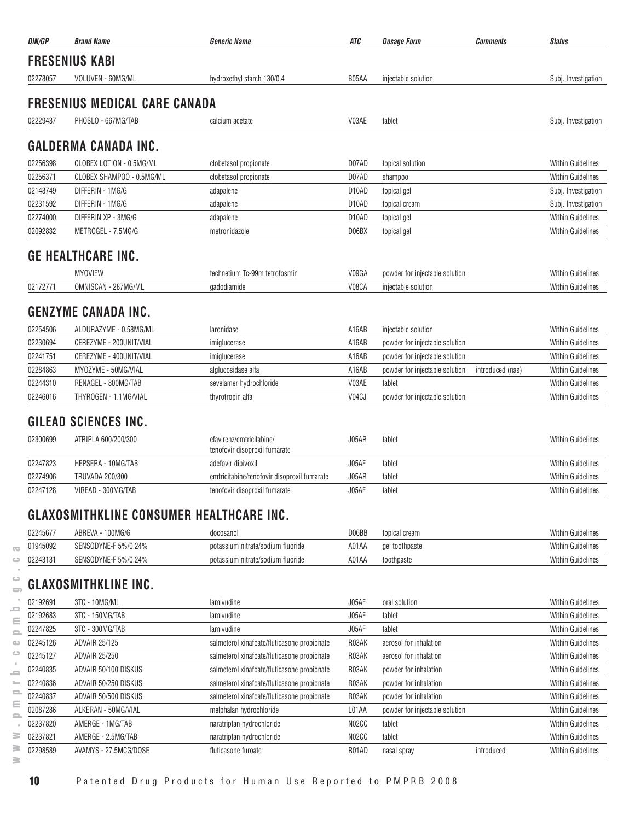| DIN/GP   | <b>Brand Name</b>                               | <b>Generic Name</b>                                       | <b>ATC</b>         | <b>Dosage Form</b><br><b>Comments</b>              | <b>Status</b>            |
|----------|-------------------------------------------------|-----------------------------------------------------------|--------------------|----------------------------------------------------|--------------------------|
|          | <b>FRESENIUS KABI</b>                           |                                                           |                    |                                                    |                          |
| 02278057 | VOLUVEN - 60MG/ML                               | hydroxethyl starch 130/0.4                                | B05AA              | injectable solution                                | Subj. Investigation      |
|          |                                                 |                                                           |                    |                                                    |                          |
|          | <b>FRESENIUS MEDICAL CARE CANADA</b>            |                                                           |                    |                                                    |                          |
| 02229437 | PHOSLO - 667MG/TAB                              | calcium acetate                                           | V03AE              | tablet                                             | Subj. Investigation      |
|          | <b>GALDERMA CANADA INC.</b>                     |                                                           |                    |                                                    |                          |
|          |                                                 |                                                           |                    |                                                    |                          |
| 02256398 | CLOBEX LOTION - 0.5MG/ML                        | clobetasol propionate                                     | D07AD              | topical solution                                   | <b>Within Guidelines</b> |
| 02256371 | CLOBEX SHAMPOO - 0.5MG/ML                       | clobetasol propionate                                     | D07AD              | shampoo                                            | <b>Within Guidelines</b> |
| 02148749 | DIFFERIN - 1MG/G                                | adapalene                                                 | D <sub>10</sub> AD | topical gel                                        | Subj. Investigation      |
| 02231592 | DIFFERIN - 1MG/G                                | adapalene                                                 | D <sub>10</sub> AD | topical cream                                      | Subj. Investigation      |
| 02274000 | DIFFERIN XP - 3MG/G                             | adapalene                                                 | D <sub>10</sub> AD | topical gel                                        | <b>Within Guidelines</b> |
| 02092832 | METROGEL - 7.5MG/G                              | metronidazole                                             | D06BX              | topical gel                                        | <b>Within Guidelines</b> |
|          | <b>GE HEALTHCARE INC.</b>                       |                                                           |                    |                                                    |                          |
|          | <b>MYOVIEW</b>                                  | technetium Tc-99m tetrofosmin                             | V09GA              | powder for injectable solution                     | <b>Within Guidelines</b> |
| 02172771 | OMNISCAN - 287MG/ML                             | gadodiamide                                               | V08CA              | injectable solution                                | <b>Within Guidelines</b> |
|          | <b>GENZYME CANADA INC.</b>                      |                                                           |                    |                                                    |                          |
| 02254506 | ALDURAZYME - 0.58MG/ML                          | laronidase                                                | A16AB              | injectable solution                                | <b>Within Guidelines</b> |
| 02230694 | CEREZYME - 200UNIT/VIAL                         | imiglucerase                                              | A16AB              | powder for injectable solution                     | <b>Within Guidelines</b> |
| 02241751 | CEREZYME - 400UNIT/VIAL                         | imiglucerase                                              | A16AB              | powder for injectable solution                     | <b>Within Guidelines</b> |
| 02284863 | MYOZYME - 50MG/VIAL                             | alglucosidase alfa                                        | A16AB              | powder for injectable solution<br>introduced (nas) | <b>Within Guidelines</b> |
| 02244310 | RENAGEL - 800MG/TAB                             | sevelamer hydrochloride                                   | V03AE              | tablet                                             | <b>Within Guidelines</b> |
| 02246016 | THYROGEN - 1.1MG/VIAL                           | thyrotropin alfa                                          | V04CJ              | powder for injectable solution                     | <b>Within Guidelines</b> |
|          |                                                 |                                                           |                    |                                                    |                          |
|          | <b>GILEAD SCIENCES INC.</b>                     |                                                           |                    |                                                    |                          |
| 02300699 | ATRIPLA 600/200/300                             | efavirenz/emtricitabine/<br>tenofovir disoproxil fumarate | J05AR              | tablet                                             | <b>Within Guidelines</b> |
| 02247823 | <b>HEPSERA - 10MG/TAB</b>                       | adefovir dipivoxil                                        | J05AF              | tablet                                             | <b>Within Guidelines</b> |
| 02274906 | <b>TRUVADA 200/300</b>                          | emtricitabine/tenofovir disoproxil fumarate               | J05AR              | tablet                                             | <b>Within Guidelines</b> |
| 02247128 | VIREAD - 300MG/TAB                              | tenofovir disoproxil fumarate                             | J05AF              | tablet                                             | <b>Within Guidelines</b> |
|          | <b>GLAXOSMITHKLINE CONSUMER HEALTHCARE INC.</b> |                                                           |                    |                                                    |                          |
| 02245677 | ABREVA - 100MG/G                                | docosanol                                                 | D06BB              | topical cream                                      | <b>Within Guidelines</b> |
| 01945092 | SENSODYNE-F 5%/0.24%                            | potassium nitrate/sodium fluoride                         | A01AA              | gel toothpaste                                     | <b>Within Guidelines</b> |
| 02243131 | SENSODYNE-F 5%/0.24%                            | potassium nitrate/sodium fluoride                         | A01AA              | toothpaste                                         | <b>Within Guidelines</b> |

# $\overset{\circ}{\Rightarrow}$  GLAXOSMITHKLINE INC.

| 02192691 | 3TC - 10MG/ML         | lamivudine                                  | J05AF              | oral solution                  |            | <b>Within Guidelines</b> |
|----------|-----------------------|---------------------------------------------|--------------------|--------------------------------|------------|--------------------------|
| 02192683 | 3TC - 150MG/TAB       | lamivudine                                  | J05AF              | tablet                         |            | <b>Within Guidelines</b> |
| 02247825 | 3TC - 300MG/TAB       | lamivudine                                  | J05AF              | tablet                         |            | <b>Within Guidelines</b> |
| 02245126 | <b>ADVAIR 25/125</b>  | salmeterol xinafoate/fluticasone propionate | R03AK              | aerosol for inhalation         |            | <b>Within Guidelines</b> |
| 02245127 | <b>ADVAIR 25/250</b>  | salmeterol xinafoate/fluticasone propionate | R03AK              | aerosol for inhalation         |            | <b>Within Guidelines</b> |
| 02240835 | ADVAIR 50/100 DISKUS  | salmeterol xinafoate/fluticasone propionate | R03AK              | powder for inhalation          |            | <b>Within Guidelines</b> |
| 02240836 | ADVAIR 50/250 DISKUS  | salmeterol xinafoate/fluticasone propionate | R03AK              | powder for inhalation          |            | <b>Within Guidelines</b> |
| 02240837 | ADVAIR 50/500 DISKUS  | salmeterol xinafoate/fluticasone propionate | R03AK              | powder for inhalation          |            | <b>Within Guidelines</b> |
| 02087286 | ALKERAN - 50MG/VIAL   | melphalan hydrochloride                     | L01AA              | powder for injectable solution |            | <b>Within Guidelines</b> |
| 02237820 | AMERGE - 1MG/TAB      | naratriptan hydrochloride                   | N <sub>02</sub> CC | tablet                         |            | <b>Within Guidelines</b> |
| 02237821 | AMERGE - 2.5MG/TAB    | naratriptan hydrochloride                   | N <sub>02</sub> CC | tablet                         |            | <b>Within Guidelines</b> |
| 02298589 | AVAMYS - 27.5MCG/DOSE | fluticasone furoate                         | R01AD              | nasal spray                    | introduced | <b>Within Guidelines</b> |
|          |                       |                                             |                    |                                |            |                          |

 $\sqrt{2}$  $\qquad \qquad \Box$  $\sim$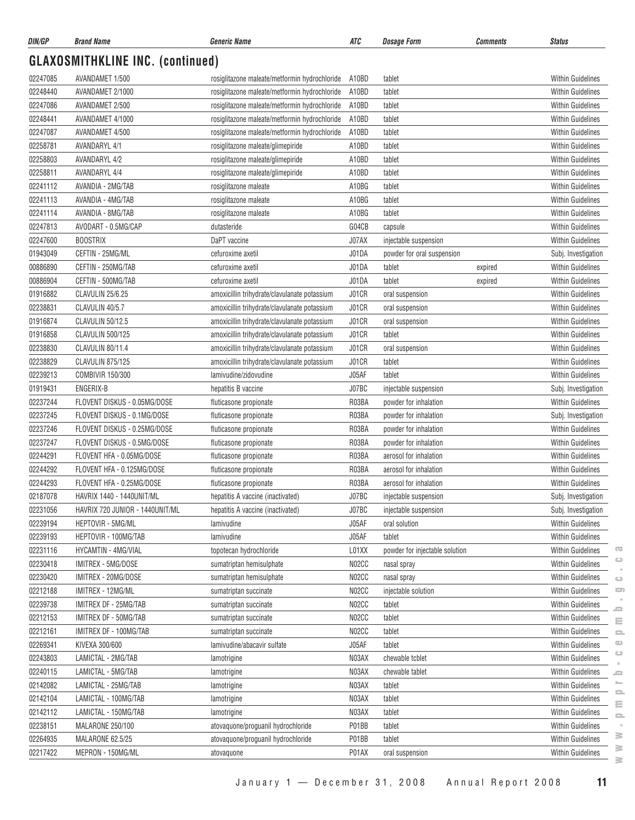| DIN/GP   | <b>Brand Name</b>                       | <b>Generic Name</b>                           | ATC   | <b>Dosage Form</b>             | Comments | <b>Status</b>            |
|----------|-----------------------------------------|-----------------------------------------------|-------|--------------------------------|----------|--------------------------|
|          | <b>GLAXOSMITHKLINE INC. (continued)</b> |                                               |       |                                |          |                          |
| 02247085 | AVANDAMET 1/500                         | rosiglitazone maleate/metformin hydrochloride | A10BD | tablet                         |          | <b>Within Guidelines</b> |
| 02248440 | AVANDAMET 2/1000                        | rosiglitazone maleate/metformin hydrochloride | A10BD | tablet                         |          | <b>Within Guidelines</b> |
| 02247086 | AVANDAMET 2/500                         | rosiglitazone maleate/metformin hydrochloride | A10BD | tablet                         |          | <b>Within Guidelines</b> |
| 02248441 | AVANDAMET 4/1000                        | rosiglitazone maleate/metformin hydrochloride | A10BD | tablet                         |          | <b>Within Guidelines</b> |
| 02247087 | AVANDAMET 4/500                         | rosiglitazone maleate/metformin hydrochloride | A10BD | tablet                         |          | <b>Within Guidelines</b> |
| 02258781 | <b>AVANDARYL 4/1</b>                    | rosiglitazone maleate/glimepiride             | A10BD | tablet                         |          | <b>Within Guidelines</b> |
| 02258803 | <b>AVANDARYL 4/2</b>                    | rosiglitazone maleate/glimepiride             | A10BD | tablet                         |          | <b>Within Guidelines</b> |
| 02258811 | <b>AVANDARYL 4/4</b>                    | rosiglitazone maleate/glimepiride             | A10BD | tablet                         |          | <b>Within Guidelines</b> |
| 02241112 | AVANDIA - 2MG/TAB                       | rosiglitazone maleate                         | A10BG | tablet                         |          | <b>Within Guidelines</b> |
| 02241113 | AVANDIA - 4MG/TAB                       | rosiglitazone maleate                         | A10BG | tablet                         |          | <b>Within Guidelines</b> |
| 02241114 | AVANDIA - 8MG/TAB                       | rosiglitazone maleate                         | A10BG | tablet                         |          | <b>Within Guidelines</b> |
| 02247813 | AVODART - 0.5MG/CAP                     | dutasteride                                   | G04CB | capsule                        |          | <b>Within Guidelines</b> |
| 02247600 | <b>BOOSTRIX</b>                         | DaPT vaccine                                  | J07AX | injectable suspension          |          | <b>Within Guidelines</b> |
| 01943049 | CEFTIN - 25MG/ML                        | cefuroxime axetil                             | J01DA | powder for oral suspension     |          | Subj. Investigation      |
| 00886890 | CEFTIN - 250MG/TAB                      | cefuroxime axetil                             | J01DA | tablet                         | expired  | <b>Within Guidelines</b> |
| 00886904 | CEFTIN - 500MG/TAB                      | cefuroxime axetil                             | J01DA | tablet                         | expired  | <b>Within Guidelines</b> |
| 01916882 | CLAVULIN 25/6.25                        | amoxicillin trihydrate/clavulanate potassium  | J01CR | oral suspension                |          | Within Guidelines        |
| 02238831 | CLAVULIN 40/5.7                         | amoxicillin trihydrate/clavulanate potassium  | J01CR | oral suspension                |          | <b>Within Guidelines</b> |
| 01916874 | CLAVULIN 50/12.5                        | amoxicillin trihydrate/clavulanate potassium  | J01CR | oral suspension                |          | <b>Within Guidelines</b> |
| 01916858 | <b>CLAVULIN 500/125</b>                 | amoxicillin trihydrate/clavulanate potassium  | J01CR | tablet                         |          | <b>Within Guidelines</b> |
| 02238830 | CLAVULIN 80/11.4                        | amoxicillin trihydrate/clavulanate potassium  | J01CR | oral suspension                |          | Within Guidelines        |
| 02238829 | CLAVULIN 875/125                        | amoxicillin trihydrate/clavulanate potassium  | J01CR | tablet                         |          | <b>Within Guidelines</b> |
| 02239213 | COMBIVIR 150/300                        | lamivudine/zidovudine                         | J05AF | tablet                         |          | <b>Within Guidelines</b> |
| 01919431 | ENGERIX-B                               | hepatitis B vaccine                           | J07BC | injectable suspension          |          | Subj. Investigation      |
| 02237244 | FLOVENT DISKUS - 0.05MG/DOSE            | fluticasone propionate                        | R03BA | powder for inhalation          |          | <b>Within Guidelines</b> |
| 02237245 | FLOVENT DISKUS - 0.1MG/DOSE             | fluticasone propionate                        | R03BA | powder for inhalation          |          | Subj. Investigation      |
| 02237246 | FLOVENT DISKUS - 0.25MG/DOSE            | fluticasone propionate                        | R03BA | powder for inhalation          |          | <b>Within Guidelines</b> |
| 02237247 | FLOVENT DISKUS - 0.5MG/DOSE             | fluticasone propionate                        | R03BA | powder for inhalation          |          | <b>Within Guidelines</b> |
| 02244291 | FLOVENT HFA - 0.05MG/DOSE               | fluticasone propionate                        | R03BA | aerosol for inhalation         |          | <b>Within Guidelines</b> |
| 02244292 | FLOVENT HFA - 0.125MG/DOSE              | fluticasone propionate                        | R03BA | aerosol for inhalation         |          | <b>Within Guidelines</b> |
| 02244293 | FLOVENT HFA - 0.25MG/DOSE               | fluticasone propionate                        | R03BA | aerosol for inhalation         |          | <b>Within Guidelines</b> |
| 02187078 | HAVRIX 1440 - 1440UNIT/ML               | hepatitis A vaccine (inactivated)             | J07BC | injectable suspension          |          | Subj. Investigation      |
| 02231056 | HAVRIX 720 JUNIOR - 1440UNIT/ML         | hepatitis A vaccine (inactivated)             | J07BC | injectable suspension          |          | Subj. Investigation      |
| 02239194 | HEPTOVIR - 5MG/ML                       | lamivudine                                    | J05AF | oral solution                  |          | Within Guidelines        |
| 02239193 | HEPTOVIR - 100MG/TAB                    | lamivudine                                    | J05AF | tablet                         |          | <b>Within Guidelines</b> |
| 02231116 | HYCAMTIN - 4MG/VIAL                     | topotecan hydrochloride                       | L01XX | powder for injectable solution |          | <b>Within Guidelines</b> |
| 02230418 | IMITREX - 5MG/DOSE                      | sumatriptan hemisulphate                      | N02CC | nasal spray                    |          | <b>Within Guidelines</b> |
| 02230420 | IMITREX - 20MG/DOSE                     | sumatriptan hemisulphate                      | N02CC | nasal spray                    |          | Within Guidelines        |
| 02212188 | IMITREX - 12MG/ML                       | sumatriptan succinate                         | N02CC | injectable solution            |          | Within Guidelines        |
| 02239738 | IMITREX DF - 25MG/TAB                   | sumatriptan succinate                         | N02CC | tablet                         |          | Within Guidelines        |
| 02212153 | IMITREX DF - 50MG/TAB                   | sumatriptan succinate                         | N02CC | tablet                         |          | <b>Within Guidelines</b> |
| 02212161 | IMITREX DF - 100MG/TAB                  | sumatriptan succinate                         | N02CC | tablet                         |          | <b>Within Guidelines</b> |
| 02269341 | KIVEXA 300/600                          | lamivudine/abacavir sulfate                   | J05AF | tablet                         |          | Within Guidelines        |
| 02243803 | LAMICTAL - 2MG/TAB                      | lamotrigine                                   | N03AX | chewable tcblet                |          | <b>Within Guidelines</b> |
| 02240115 | LAMICTAL - 5MG/TAB                      | lamotrigine                                   | N03AX | chewable tablet                |          | Within Guidelines        |
| 02142082 | LAMICTAL - 25MG/TAB                     | lamotrigine                                   | N03AX | tablet                         |          | Within Guidelines        |
| 02142104 | LAMICTAL - 100MG/TAB                    | lamotrigine                                   | N03AX | tablet                         |          | <b>Within Guidelines</b> |
| 02142112 | LAMICTAL - 150MG/TAB                    | lamotrigine                                   | N03AX | tablet                         |          | <b>Within Guidelines</b> |
| 02238151 | MALARONE 250/100                        | atovaquone/proguanil hydrochloride            | P01BB | tablet                         |          | Within Guidelines        |
| 02264935 | MALARONE 62.5/25                        | atovaquone/proguanil hydrochloride            | P01BB | tablet                         |          | Within Guidelines        |
| 02217422 | MEPRON - 150MG/ML                       | atovaquone                                    | P01AX | oral suspension                |          | <b>Within Guidelines</b> |

 $\geq$  $\geq$  $\geq$ 

 $\overline{\mathbb{C}}$  $\circ$  $\sim$  $\circ$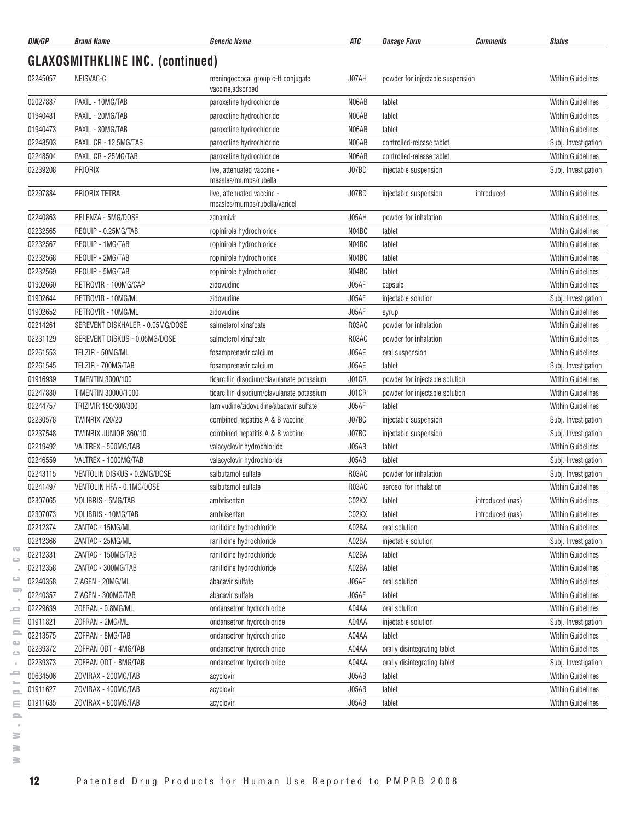| DIN/GP   | <b>Brand Name</b>                       | <b>Generic Name</b>                                         | ATC   | <b>Dosage Form</b>               | <b>Comments</b>  | <b>Status</b>            |
|----------|-----------------------------------------|-------------------------------------------------------------|-------|----------------------------------|------------------|--------------------------|
|          | <b>GLAXOSMITHKLINE INC. (continued)</b> |                                                             |       |                                  |                  |                          |
| 02245057 | NEISVAC-C                               | meningoccocal group c-tt conjugate<br>vaccine,adsorbed      | J07AH | powder for injectable suspension |                  | <b>Within Guidelines</b> |
| 02027887 | PAXIL - 10MG/TAB                        | paroxetine hydrochloride                                    | N06AB | tablet                           |                  | <b>Within Guidelines</b> |
| 01940481 | PAXIL - 20MG/TAB                        | paroxetine hydrochloride                                    | N06AB | tablet                           |                  | <b>Within Guidelines</b> |
| 01940473 | PAXIL - 30MG/TAB                        | paroxetine hydrochloride                                    | N06AB | tablet                           |                  | <b>Within Guidelines</b> |
| 02248503 | PAXIL CR - 12.5MG/TAB                   | paroxetine hydrochloride                                    | N06AB | controlled-release tablet        |                  | Subj. Investigation      |
| 02248504 | PAXIL CR - 25MG/TAB                     | paroxetine hydrochloride                                    | N06AB | controlled-release tablet        |                  | <b>Within Guidelines</b> |
| 02239208 | PRIORIX                                 | live, attenuated vaccine -<br>measles/mumps/rubella         | J07BD | injectable suspension            |                  | Subj. Investigation      |
| 02297884 | PRIORIX TETRA                           | live, attenuated vaccine -<br>measles/mumps/rubella/varicel | J07BD | injectable suspension            | introduced       | <b>Within Guidelines</b> |
| 02240863 | RELENZA - 5MG/DOSE                      | zanamivir                                                   | J05AH | powder for inhalation            |                  | <b>Within Guidelines</b> |
| 02232565 | REQUIP - 0.25MG/TAB                     | ropinirole hydrochloride                                    | N04BC | tablet                           |                  | <b>Within Guidelines</b> |
| 02232567 | REQUIP - 1MG/TAB                        | ropinirole hydrochloride                                    | N04BC | tablet                           |                  | <b>Within Guidelines</b> |
| 02232568 | REQUIP - 2MG/TAB                        | ropinirole hydrochloride                                    | N04BC | tablet                           |                  | <b>Within Guidelines</b> |
| 02232569 | REQUIP - 5MG/TAB                        | ropinirole hydrochloride                                    | N04BC | tablet                           |                  | <b>Within Guidelines</b> |
| 01902660 | RETROVIR - 100MG/CAP                    | zidovudine                                                  | J05AF | capsule                          |                  | <b>Within Guidelines</b> |
| 01902644 | RETROVIR - 10MG/ML                      | zidovudine                                                  | J05AF | injectable solution              |                  | Subj. Investigation      |
| 01902652 | RETROVIR - 10MG/ML                      | zidovudine                                                  | J05AF | syrup                            |                  | <b>Within Guidelines</b> |
| 02214261 | SEREVENT DISKHALER - 0.05MG/DOSE        | salmeterol xinafoate                                        | R03AC | powder for inhalation            |                  | <b>Within Guidelines</b> |
| 02231129 | SEREVENT DISKUS - 0.05MG/DOSE           | salmeterol xinafoate                                        | R03AC | powder for inhalation            |                  | <b>Within Guidelines</b> |
| 02261553 | TELZIR - 50MG/ML                        | fosamprenavir calcium                                       | J05AE | oral suspension                  |                  | <b>Within Guidelines</b> |
| 02261545 | TELZIR - 700MG/TAB                      | fosamprenavir calcium                                       | J05AE | tablet                           |                  | Subj. Investigation      |
| 01916939 | <b>TIMENTIN 3000/100</b>                | ticarcillin disodium/clavulanate potassium                  | J01CR | powder for injectable solution   |                  | <b>Within Guidelines</b> |
| 02247880 | TIMENTIN 30000/1000                     | ticarcillin disodium/clavulanate potassium                  | J01CR | powder for injectable solution   |                  | <b>Within Guidelines</b> |
| 02244757 | TRIZIVIR 150/300/300                    | lamivudine/zidovudine/abacavir sulfate                      | J05AF | tablet                           |                  | <b>Within Guidelines</b> |
| 02230578 | <b>TWINRIX 720/20</b>                   | combined hepatitis A & B vaccine                            | J07BC | injectable suspension            |                  | Subj. Investigation      |
| 02237548 | TWINRIX JUNIOR 360/10                   | combined hepatitis A & B vaccine                            | J07BC | injectable suspension            |                  | Subj. Investigation      |
| 02219492 | VALTREX - 500MG/TAB                     | valacyclovir hydrochloride                                  | J05AB | tablet                           |                  | <b>Within Guidelines</b> |
| 02246559 | VALTREX - 1000MG/TAB                    | valacyclovir hydrochloride                                  | J05AB | tablet                           |                  | Subj. Investigation      |
| 02243115 | VENTOLIN DISKUS - 0.2MG/DOSE            | salbutamol sulfate                                          | R03AC | powder for inhalation            |                  | Subj. Investigation      |
| 02241497 | VENTOLIN HFA - 0.1MG/DOSE               | salbutamol sulfate                                          | R03AC | aerosol for inhalation           |                  | <b>Within Guidelines</b> |
| 02307065 | VOLIBRIS - 5MG/TAB                      | ambrisentan                                                 | C02KX | tablet                           | introduced (nas) | Within Guidelines        |
| 02307073 | VOLIBRIS - 10MG/TAB                     | ambrisentan                                                 | C02KX | tablet                           | introduced (nas) | Within Guidelines        |
| 02212374 | ZANTAC - 15MG/ML                        | ranitidine hydrochloride                                    | A02BA | oral solution                    |                  | Within Guidelines        |
| 02212366 | ZANTAC - 25MG/ML                        | ranitidine hydrochloride                                    | A02BA | injectable solution              |                  | Subj. Investigation      |
| 02212331 | ZANTAC - 150MG/TAB                      | ranitidine hydrochloride                                    | A02BA | tablet                           |                  | <b>Within Guidelines</b> |
| 02212358 | ZANTAC - 300MG/TAB                      | ranitidine hydrochloride                                    | A02BA | tablet                           |                  | Within Guidelines        |
| 02240358 | ZIAGEN - 20MG/ML                        | abacavir sulfate                                            | J05AF | oral solution                    |                  | Within Guidelines        |
| 02240357 | ZIAGEN - 300MG/TAB                      | abacavir sulfate                                            | J05AF | tablet                           |                  | <b>Within Guidelines</b> |
| 02229639 | ZOFRAN - 0.8MG/ML                       | ondansetron hydrochloride                                   | A04AA | oral solution                    |                  | Within Guidelines        |
| 01911821 | ZOFRAN - 2MG/ML                         | ondansetron hydrochloride                                   | A04AA | injectable solution              |                  | Subj. Investigation      |
| 02213575 | ZOFRAN - 8MG/TAB                        | ondansetron hydrochloride                                   | A04AA | tablet                           |                  | Within Guidelines        |
| 02239372 | ZOFRAN ODT - 4MG/TAB                    | ondansetron hydrochloride                                   | A04AA | orally disintegrating tablet     |                  | <b>Within Guidelines</b> |
| 02239373 | ZOFRAN ODT - 8MG/TAB                    | ondansetron hydrochloride                                   | A04AA | orally disintegrating tablet     |                  | Subj. Investigation      |
| 00634506 | ZOVIRAX - 200MG/TAB                     | acyclovir                                                   | J05AB | tablet                           |                  | Within Guidelines        |
| 01911627 | ZOVIRAX - 400MG/TAB                     | acyclovir                                                   | J05AB | tablet                           |                  | <b>Within Guidelines</b> |
| 01911635 | ZOVIRAX - 800MG/TAB                     | acyclovir                                                   | J05AB | tablet                           |                  | Within Guidelines        |
|          |                                         |                                                             |       |                                  |                  |                          |

 $\geq$  $\geq$ 

 $\overline{\infty}$  $\circ$  $\sim$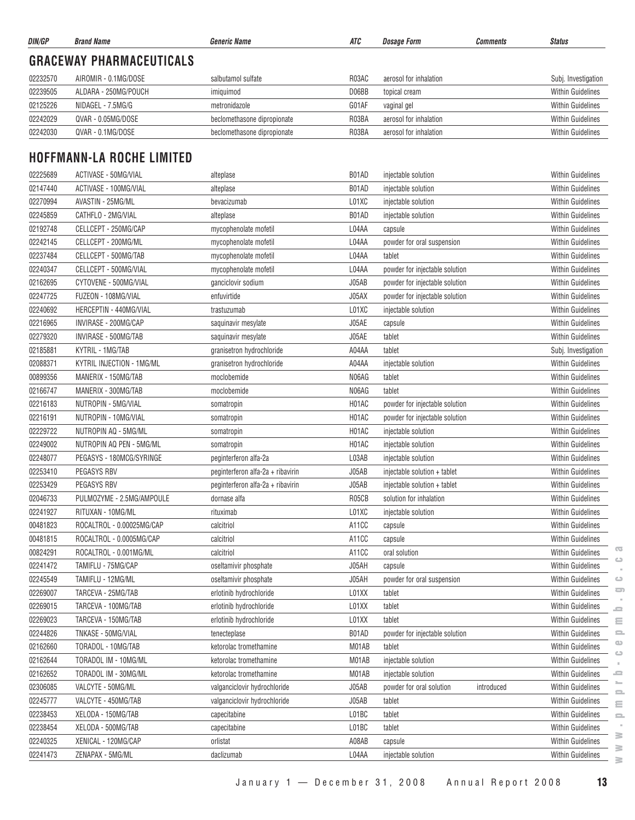| DIN/GP   | <b>Brand Name</b>                | <b>Generic Name</b>               | ATC   | <b>Dosage Form</b>             | <b>Comments</b> | <b>Status</b>                             |
|----------|----------------------------------|-----------------------------------|-------|--------------------------------|-----------------|-------------------------------------------|
|          | <b>GRACEWAY PHARMACEUTICALS</b>  |                                   |       |                                |                 |                                           |
| 02232570 | AIROMIR - 0.1MG/DOSE             | salbutamol sulfate                | R03AC | aerosol for inhalation         |                 | Subj. Investigation                       |
| 02239505 | ALDARA - 250MG/POUCH             | imiguimod                         | D06BB | topical cream                  |                 | <b>Within Guidelines</b>                  |
| 02125226 | NIDAGEL - 7.5MG/G                | metronidazole                     | G01AF | vaginal gel                    |                 | <b>Within Guidelines</b>                  |
| 02242029 | QVAR - 0.05MG/DOSE               | beclomethasone dipropionate       | R03BA | aerosol for inhalation         |                 | <b>Within Guidelines</b>                  |
| 02242030 | QVAR - 0.1MG/DOSE                | beclomethasone dipropionate       | R03BA | aerosol for inhalation         |                 | Within Guidelines                         |
|          | <b>HOFFMANN-LA ROCHE LIMITED</b> |                                   |       |                                |                 |                                           |
| 02225689 | ACTIVASE - 50MG/VIAL             | alteplase                         | B01AD | injectable solution            |                 | <b>Within Guidelines</b>                  |
| 02147440 | ACTIVASE - 100MG/VIAL            | alteplase                         | B01AD | injectable solution            |                 | <b>Within Guidelines</b>                  |
| 02270994 | AVASTIN - 25MG/ML                | bevacizumab                       | L01XC | injectable solution            |                 | <b>Within Guidelines</b>                  |
| 02245859 | CATHFLO - 2MG/VIAL               | alteplase                         | B01AD | injectable solution            |                 | <b>Within Guidelines</b>                  |
| 02192748 | CELLCEPT - 250MG/CAP             | mycophenolate mofetil             | L04AA | capsule                        |                 | <b>Within Guidelines</b>                  |
| 02242145 | CELLCEPT - 200MG/ML              | mycophenolate mofetil             | L04AA | powder for oral suspension     |                 | <b>Within Guidelines</b>                  |
| 02237484 | CELLCEPT - 500MG/TAB             | mycophenolate mofetil             | L04AA | tablet                         |                 | <b>Within Guidelines</b>                  |
| 02240347 | CELLCEPT - 500MG/VIAL            | mycophenolate mofetil             | L04AA | powder for injectable solution |                 | <b>Within Guidelines</b>                  |
| 02162695 | CYTOVENE - 500MG/VIAL            | ganciclovir sodium                | J05AB | powder for injectable solution |                 | <b>Within Guidelines</b>                  |
| 02247725 | FUZEON - 108MG/VIAL              | enfuvirtide                       | J05AX | powder for injectable solution |                 | <b>Within Guidelines</b>                  |
| 02240692 | HERCEPTIN - 440MG/VIAL           | trastuzumab                       | L01XC | injectable solution            |                 | <b>Within Guidelines</b>                  |
| 02216965 | INVIRASE - 200MG/CAP             | saquinavir mesylate               | J05AE | capsule                        |                 | <b>Within Guidelines</b>                  |
| 02279320 | INVIRASE - 500MG/TAB             | saquinavir mesylate               | J05AE | tablet                         |                 | <b>Within Guidelines</b>                  |
| 02185881 | KYTRIL - 1MG/TAB                 | granisetron hydrochloride         | A04AA | tablet                         |                 | Subj. Investigation                       |
| 02088371 | KYTRIL INJECTION - 1MG/ML        | granisetron hydrochloride         | A04AA | injectable solution            |                 | <b>Within Guidelines</b>                  |
| 00899356 | MANERIX - 150MG/TAB              | moclobemide                       | N06AG | tablet                         |                 | <b>Within Guidelines</b>                  |
| 02166747 | MANERIX - 300MG/TAB              | moclobemide                       | N06AG | tablet                         |                 | <b>Within Guidelines</b>                  |
| 02216183 | NUTROPIN - 5MG/VIAL              | somatropin                        | H01AC | powder for injectable solution |                 | <b>Within Guidelines</b>                  |
| 02216191 | NUTROPIN - 10MG/VIAL             | somatropin                        | H01AC | powder for injectable solution |                 | <b>Within Guidelines</b>                  |
| 02229722 | NUTROPIN AQ - 5MG/ML             | somatropin                        | H01AC | injectable solution            |                 | <b>Within Guidelines</b>                  |
| 02249002 | NUTROPIN AQ PEN - 5MG/ML         | somatropin                        | H01AC | injectable solution            |                 | <b>Within Guidelines</b>                  |
| 02248077 | PEGASYS - 180MCG/SYRINGE         | peginterferon alfa-2a             | L03AB | injectable solution            |                 | <b>Within Guidelines</b>                  |
| 02253410 | PEGASYS RBV                      | peginterferon alfa-2a + ribavirin | J05AB | injectable solution + tablet   |                 | <b>Within Guidelines</b>                  |
| 02253429 | PEGASYS RBV                      | peginterferon alfa-2a + ribavirin | J05AB | injectable solution + tablet   |                 | <b>Within Guidelines</b>                  |
| 02046733 | PULMOZYME - 2.5MG/AMPOULE        | dornase alfa                      | R05CB | solution for inhalation        |                 | Within Guidelines                         |
| 02241927 | RITUXAN - 10MG/ML                | rituximab                         | L01XC | injectable solution            |                 | <b>Within Guidelines</b>                  |
| 00481823 | ROCALTROL - 0.00025MG/CAP        | calcitriol                        | A11CC | capsule                        |                 | Within Guidelines                         |
| 00481815 | ROCALTROL - 0.0005MG/CAP         | calcitriol                        | A11CC | capsule                        |                 | Within Guidelines                         |
| 00824291 | ROCALTROL - 0.001MG/ML           | calcitriol                        | A11CC | oral solution                  |                 | G<br><b>Within Guidelines</b>             |
| 02241472 | TAMIFLU - 75MG/CAP               | oseltamivir phosphate             | J05AH | capsule                        |                 | $\circ$<br><b>Within Guidelines</b>       |
| 02245549 | TAMIFLU - 12MG/ML                | oseltamivir phosphate             | J05AH | powder for oral suspension     |                 | Within Guidelines<br>$\circ$              |
| 02269007 | TARCEVA - 25MG/TAB               | erlotinib hydrochloride           | L01XX | tablet                         |                 | $\Box$<br>Within Guidelines               |
| 02269015 | TARCEVA - 100MG/TAB              | erlotinib hydrochloride           | L01XX | tablet                         |                 | Within Guidelines<br>د                    |
| 02269023 | TARCEVA - 150MG/TAB              | erlotinib hydrochloride           | L01XX | tablet                         |                 | Within Guidelines<br>$\equiv$             |
| 02244826 | TNKASE - 50MG/VIAL               | tenecteplase                      | B01AD | powder for injectable solution |                 | <b>Within Guidelines</b><br>으             |
| 02162660 | TORADOL - 10MG/TAB               | ketorolac tromethamine            | M01AB | tablet                         |                 | $\circ$<br><b>Within Guidelines</b>       |
| 02162644 | TORADOL IM - 10MG/ML             | ketorolac tromethamine            | M01AB | injectable solution            |                 | $\Rightarrow$<br>Within Guidelines        |
| 02162652 | TORADOL IM - 30MG/ML             | ketorolac tromethamine            | M01AB | injectable solution            |                 | ᆖ<br><b>Within Guidelines</b>             |
| 02306085 | VALCYTE - 50MG/ML                | valganciclovir hydrochloride      | J05AB | powder for oral solution       | introduced      | r.<br>Within Guidelines                   |
| 02245777 | VALCYTE - 450MG/TAB              | valganciclovir hydrochloride      | J05AB | tablet                         |                 | $\equiv$<br>Within Guidelines             |
| 02238453 | XELODA - 150MG/TAB               | capecitabine                      | L01BC | tablet                         |                 | ≣<br><b>Within Guidelines</b><br>$\equiv$ |
| 02238454 | XELODA - 500MG/TAB               | capecitabine                      | L01BC | tablet                         |                 | <b>Within Guidelines</b>                  |
| 02240325 | XENICAL - 120MG/CAP              | orlistat                          | A08AB | capsule                        |                 | ≧<br>Within Guidelines                    |
| 02241473 | ZENAPAX - 5MG/ML                 | daclizumab                        | L04AA | injectable solution            |                 | $\geq$<br>Within Guidelines               |
|          |                                  |                                   |       |                                |                 | $\approx$                                 |

 $\geq$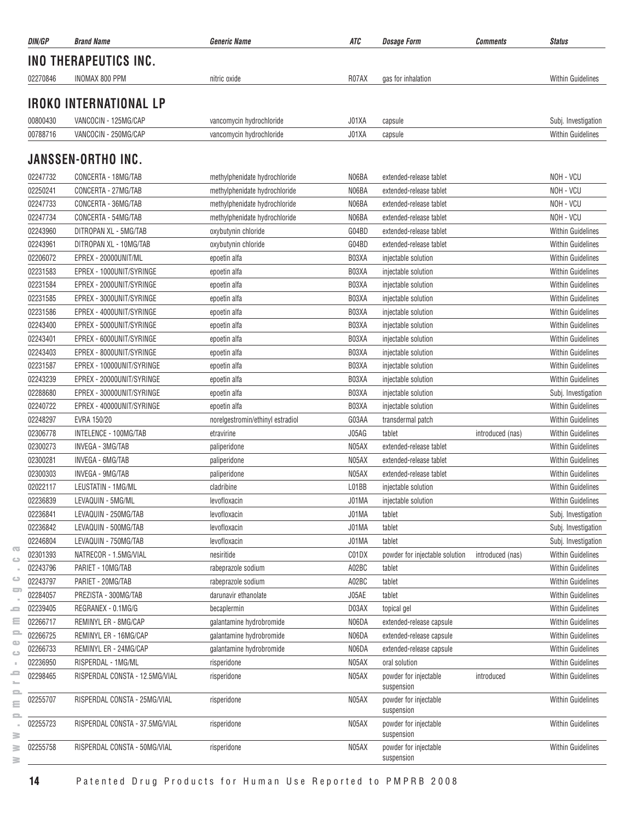| DIN/GP   | <b>Brand Name</b>              | <b>Generic Name</b>              | ATC   | <b>Dosage Form</b>                  | <b>Comments</b>  | <b>Status</b>            |
|----------|--------------------------------|----------------------------------|-------|-------------------------------------|------------------|--------------------------|
|          | INO THERAPEUTICS INC.          |                                  |       |                                     |                  |                          |
| 02270846 | INOMAX 800 PPM                 | nitric oxide                     | R07AX | gas for inhalation                  |                  | <b>Within Guidelines</b> |
|          | <b>IROKO INTERNATIONAL LP</b>  |                                  |       |                                     |                  |                          |
|          |                                |                                  |       |                                     |                  |                          |
| 00800430 | VANCOCIN - 125MG/CAP           | vancomycin hydrochloride         | J01XA | capsule                             |                  | Subj. Investigation      |
| 00788716 | VANCOCIN - 250MG/CAP           | vancomycin hydrochloride         | J01XA | capsule                             |                  | <b>Within Guidelines</b> |
|          | <b>JANSSEN-ORTHO INC.</b>      |                                  |       |                                     |                  |                          |
| 02247732 | CONCERTA - 18MG/TAB            | methylphenidate hydrochloride    | N06BA | extended-release tablet             |                  | NOH - VCU                |
| 02250241 | CONCERTA - 27MG/TAB            | methylphenidate hydrochloride    | N06BA | extended-release tablet             |                  | NOH - VCU                |
| 02247733 | CONCERTA - 36MG/TAB            | methylphenidate hydrochloride    | N06BA | extended-release tablet             |                  | NOH - VCU                |
| 02247734 | CONCERTA - 54MG/TAB            | methylphenidate hydrochloride    | N06BA | extended-release tablet             |                  | NOH - VCU                |
| 02243960 | DITROPAN XL - 5MG/TAB          | oxybutynin chloride              | G04BD | extended-release tablet             |                  | <b>Within Guidelines</b> |
| 02243961 | DITROPAN XL - 10MG/TAB         | oxybutynin chloride              | G04BD | extended-release tablet             |                  | <b>Within Guidelines</b> |
| 02206072 | EPREX - 20000UNIT/ML           | epoetin alfa                     | B03XA | injectable solution                 |                  | <b>Within Guidelines</b> |
| 02231583 | EPREX - 1000UNIT/SYRINGE       | epoetin alfa                     | B03XA | injectable solution                 |                  | <b>Within Guidelines</b> |
| 02231584 | EPREX - 2000UNIT/SYRINGE       | epoetin alfa                     | B03XA | injectable solution                 |                  | <b>Within Guidelines</b> |
| 02231585 | EPREX - 3000UNIT/SYRINGE       | epoetin alfa                     | B03XA | injectable solution                 |                  | <b>Within Guidelines</b> |
| 02231586 | EPREX - 4000UNIT/SYRINGE       | epoetin alfa                     | B03XA | injectable solution                 |                  | <b>Within Guidelines</b> |
| 02243400 | EPREX - 5000UNIT/SYRINGE       | epoetin alfa                     | B03XA | injectable solution                 |                  | <b>Within Guidelines</b> |
| 02243401 | EPREX - 6000UNIT/SYRINGE       | epoetin alfa                     | B03XA | injectable solution                 |                  | <b>Within Guidelines</b> |
| 02243403 | EPREX - 8000UNIT/SYRINGE       | epoetin alfa                     | B03XA | injectable solution                 |                  | <b>Within Guidelines</b> |
| 02231587 | EPREX - 10000UNIT/SYRINGE      | epoetin alfa                     | B03XA | injectable solution                 |                  | <b>Within Guidelines</b> |
| 02243239 | EPREX - 20000UNIT/SYRINGE      | epoetin alfa                     | B03XA | injectable solution                 |                  | <b>Within Guidelines</b> |
| 02288680 | EPREX - 30000UNIT/SYRINGE      | epoetin alfa                     | B03XA | injectable solution                 |                  | Subj. Investigation      |
| 02240722 | EPREX - 40000UNIT/SYRINGE      | epoetin alfa                     | B03XA | injectable solution                 |                  | Within Guidelines        |
| 02248297 | EVRA 150/20                    | norelgestromin/ethinyl estradiol | G03AA | transdermal patch                   |                  | <b>Within Guidelines</b> |
| 02306778 | INTELENCE - 100MG/TAB          | etravirine                       | J05AG | tablet                              | introduced (nas) | <b>Within Guidelines</b> |
| 02300273 | INVEGA - 3MG/TAB               | paliperidone                     | N05AX | extended-release tablet             |                  | <b>Within Guidelines</b> |
| 02300281 | INVEGA - 6MG/TAB               | paliperidone                     | N05AX | extended-release tablet             |                  | <b>Within Guidelines</b> |
| 02300303 | INVEGA - 9MG/TAB               | paliperidone                     | N05AX | extended-release tablet             |                  | <b>Within Guidelines</b> |
| 02022117 | LEUSTATIN - 1MG/ML             | cladribine                       | L01BB | injectable solution                 |                  | <b>Within Guidelines</b> |
| 02236839 | LEVAQUIN - 5MG/ML              | levofloxacin                     | J01MA | injectable solution                 |                  | <b>Within Guidelines</b> |
| 02236841 | LEVAQUIN - 250MG/TAB           | levofloxacin                     | J01MA | tablet                              |                  | Subj. Investigation      |
| 02236842 | LEVAQUIN - 500MG/TAB           | levofloxacin                     | J01MA | tablet                              |                  | Subj. Investigation      |
| 02246804 | LEVAQUIN - 750MG/TAB           | levofloxacin                     | J01MA | tablet                              |                  | Subj. Investigation      |
| 02301393 | NATRECOR - 1.5MG/VIAL          | nesiritide                       | C01DX | powder for injectable solution      | introduced (nas) | <b>Within Guidelines</b> |
| 02243796 | PARIET - 10MG/TAB              | rabeprazole sodium               | A02BC | tablet                              |                  | <b>Within Guidelines</b> |
| 02243797 | PARIET - 20MG/TAB              | rabeprazole sodium               | A02BC | tablet                              |                  | Within Guidelines        |
| 02284057 | PREZISTA - 300MG/TAB           | darunavir ethanolate             | J05AE | tablet                              |                  | <b>Within Guidelines</b> |
| 02239405 | REGRANEX - 0.1MG/G             | becaplermin                      | D03AX | topical gel                         |                  | <b>Within Guidelines</b> |
| 02266717 | REMINYL ER - 8MG/CAP           | galantamine hydrobromide         | N06DA | extended-release capsule            |                  | <b>Within Guidelines</b> |
| 02266725 | REMINYL ER - 16MG/CAP          | galantamine hydrobromide         | N06DA | extended-release capsule            |                  | <b>Within Guidelines</b> |
| 02266733 | REMINYL ER - 24MG/CAP          | galantamine hydrobromide         | N06DA | extended-release capsule            |                  | Within Guidelines        |
| 02236950 | RISPERDAL - 1MG/ML             | risperidone                      | N05AX | oral solution                       |                  | <b>Within Guidelines</b> |
| 02298465 | RISPERDAL CONSTA - 12.5MG/VIAL | risperidone                      | N05AX | powder for injectable<br>suspension | introduced       | <b>Within Guidelines</b> |
| 02255707 | RISPERDAL CONSTA - 25MG/VIAL   | risperidone                      | N05AX | powder for injectable<br>suspension |                  | Within Guidelines        |
| 02255723 | RISPERDAL CONSTA - 37.5MG/VIAL | risperidone                      | N05AX | powder for injectable<br>suspension |                  | <b>Within Guidelines</b> |
| 02255758 | RISPERDAL CONSTA - 50MG/VIAL   | risperidone                      | N05AX | powder for injectable<br>suspension |                  | <b>Within Guidelines</b> |

 $\overline{\infty}$  $\circ$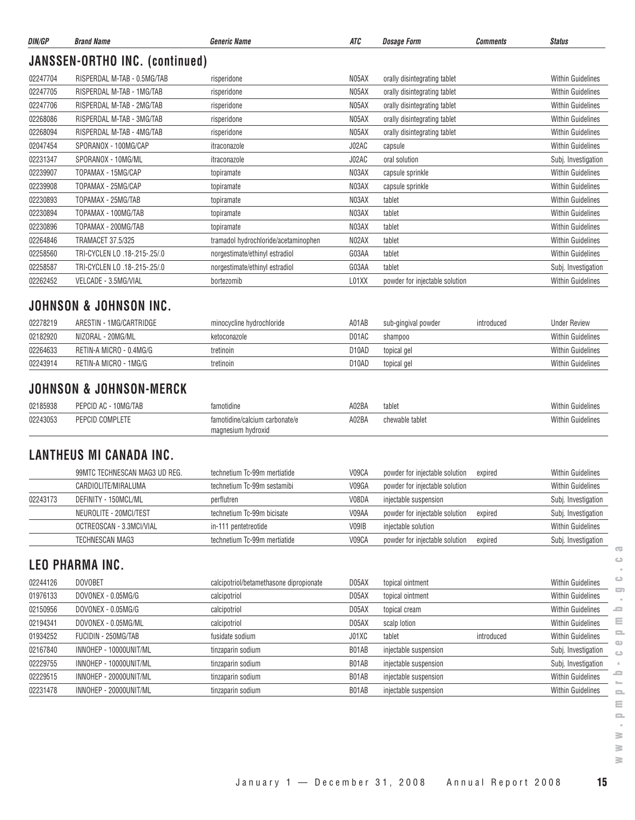| DIN/GP   | <b>Brand Name</b>                                 | Generic Name                                         | ATC                | <b>Dosage Form</b>             | <b>Comments</b> | <b>Status</b>            |
|----------|---------------------------------------------------|------------------------------------------------------|--------------------|--------------------------------|-----------------|--------------------------|
|          | <b>JANSSEN-ORTHO INC. (continued)</b>             |                                                      |                    |                                |                 |                          |
| 02247704 | RISPERDAL M-TAB - 0.5MG/TAB                       | risperidone                                          | N05AX              | orally disintegrating tablet   |                 | <b>Within Guidelines</b> |
| 02247705 | RISPERDAL M-TAB - 1MG/TAB                         | risperidone                                          | N05AX              | orally disintegrating tablet   |                 | <b>Within Guidelines</b> |
| 02247706 | RISPERDAL M-TAB - 2MG/TAB                         | risperidone                                          | N05AX              | orally disintegrating tablet   |                 | <b>Within Guidelines</b> |
| 02268086 | RISPERDAL M-TAB - 3MG/TAB                         | risperidone                                          | N05AX              | orally disintegrating tablet   |                 | <b>Within Guidelines</b> |
| 02268094 | RISPERDAL M-TAB - 4MG/TAB                         | risperidone                                          | N05AX              | orally disintegrating tablet   |                 | <b>Within Guidelines</b> |
| 02047454 | SPORANOX - 100MG/CAP                              | itraconazole                                         | J02AC              | capsule                        |                 | <b>Within Guidelines</b> |
| 02231347 | SPORANOX - 10MG/ML                                | itraconazole                                         | J02AC              | oral solution                  |                 | Subj. Investigation      |
| 02239907 | TOPAMAX - 15MG/CAP                                | topiramate                                           | N03AX              | capsule sprinkle               |                 | <b>Within Guidelines</b> |
| 02239908 | TOPAMAX - 25MG/CAP                                | topiramate                                           | N03AX              | capsule sprinkle               |                 | <b>Within Guidelines</b> |
| 02230893 | TOPAMAX - 25MG/TAB                                | topiramate                                           | N03AX              | tablet                         |                 | <b>Within Guidelines</b> |
| 02230894 | TOPAMAX - 100MG/TAB                               | topiramate                                           | N03AX              | tablet                         |                 | <b>Within Guidelines</b> |
| 02230896 | TOPAMAX - 200MG/TAB                               | topiramate                                           | N03AX              | tablet                         |                 | <b>Within Guidelines</b> |
| 02264846 | <b>TRAMACET 37.5/325</b>                          | tramadol hydrochloride/acetaminophen                 | N02AX              | tablet                         |                 | <b>Within Guidelines</b> |
| 02258560 | TRI-CYCLEN LO .18-.215-.25/.0                     | norgestimate/ethinyl estradiol                       | G03AA              | tablet                         |                 | <b>Within Guidelines</b> |
| 02258587 | TRI-CYCLEN LO .18-.215-.25/.0                     | norgestimate/ethinyl estradiol                       | G03AA              | tablet                         |                 | Subj. Investigation      |
| 02262452 | VELCADE - 3.5MG/VIAL                              | bortezomib                                           | L01XX              | powder for injectable solution |                 | <b>Within Guidelines</b> |
| 02278219 | JOHNSON & JOHNSON INC.<br>ARESTIN - 1MG/CARTRIDGE | minocycline hydrochloride                            | A01AB              | sub-gingival powder            | introduced      | <b>Under Review</b>      |
| 02182920 | NIZORAL - 20MG/ML                                 | ketoconazole                                         | D01AC              | shampoo                        |                 | <b>Within Guidelines</b> |
| 02264633 | RETIN-A MICRO - 0.4MG/G                           | tretinoin                                            | D <sub>10</sub> AD | topical gel                    |                 | <b>Within Guidelines</b> |
| 02243914 | RETIN-A MICRO - 1MG/G                             | tretinoin                                            | D <sub>10</sub> AD | topical gel                    |                 | Within Guidelines        |
|          | <b>JOHNSON &amp; JOHNSON-MERCK</b>                |                                                      |                    |                                |                 |                          |
| 02185938 | PEPCID AC - 10MG/TAB                              | famotidine                                           | A02BA              | tablet                         |                 | <b>Within Guidelines</b> |
| 02243053 | PEPCID COMPLETE                                   | famotidine/calcium carbonate/e<br>magnesium hydroxid | A02BA              | chewable tablet                |                 | <b>Within Guidelines</b> |
|          | <b>LANTHEUS MI CANADA INC.</b>                    |                                                      |                    |                                |                 |                          |
|          | 99MTC TECHNESCAN MAG3 UD REG.                     | technetium Tc-99m mertiatide                         | V09CA              | powder for injectable solution | expired         | <b>Within Guidelines</b> |
|          | CARDIOLITE/MIRALUMA                               | technetium Tc-99m sestamibi                          | V09GA              | powder for injectable solution |                 | <b>Within Guidelines</b> |
| 02243173 | DEFINITY - 150MCL/ML                              | perflutren                                           | V08DA              | injectable suspension          |                 | Subj. Investigation      |
|          | NEUROLITE - 20MCI/TEST                            | technetium Tc-99m bicisate                           | V09AA              | powder for injectable solution | expired         | Subj. Investigation      |
|          | OCTREOSCAN - 3.3MCI/VIAL                          | in-111 pentetreotide                                 | V09IB              | injectable solution            |                 | Within Guidelines        |
|          | TECHNESCAN MAG3                                   | technetium Tc-99m mertiatide                         | V09CA              | powder for injectable solution | expired         | Subj. Investigation      |
|          |                                                   |                                                      |                    |                                |                 |                          |
|          | <b>LEO PHARMA INC.</b>                            |                                                      |                    |                                |                 |                          |
|          |                                                   |                                                      |                    |                                |                 |                          |

| 02244126 | <b>DOVOBET</b>         | calcipotriol/betamethasone dipropionate | D05AX | topical ointment      |            | <b>Within Guidelines</b> | $\circ$      |
|----------|------------------------|-----------------------------------------|-------|-----------------------|------------|--------------------------|--------------|
| 01976133 | DOVONEX - 0.05MG/G     | calcipotriol                            | D05AX | topical ointment      |            | <b>Within Guidelines</b> | 57           |
| 02150956 | DOVONEX - 0.05MG/G     | calcipotriol                            | D05AX | topical cream         |            | <b>Within Guidelines</b> | <b>SP</b>    |
| 02194341 | DOVONEX - 0.05MG/ML    | calcipotriol                            | D05AX | scalp lotion          |            | <b>Within Guidelines</b> | Ξ            |
| 01934252 | FUCIDIN - 250MG/TAB    | fusidate sodium                         | J01XC | tablet                | introduced | <b>Within Guidelines</b> | $\equiv$     |
| 02167840 | INNOHEP - 10000UNIT/ML | tinzaparin sodium                       | B01AB | injectable suspension |            | Subj. Investigation      | ല<br>$\circ$ |
| 02229755 | INNOHEP - 10000UNIT/ML | tinzaparin sodium                       | B01AB | injectable suspension |            | Subj. Investigation      |              |
| 02229515 | INNOHEP - 20000UNIT/ML | tinzaparin sodium                       | B01AB | injectable suspension |            | <b>Within Guidelines</b> | a m          |
| 02231478 | INNOHEP - 20000UNIT/ML | tinzaparin sodium                       | B01AB | injectable suspension |            | <b>Within Guidelines</b> | $\equiv$     |

 $\geq$ 

 $\sim$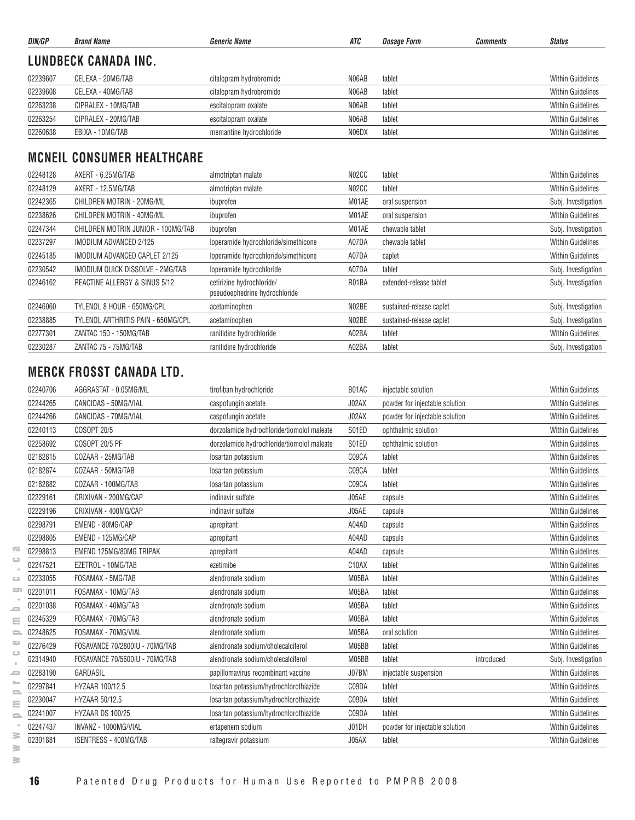| DIN/GP   | <b>Brand Name</b>    | <b>Generic Name</b>     | ATC   | <i><b>Dosage Form</b></i> | Comments | <b>Status</b>            |
|----------|----------------------|-------------------------|-------|---------------------------|----------|--------------------------|
|          | LUNDBECK CANADA INC. |                         |       |                           |          |                          |
| 02239607 | CELEXA - 20MG/TAB    | citalopram hydrobromide | N06AB | tablet                    |          | <b>Within Guidelines</b> |
| 02239608 | CELEXA - 40MG/TAB    | citalopram hydrobromide | N06AB | tablet                    |          | <b>Within Guidelines</b> |
| 02263238 | CIPRALEX - 10MG/TAB  | escitalopram oxalate    | N06AB | tablet                    |          | <b>Within Guidelines</b> |
| 02263254 | CIPRALEX - 20MG/TAB  | escitalopram oxalate    | N06AB | tablet                    |          | <b>Within Guidelines</b> |
| 02260638 | EBIXA - 10MG/TAB     | memantine hydrochloride | N06DX | tablet                    |          | <b>Within Guidelines</b> |

# **MCNEIL CONSUMER HEALTHCARE**

| 02248128 | AXERT - 6.25MG/TAB                 | almotriptan malate                                         | NO <sub>2</sub> CC | tablet                   | <b>Within Guidelines</b> |
|----------|------------------------------------|------------------------------------------------------------|--------------------|--------------------------|--------------------------|
| 02248129 | AXERT - 12.5MG/TAB                 | almotriptan malate                                         | NO <sub>2</sub> CC | tablet                   | <b>Within Guidelines</b> |
| 02242365 | CHILDREN MOTRIN - 20MG/ML          | ibuprofen                                                  | M01AE              | oral suspension          | Subj. Investigation      |
| 02238626 | CHILDREN MOTRIN - 40MG/ML          | ibuprofen                                                  | M01AE              | oral suspension          | <b>Within Guidelines</b> |
| 02247344 | CHILDREN MOTRIN JUNIOR - 100MG/TAB | ibuprofen                                                  | M01AE              | chewable tablet          | Subj. Investigation      |
| 02237297 | IMODIUM ADVANCED 2/125             | loperamide hydrochloride/simethicone                       | A07DA              | chewable tablet          | <b>Within Guidelines</b> |
| 02245185 | IMODIUM ADVANCED CAPLET 2/125      | loperamide hydrochloride/simethicone                       | A07DA              | caplet                   | <b>Within Guidelines</b> |
| 02230542 | IMODIUM QUICK DISSOLVE - 2MG/TAB   | loperamide hydrochloride                                   | A07DA              | tablet                   | Subj. Investigation      |
| 02246162 | REACTINE ALLERGY & SINUS 5/12      | cetirizine hydrochloride/<br>pseudoephedrine hydrochloride | R01BA              | extended-release tablet  | Subj. Investigation      |
| 02246060 | TYLENOL 8 HOUR - 650MG/CPL         | acetaminophen                                              | N02BE              | sustained-release caplet | Subj. Investigation      |
| 02238885 | TYLENOL ARTHRITIS PAIN - 650MG/CPL | acetaminophen                                              | N02BE              | sustained-release caplet | Subj. Investigation      |
| 02277301 | ZANTAC 150 - 150MG/TAB             | ranitidine hydrochloride                                   | A02BA              | tablet                   | <b>Within Guidelines</b> |
| 02230287 | ZANTAC 75 - 75MG/TAB               | ranitidine hydrochloride                                   | A02BA              | tablet                   | Subj. Investigation      |

## **MERCK FROSST CANADA LTD.**

|                          | 02240706 | AGGRASTAT - 0.05MG/ML          | tirofiban hydrochloride                    | B01AC              | injectable solution            |            | <b>Within Guidelines</b> |
|--------------------------|----------|--------------------------------|--------------------------------------------|--------------------|--------------------------------|------------|--------------------------|
|                          | 02244265 | CANCIDAS - 50MG/VIAL           | caspofungin acetate                        | J02AX              | powder for injectable solution |            | <b>Within Guidelines</b> |
|                          | 02244266 | CANCIDAS - 70MG/VIAL           | caspofungin acetate                        | J02AX              | powder for injectable solution |            | <b>Within Guidelines</b> |
|                          | 02240113 | COSOPT 20/5                    | dorzolamide hydrochloride/tiomolol maleate | S01ED              | ophthalmic solution            |            | <b>Within Guidelines</b> |
|                          | 02258692 | COSOPT 20/5 PF                 | dorzolamide hydrochloride/tiomolol maleate | S01ED              | ophthalmic solution            |            | <b>Within Guidelines</b> |
|                          | 02182815 | COZAAR - 25MG/TAB              | losartan potassium                         | C09CA              | tablet                         |            | <b>Within Guidelines</b> |
|                          | 02182874 | COZAAR - 50MG/TAB              | losartan potassium                         | C09CA              | tablet                         |            | <b>Within Guidelines</b> |
|                          | 02182882 | COZAAR - 100MG/TAB             | losartan potassium                         | C09CA              | tablet                         |            | <b>Within Guidelines</b> |
|                          | 02229161 | CRIXIVAN - 200MG/CAP           | indinavir sulfate                          | J05AE              | capsule                        |            | <b>Within Guidelines</b> |
|                          | 02229196 | CRIXIVAN - 400MG/CAP           | indinavir sulfate                          | J05AE              | capsule                        |            | <b>Within Guidelines</b> |
|                          | 02298791 | EMEND - 80MG/CAP               | aprepitant                                 | A04AD              | capsule                        |            | <b>Within Guidelines</b> |
|                          | 02298805 | EMEND - 125MG/CAP              | aprepitant                                 | A04AD              | capsule                        |            | <b>Within Guidelines</b> |
| $\overline{\mathbf{G}}$  | 02298813 | EMEND 125MG/80MG TRIPAK        | aprepitant                                 | A04AD              | capsule                        |            | <b>Within Guidelines</b> |
| $\bigcirc$               | 02247521 | EZETROL - 10MG/TAB             | ezetimibe                                  | C <sub>10</sub> AX | tablet                         |            | <b>Within Guidelines</b> |
| ت                        | 02233055 | FOSAMAX - 5MG/TAB              | alendronate sodium                         | M05BA              | tablet                         |            | <b>Within Guidelines</b> |
| 5                        | 02201011 | FOSAMAX - 10MG/TAB             | alendronate sodium                         | M05BA              | tablet                         |            | <b>Within Guidelines</b> |
| $\equiv$                 | 02201038 | FOSAMAX - 40MG/TAB             | alendronate sodium                         | M05BA              | tablet                         |            | <b>Within Guidelines</b> |
| Ξ                        | 02245329 | FOSAMAX - 70MG/TAB             | alendronate sodium                         | M05BA              | tablet                         |            | <b>Within Guidelines</b> |
| $\Rightarrow$            | 02248625 | FOSAMAX - 70MG/VIAL            | alendronate sodium                         | M05BA              | oral solution                  |            | <b>Within Guidelines</b> |
| $\bigcirc$<br>Ġ          | 02276429 | FOSAVANCE 70/2800IU - 70MG/TAB | alendronate sodium/cholecalciferol         | M05BB              | tablet                         |            | <b>Within Guidelines</b> |
| ×                        | 02314940 | FOSAVANCE 70/5600IU - 70MG/TAB | alendronate sodium/cholecalciferol         | M05BB              | tablet                         | introduced | Subj. Investigation      |
| $\overline{\phantom{a}}$ | 02283190 | GARDASIL                       | papillomavirus recombinant vaccine         | J07BM              | injectable suspension          |            | <b>Within Guidelines</b> |
| $\mathbb{Z}$<br>$\equiv$ | 02297841 | HYZAAR 100/12.5                | losartan potassium/hydrochlorothiazide     | C09DA              | tablet                         |            | <b>Within Guidelines</b> |
| Ξ                        | 02230047 | <b>HYZAAR 50/12.5</b>          | losartan potassium/hydrochlorothiazide     | C09DA              | tablet                         |            | <b>Within Guidelines</b> |
| $\Rightarrow$            | 02241007 | HYZAAR DS 100/25               | losartan potassium/hydrochlorothiazide     | C09DA              | tablet                         |            | <b>Within Guidelines</b> |
|                          | 02247437 | INVANZ - 1000MG/VIAL           | ertapenem sodium                           | J01DH              | powder for injectable solution |            | <b>Within Guidelines</b> |
| ≧                        | 02301881 | <b>ISENTRESS - 400MG/TAB</b>   | raltegravir potassium                      | J05AX              | tablet                         |            | <b>Within Guidelines</b> |
|                          |          |                                |                                            |                    |                                |            |                          |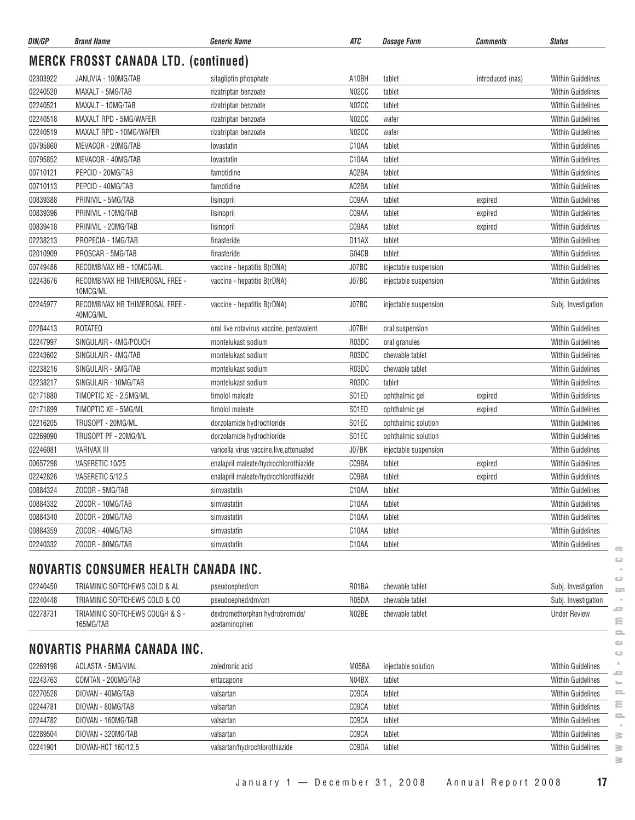| DIN/GP   | <b>Brand Name</b>                            | <b>Generic Name</b>                             | ATC                | <b>Dosage Form</b>    | <b>Comments</b>  | <b>Status</b>                            |
|----------|----------------------------------------------|-------------------------------------------------|--------------------|-----------------------|------------------|------------------------------------------|
|          | <b>MERCK FROSST CANADA LTD. (continued)</b>  |                                                 |                    |                       |                  |                                          |
| 02303922 | JANUVIA - 100MG/TAB                          | sitagliptin phosphate                           | A10BH              | tablet                | introduced (nas) | <b>Within Guidelines</b>                 |
| 02240520 | MAXALT - 5MG/TAB                             | rizatriptan benzoate                            | N02CC              | tablet                |                  | <b>Within Guidelines</b>                 |
| 02240521 | MAXALT - 10MG/TAB                            | rizatriptan benzoate                            | N02CC              | tablet                |                  | <b>Within Guidelines</b>                 |
| 02240518 | MAXALT RPD - 5MG/WAFER                       | rizatriptan benzoate                            | N02CC              | wafer                 |                  | Within Guidelines                        |
| 02240519 | MAXALT RPD - 10MG/WAFER                      | rizatriptan benzoate                            | N02CC              | wafer                 |                  | <b>Within Guidelines</b>                 |
| 00795860 | MEVACOR - 20MG/TAB                           | lovastatin                                      | C10AA              | tablet                |                  | <b>Within Guidelines</b>                 |
| 00795852 | MEVACOR - 40MG/TAB                           | lovastatin                                      | C10AA              | tablet                |                  | <b>Within Guidelines</b>                 |
| 00710121 | PEPCID - 20MG/TAB                            | famotidine                                      | A02BA              | tablet                |                  | <b>Within Guidelines</b>                 |
| 00710113 | PEPCID - 40MG/TAB                            | famotidine                                      | A02BA              | tablet                |                  | <b>Within Guidelines</b>                 |
| 00839388 | PRINIVIL - 5MG/TAB                           | lisinopril                                      | C09AA              | tablet                | expired          | Within Guidelines                        |
| 00839396 | PRINIVIL - 10MG/TAB                          | lisinopril                                      | C09AA              | tablet                | expired          | Within Guidelines                        |
| 00839418 | PRINIVIL - 20MG/TAB                          | lisinopril                                      | C09AA              | tablet                | expired          | <b>Within Guidelines</b>                 |
| 02238213 | PROPECIA - 1MG/TAB                           | finasteride                                     | D11AX              | tablet                |                  | <b>Within Guidelines</b>                 |
| 02010909 | PROSCAR - 5MG/TAB                            | finasteride                                     | G04CB              | tablet                |                  | <b>Within Guidelines</b>                 |
| 00749486 | RECOMBIVAX HB - 10MCG/ML                     | vaccine - hepatitis B(rDNA)                     | J07BC              | injectable suspension |                  | <b>Within Guidelines</b>                 |
| 02243676 | RECOMBIVAX HB THIMEROSAL FREE -<br>10MCG/ML  | vaccine - hepatitis B(rDNA)                     | J07BC              | injectable suspension |                  | <b>Within Guidelines</b>                 |
| 02245977 | RECOMBIVAX HB THIMEROSAL FREE -<br>40MCG/ML  | vaccine - hepatitis B(rDNA)                     | J07BC              | injectable suspension |                  | Subj. Investigation                      |
| 02284413 | ROTATEQ                                      | oral live rotavirus vaccine, pentavalent        | J07BH              | oral suspension       |                  | <b>Within Guidelines</b>                 |
| 02247997 | SINGULAIR - 4MG/POUCH                        | montelukast sodium                              | R03DC              | oral granules         |                  | <b>Within Guidelines</b>                 |
| 02243602 | SINGULAIR - 4MG/TAB                          | montelukast sodium                              | R03DC              | chewable tablet       |                  | Within Guidelines                        |
| 02238216 | SINGULAIR - 5MG/TAB                          | montelukast sodium                              | R03DC              | chewable tablet       |                  | Within Guidelines                        |
| 02238217 | SINGULAIR - 10MG/TAB                         | montelukast sodium                              | R03DC              | tablet                |                  | <b>Within Guidelines</b>                 |
| 02171880 | TIMOPTIC XE - 2.5MG/ML                       | timolol maleate                                 | S01ED              | ophthalmic gel        | expired          | <b>Within Guidelines</b>                 |
| 02171899 | TIMOPTIC XE - 5MG/ML                         | timolol maleate                                 | S01ED              | ophthalmic gel        | expired          | <b>Within Guidelines</b>                 |
| 02216205 | TRUSOPT - 20MG/ML                            | dorzolamide hydrochloride                       | S01EC              | ophthalmic solution   |                  | Within Guidelines                        |
| 02269090 | TRUSOPT PF - 20MG/ML                         | dorzolamide hydrochloride                       | S01EC              | ophthalmic solution   |                  | <b>Within Guidelines</b>                 |
| 02246081 | <b>VARIVAX III</b>                           | varicella virus vaccine, live, attenuated       | J07BK              | injectable suspension |                  | Within Guidelines                        |
| 00657298 | VASERETIC 10/25                              | enalapril maleate/hydrochlorothiazide           | C09BA              | tablet                | expired          | Within Guidelines                        |
| 02242826 | VASERETIC 5/12.5                             | enalapril maleate/hydrochlorothiazide           | C09BA              | tablet                | expired          | <b>Within Guidelines</b>                 |
| 00884324 | ZOCOR - 5MG/TAB                              | simvastatin                                     | C10AA              | tablet                |                  | <b>Within Guidelines</b>                 |
| 00884332 | ZOCOR - 10MG/TAB                             | simvastatin                                     | C10AA              | tablet                |                  | Within Guidelines                        |
| 00884340 | ZOCOR - 20MG/TAB                             | simvastatin                                     | C <sub>10</sub> AA | tablet                |                  | <b>Within Guidelines</b>                 |
| 00884359 | ZOCOR - 40MG/TAB                             | simvastatin                                     | C10AA              | tablet                |                  | Within Guidelines                        |
| 02240332 | ZOCOR - 80MG/TAB                             | simvastatin                                     | C10AA              | tablet                |                  | Within Guidelines                        |
|          |                                              |                                                 |                    |                       |                  | $\overline{\mathbf{c}}$<br>$\circ$       |
|          | NOVARTIS CONSUMER HEALTH CANADA INC.         |                                                 |                    |                       |                  | ت                                        |
| 02240450 | TRIAMINIC SOFTCHEWS COLD & AL                | pseudoephed/cm                                  | R01BA              | chewable tablet       |                  | Subj. Investigation<br>$\Box$            |
| 02240448 | TRIAMINIC SOFTCHEWS COLD & CO                | pseudoephed/dm/cm                               | R05DA              | chewable tablet       |                  | Subj. Investigation                      |
| 02278731 | TRIAMINIC SOFTCHEWS COUGH & S -<br>165MG/TAB | dextromethorphan hydrobromide/<br>acetaminophen | N02BE              | chewable tablet       |                  | <b>Under Review</b><br>Ξ<br>$\equiv$     |
|          | <b>NOVARTIS PHARMA CANADA INC.</b>           |                                                 |                    |                       |                  | $\bigcirc$<br>ت                          |
| 02269198 | ACLASTA - 5MG/VIAL                           | zoledronic acid                                 | M05BA              | injectable solution   |                  | <b>Within Guidelines</b>                 |
| 02243763 | COMTAN - 200MG/TAB                           | entacapone                                      | N04BX              | tablet                |                  | 0<br>Within Guidelines<br>$\mathbb{R}^n$ |
| 02270528 | DIOVAN - 40MG/TAB                            | valsartan                                       | C09CA              | tablet                |                  | Within Guidelines<br>으                   |
| 02244781 | DIOVAN - 80MG/TAB                            | valsartan                                       | C09CA              | tablet                |                  | ≘<br>Within Guidelines                   |
| 02244782 | DIOVAN - 160MG/TAB                           | valsartan                                       | C09CA              | tablet                |                  | $\equiv$<br>Within Guidelines            |
| 02289504 | DIOVAN - 320MG/TAB                           | valsartan                                       | C09CA              | tablet                |                  | Within Guidelines<br>≧                   |
| 02241901 | DIOVAN-HCT 160/12.5                          | valsartan/hydrochlorothiazide                   | C09DA              | tablet                |                  | <b>Within Guidelines</b><br>≧            |
|          |                                              |                                                 |                    |                       |                  | ≧                                        |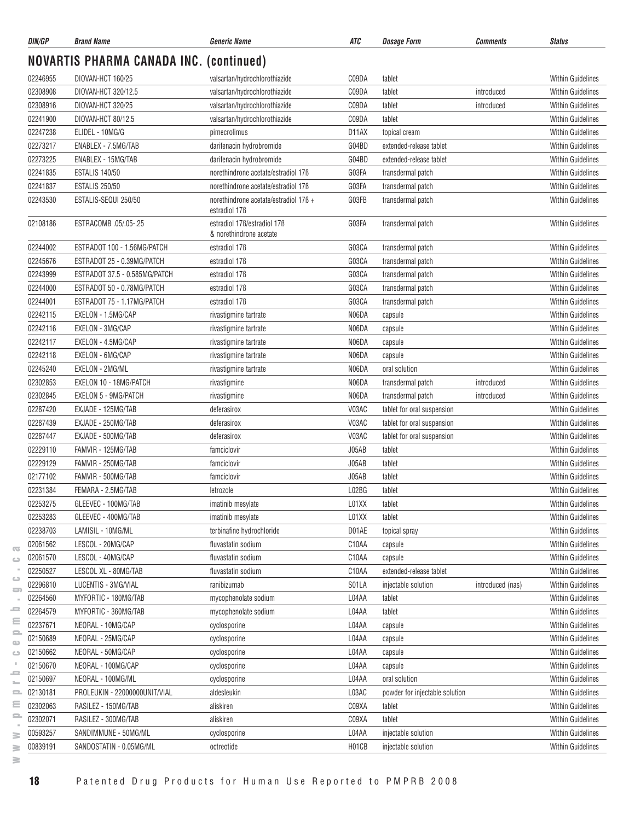| DIN/GP               | <b>Brand Name</b>                              | <b>Generic Name</b>                                                | ATC                | <b>Dosage Form</b>             | Comments         | <b>Status</b>            |
|----------------------|------------------------------------------------|--------------------------------------------------------------------|--------------------|--------------------------------|------------------|--------------------------|
|                      | <b>NOVARTIS PHARMA CANADA INC. (continued)</b> |                                                                    |                    |                                |                  |                          |
| 02246955             | DIOVAN-HCT 160/25                              | valsartan/hydrochlorothiazide                                      | C09DA              | tablet                         |                  | <b>Within Guidelines</b> |
| 02308908             | DIOVAN-HCT 320/12.5                            | valsartan/hydrochlorothiazide                                      | C09DA              | tablet                         | introduced       | <b>Within Guidelines</b> |
| 02308916             | DIOVAN-HCT 320/25                              | valsartan/hydrochlorothiazide                                      | C09DA              | tablet                         | introduced       | <b>Within Guidelines</b> |
| 02241900             | DIOVAN-HCT 80/12.5                             | valsartan/hydrochlorothiazide                                      | C09DA              | tablet                         |                  | <b>Within Guidelines</b> |
| 02247238             | ELIDEL - 10MG/G                                | pimecrolimus                                                       | D <sub>1</sub> 1AX | topical cream                  |                  | <b>Within Guidelines</b> |
| 02273217             | ENABLEX - 7.5MG/TAB                            | darifenacin hydrobromide                                           | G04BD              | extended-release tablet        |                  | <b>Within Guidelines</b> |
| 02273225             | ENABLEX - 15MG/TAB                             | darifenacin hydrobromide                                           | G04BD              | extended-release tablet        |                  | Within Guidelines        |
| 02241835             | <b>ESTALIS 140/50</b>                          | norethindrone acetate/estradiol 17B                                | G03FA              | transdermal patch              |                  | <b>Within Guidelines</b> |
| 02241837             | <b>ESTALIS 250/50</b>                          | norethindrone acetate/estradiol 17B                                | G03FA              | transdermal patch              |                  | <b>Within Guidelines</b> |
| 02243530             | ESTALIS-SEQUI 250/50                           | norethindrone acetate/estradiol 176 +<br>estradiol 17 <sub>B</sub> | G03FB              | transdermal patch              |                  | <b>Within Guidelines</b> |
| 02108186             | ESTRACOMB 05/05-.25                            | estradiol 17B/estradiol 17B<br>& norethindrone acetate             | G03FA              | transdermal patch              |                  | <b>Within Guidelines</b> |
| 02244002             | ESTRADOT 100 - 1.56MG/PATCH                    | estradiol 17ß                                                      | G03CA              | transdermal patch              |                  | <b>Within Guidelines</b> |
| 02245676             | ESTRADOT 25 - 0.39MG/PATCH                     | estradiol 17 <sub>B</sub>                                          | G03CA              | transdermal patch              |                  | <b>Within Guidelines</b> |
| 02243999             | ESTRADOT 37.5 - 0.585MG/PATCH                  | estradiol 17 <sub>B</sub>                                          | G03CA              | transdermal patch              |                  | <b>Within Guidelines</b> |
| 02244000             | ESTRADOT 50 - 0.78MG/PATCH                     | estradiol 17ß                                                      | G03CA              | transdermal patch              |                  | <b>Within Guidelines</b> |
| 02244001             | ESTRADOT 75 - 1.17MG/PATCH                     | estradiol 17 <sub>B</sub>                                          | G03CA              | transdermal patch              |                  | <b>Within Guidelines</b> |
| 02242115             | EXELON - 1.5MG/CAP                             | rivastigmine tartrate                                              | N06DA              | capsule                        |                  | <b>Within Guidelines</b> |
| 02242116             | EXELON - 3MG/CAP                               | rivastigmine tartrate                                              | N06DA              | capsule                        |                  | <b>Within Guidelines</b> |
| 02242117             | EXELON - 4.5MG/CAP                             | rivastigmine tartrate                                              | N06DA              | capsule                        |                  | <b>Within Guidelines</b> |
| 02242118             | EXELON - 6MG/CAP                               | rivastigmine tartrate                                              | N06DA              | capsule                        |                  | <b>Within Guidelines</b> |
| 02245240             | EXELON - 2MG/ML                                | rivastigmine tartrate                                              | N06DA              | oral solution                  |                  | <b>Within Guidelines</b> |
| 02302853             | EXELON 10 - 18MG/PATCH                         |                                                                    | N06DA              |                                | introduced       | <b>Within Guidelines</b> |
|                      | EXELON 5 - 9MG/PATCH                           | rivastigmine                                                       | N06DA              | transdermal patch              |                  | <b>Within Guidelines</b> |
| 02302845<br>02287420 |                                                | rivastigmine                                                       | V03AC              | transdermal patch              | introduced       |                          |
|                      | EXJADE - 125MG/TAB                             | deferasirox                                                        |                    | tablet for oral suspension     |                  | <b>Within Guidelines</b> |
| 02287439             | EXJADE - 250MG/TAB                             | deferasirox                                                        | V03AC              | tablet for oral suspension     |                  | <b>Within Guidelines</b> |
| 02287447             | EXJADE - 500MG/TAB                             | deferasirox                                                        | V03AC              | tablet for oral suspension     |                  | <b>Within Guidelines</b> |
| 02229110             | FAMVIR - 125MG/TAB                             | famciclovir                                                        | J05AB              | tablet                         |                  | <b>Within Guidelines</b> |
| 02229129             | FAMVIR - 250MG/TAB                             | famciclovir                                                        | J05AB              | tablet                         |                  | <b>Within Guidelines</b> |
| 02177102             | FAMVIR - 500MG/TAB                             | famciclovir                                                        | J05AB              | tablet                         |                  | <b>Within Guidelines</b> |
| 02231384             | FEMARA - 2.5MG/TAB                             | letrozole                                                          | L02BG              | tablet                         |                  | Within Guidelines        |
| 02253275             | GLEEVEC - 100MG/TAB                            | imatinib mesylate                                                  | L01XX              | tablet                         |                  | Within Guidelines        |
| 02253283             | GLEEVEC - 400MG/TAB                            | imatinib mesylate                                                  | L01XX              | tablet                         |                  | <b>Within Guidelines</b> |
| 02238703             | LAMISIL - 10MG/ML                              | terbinafine hydrochloride                                          | D01AE              | topical spray                  |                  | Within Guidelines        |
| 02061562             | LESCOL - 20MG/CAP                              | fluvastatin sodium                                                 | C10AA              | capsule                        |                  | Within Guidelines        |
| 02061570             | LESCOL - 40MG/CAP                              | fluvastatin sodium                                                 | C10AA              | capsule                        |                  | Within Guidelines        |
| 02250527             | LESCOL XL - 80MG/TAB                           | fluvastatin sodium                                                 | C10AA              | extended-release tablet        |                  | <b>Within Guidelines</b> |
| 02296810             | LUCENTIS - 3MG/VIAL                            | ranibizumab                                                        | S01LA              | injectable solution            | introduced (nas) | Within Guidelines        |
| 02264560             | MYFORTIC - 180MG/TAB                           | mycophenolate sodium                                               | L04AA              | tablet                         |                  | <b>Within Guidelines</b> |
| 02264579             | MYFORTIC - 360MG/TAB                           | mycophenolate sodium                                               | L04AA              | tablet                         |                  | <b>Within Guidelines</b> |
| 02237671             | NEORAL - 10MG/CAP                              | cyclosporine                                                       | L04AA              | capsule                        |                  | <b>Within Guidelines</b> |
| 02150689             | NEORAL - 25MG/CAP                              | cyclosporine                                                       | L04AA              | capsule                        |                  | <b>Within Guidelines</b> |
| 02150662             | NEORAL - 50MG/CAP                              | cyclosporine                                                       | L04AA              | capsule                        |                  | Within Guidelines        |
| 02150670             | NEORAL - 100MG/CAP                             | cyclosporine                                                       | L04AA              | capsule                        |                  | Within Guidelines        |
| 02150697             | NEORAL - 100MG/ML                              | cyclosporine                                                       | L04AA              | oral solution                  |                  | <b>Within Guidelines</b> |
| 02130181             | PROLEUKIN - 22000000UNIT/VIAL                  | aldesleukin                                                        | L03AC              | powder for injectable solution |                  | Within Guidelines        |
| 02302063             | RASILEZ - 150MG/TAB                            | aliskiren                                                          | C09XA              | tablet                         |                  | Within Guidelines        |
| 02302071             | RASILEZ - 300MG/TAB                            | aliskiren                                                          | C09XA              | tablet                         |                  | Within Guidelines        |
| 00593257             | SANDIMMUNE - 50MG/ML                           | cyclosporine                                                       | L04AA              | injectable solution            |                  | <b>Within Guidelines</b> |
| 00839191             | SANDOSTATIN - 0.05MG/ML                        | octreotide                                                         | H01CB              | injectable solution            |                  | Within Guidelines        |

 $\geq$  $\geq$ 

 $\overline{\infty}$  $\circ$  $\sim$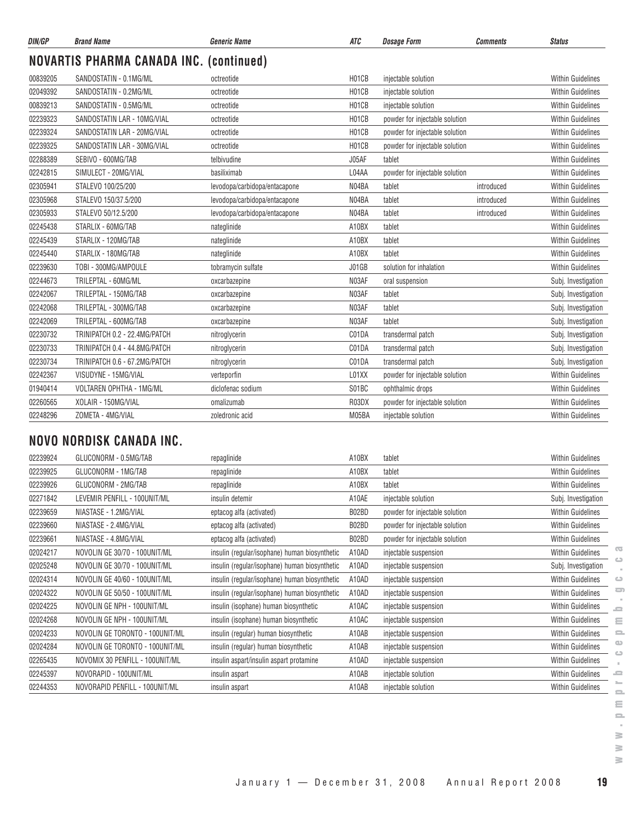| DIN/GP   | <b>Brand Name</b>                              | <b>Generic Name</b>           | <b>ATC</b>         | <b>Dosage Form</b>             | <b>Comments</b> | <b>Status</b>            |
|----------|------------------------------------------------|-------------------------------|--------------------|--------------------------------|-----------------|--------------------------|
|          | <b>NOVARTIS PHARMA CANADA INC. (continued)</b> |                               |                    |                                |                 |                          |
| 00839205 | SANDOSTATIN - 0.1MG/ML                         | octreotide                    | H01CB              | injectable solution            |                 | <b>Within Guidelines</b> |
| 02049392 | SANDOSTATIN - 0.2MG/ML                         | octreotide                    | H01CB              | injectable solution            |                 | <b>Within Guidelines</b> |
| 00839213 | SANDOSTATIN - 0.5MG/ML                         | octreotide                    | H01CB              | injectable solution            |                 | <b>Within Guidelines</b> |
| 02239323 | SANDOSTATIN LAR - 10MG/VIAL                    | octreotide                    | H <sub>01</sub> CB | powder for injectable solution |                 | <b>Within Guidelines</b> |
| 02239324 | SANDOSTATIN LAR - 20MG/VIAL                    | octreotide                    | H01CB              | powder for injectable solution |                 | <b>Within Guidelines</b> |
| 02239325 | SANDOSTATIN LAR - 30MG/VIAL                    | octreotide                    | H01CB              | powder for injectable solution |                 | <b>Within Guidelines</b> |
| 02288389 | SEBIVO - 600MG/TAB                             | telbivudine                   | J05AF              | tablet                         |                 | <b>Within Guidelines</b> |
| 02242815 | SIMULECT - 20MG/VIAL                           | basiliximab                   | L04AA              | powder for injectable solution |                 | <b>Within Guidelines</b> |
| 02305941 | STALEVO 100/25/200                             | levodopa/carbidopa/entacapone | N04BA              | tablet                         | introduced      | <b>Within Guidelines</b> |
| 02305968 | STALEVO 150/37.5/200                           | levodopa/carbidopa/entacapone | N04BA              | tablet                         | introduced      | <b>Within Guidelines</b> |
| 02305933 | STALEVO 50/12.5/200                            | levodopa/carbidopa/entacapone | N04BA              | tablet                         | introduced      | <b>Within Guidelines</b> |
| 02245438 | STARLIX - 60MG/TAB                             | nateglinide                   | A10BX              | tablet                         |                 | <b>Within Guidelines</b> |
| 02245439 | STARLIX - 120MG/TAB                            | nateglinide                   | A10BX              | tablet                         |                 | <b>Within Guidelines</b> |
| 02245440 | STARLIX - 180MG/TAB                            | nateglinide                   | A10BX              | tablet                         |                 | <b>Within Guidelines</b> |
| 02239630 | TOBI - 300MG/AMPOULE                           | tobramycin sulfate            | J01GB              | solution for inhalation        |                 | <b>Within Guidelines</b> |
| 02244673 | TRILEPTAL - 60MG/ML                            | oxcarbazepine                 | N03AF              | oral suspension                |                 | Subj. Investigation      |
| 02242067 | TRILEPTAL - 150MG/TAB                          | oxcarbazepine                 | N03AF              | tablet                         |                 | Subj. Investigation      |
| 02242068 | TRILEPTAL - 300MG/TAB                          | oxcarbazepine                 | N03AF              | tablet                         |                 | Subj. Investigation      |
| 02242069 | TRILEPTAL - 600MG/TAB                          | oxcarbazepine                 | N03AF              | tablet                         |                 | Subj. Investigation      |
| 02230732 | TRINIPATCH 0.2 - 22.4MG/PATCH                  | nitroglycerin                 | C01DA              | transdermal patch              |                 | Subj. Investigation      |
| 02230733 | TRINIPATCH 0.4 - 44.8MG/PATCH                  | nitroglycerin                 | C01DA              | transdermal patch              |                 | Subj. Investigation      |
| 02230734 | TRINIPATCH 0.6 - 67.2MG/PATCH                  | nitroglycerin                 | C01DA              | transdermal patch              |                 | Subj. Investigation      |
| 02242367 | VISUDYNE - 15MG/VIAL                           | verteporfin                   | L01XX              | powder for injectable solution |                 | <b>Within Guidelines</b> |
| 01940414 | <b>VOLTAREN OPHTHA - 1MG/ML</b>                | diclofenac sodium             | S01BC              | ophthalmic drops               |                 | <b>Within Guidelines</b> |
| 02260565 | XOLAIR - 150MG/VIAL                            | omalizumab                    | R03DX              | powder for injectable solution |                 | <b>Within Guidelines</b> |
| 02248296 | ZOMETA - 4MG/VIAL                              | zoledronic acid               | M05BA              | injectable solution            |                 | <b>Within Guidelines</b> |

# **NOVO NORDISK CANADA INC.**

| 02239924 | GLUCONORM - 0.5MG/TAB           | repaglinide                                   | A10BX | tablet                         | <b>Within Guidelines</b>       |
|----------|---------------------------------|-----------------------------------------------|-------|--------------------------------|--------------------------------|
| 02239925 | GLUCONORM - 1MG/TAB             | repaglinide                                   | A10BX | tablet                         | <b>Within Guidelines</b>       |
| 02239926 | GLUCONORM - 2MG/TAB             | repaglinide                                   | A10BX | tablet                         | <b>Within Guidelines</b>       |
| 02271842 | LEVEMIR PENFILL - 100UNIT/ML    | insulin detemir                               | A10AE | injectable solution            | Subj. Investigation            |
| 02239659 | NIASTASE - 1.2MG/VIAL           | eptacog alfa (activated)                      | B02BD | powder for injectable solution | <b>Within Guidelines</b>       |
| 02239660 | NIASTASE - 2.4MG/VIAL           | eptacog alfa (activated)                      | B02BD | powder for injectable solution | <b>Within Guidelines</b>       |
| 02239661 | NIASTASE - 4.8MG/VIAL           | eptacog alfa (activated)                      | B02BD | powder for injectable solution | <b>Within Guidelines</b>       |
| 02024217 | NOVOLIN GE 30/70 - 100UNIT/ML   | insulin (regular/isophane) human biosynthetic | A10AD | injectable suspension          | œ<br><b>Within Guidelines</b>  |
| 02025248 | NOVOLIN GE 30/70 - 100UNIT/ML   | insulin (regular/isophane) human biosynthetic | A10AD | injectable suspension          | Subj. Investigation            |
| 02024314 | NOVOLIN GE 40/60 - 100UNIT/ML   | insulin (regular/isophane) human biosynthetic | A10AD | injectable suspension          | <b>Within Guidelines</b>       |
| 02024322 | NOVOLIN GE 50/50 - 100UNIT/ML   | insulin (regular/isophane) human biosynthetic | A10AD | injectable suspension          | 5<br><b>Within Guidelines</b>  |
| 02024225 | NOVOLIN GE NPH - 100UNIT/ML     | insulin (isophane) human biosynthetic         | A10AC | injectable suspension          | <b>Within Guidelines</b><br>د  |
| 02024268 | NOVOLIN GE NPH - 100UNIT/ML     | insulin (isophane) human biosynthetic         | A10AC | injectable suspension          | <b>Within Guidelines</b><br>Ξ  |
| 02024233 | NOVOLIN GE TORONTO - 100UNIT/ML | insulin (regular) human biosynthetic          | A10AB | injectable suspension          | <b>Within Guidelines</b>       |
| 02024284 | NOVOLIN GE TORONTO - 100UNIT/ML | insulin (regular) human biosynthetic          | A10AB | injectable suspension          | ۵B<br><b>Within Guidelines</b> |
| 02265435 | NOVOMIX 30 PENFILL - 100UNIT/ML | insulin aspart/insulin aspart protamine       | A10AD | injectable suspension          | <b>Within Guidelines</b>       |
| 02245397 | NOVORAPID - 100UNIT/ML          | insulin aspart                                | A10AB | injectable solution            | <b>Within Guidelines</b><br>ᅩ  |
| 02244353 | NOVORAPID PENFILL - 100UNIT/ML  | insulin aspart                                | A10AB | injectable solution            | <b>Within Guidelines</b>       |

 $\geq$  $\geq$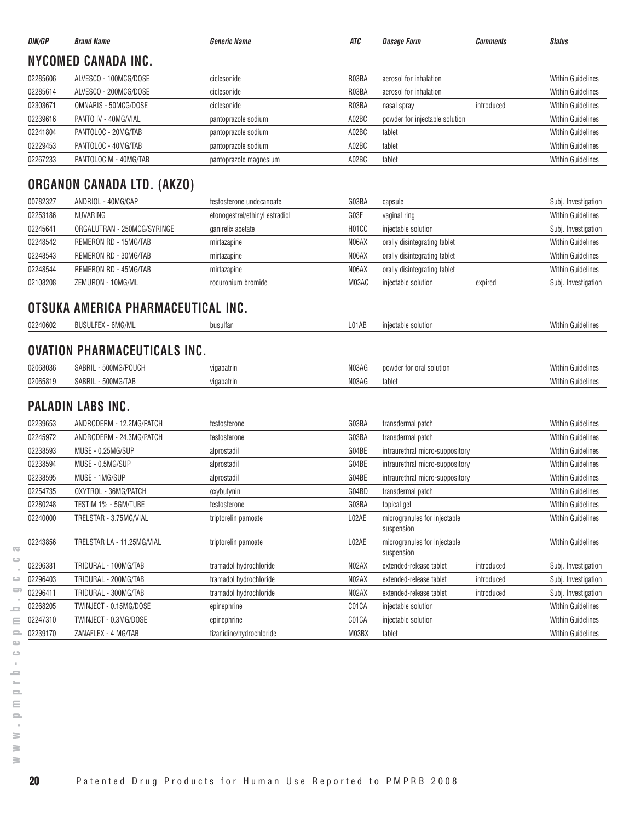| ATC<br>DIN/GP<br><b>Brand Name</b><br>Generic Name<br><b>Dosage Form</b><br><b>Status</b><br><b>Comments</b><br><b>NYCOMED CANADA INC.</b><br>R03BA<br>02285606<br>ALVESCO - 100MCG/DOSE<br>aerosol for inhalation<br><b>Within Guidelines</b><br>ciclesonide<br>02285614<br>ALVESCO - 200MCG/DOSE<br>R03BA<br>aerosol for inhalation<br><b>Within Guidelines</b><br>ciclesonide<br>OMNARIS - 50MCG/DOSE<br>02303671<br>ciclesonide<br>R03BA<br>introduced<br><b>Within Guidelines</b><br>nasal spray<br>02239616<br>PANTO IV - 40MG/VIAL<br>A02BC<br>powder for injectable solution<br><b>Within Guidelines</b><br>pantoprazole sodium<br>02241804<br>PANTOLOC - 20MG/TAB<br>A02BC<br><b>Within Guidelines</b><br>pantoprazole sodium<br>tablet<br>02229453<br>PANTOLOC - 40MG/TAB<br><b>Within Guidelines</b><br>A02BC<br>tablet<br>pantoprazole sodium<br>02267233<br>PANTOLOC M - 40MG/TAB<br>A02BC<br><b>Within Guidelines</b><br>tablet<br>pantoprazole magnesium<br><b>ORGANON CANADA LTD. (AKZO)</b><br>00782327<br>ANDRIOL - 40MG/CAP<br>G03BA<br>testosterone undecanoate<br>capsule<br>02253186<br>NUVARING<br>G03F<br><b>Within Guidelines</b><br>etonogestrel/ethinyl estradiol<br>vaginal ring<br>02245641<br>ORGALUTRAN - 250MCG/SYRINGE<br>H01CC<br>ganirelix acetate<br>injectable solution<br>02248542<br>REMERON RD - 15MG/TAB<br>N06AX<br><b>Within Guidelines</b><br>mirtazapine<br>orally disintegrating tablet<br>N06AX<br>02248543<br>REMERON RD - 30MG/TAB<br><b>Within Guidelines</b><br>mirtazapine<br>orally disintegrating tablet<br>02248544<br>REMERON RD - 45MG/TAB<br>N06AX<br><b>Within Guidelines</b><br>orally disintegrating tablet<br>mirtazapine<br>02108208<br>ZEMURON - 10MG/ML<br>M03AC<br>injectable solution<br>rocuronium bromide<br>expired<br>OTSUKA AMERICA PHARMACEUTICAL INC.<br><b>Within Guidelines</b><br>02240602<br><b>BUSULFEX - 6MG/ML</b><br>L01AB<br>injectable solution<br>busulfan<br><b>OVATION PHARMACEUTICALS INC.</b><br><b>Within Guidelines</b><br>02068036<br>SABRIL - 500MG/POUCH<br>N03AG<br>vigabatrin<br>powder for oral solution<br>02065819<br>SABRIL - 500MG/TAB<br>N03AG<br><b>Within Guidelines</b><br>vigabatrin<br>tablet<br><b>PALADIN LABS INC.</b><br><b>Within Guidelines</b><br>02239653<br>ANDRODERM - 12.2MG/PATCH<br>G03BA<br>testosterone<br>transdermal patch<br>02245972<br>ANDRODERM - 24.3MG/PATCH<br>G03BA<br><b>Within Guidelines</b><br>testosterone<br>transdermal patch<br>02238593<br>MUSE - 0.25MG/SUP<br>G04BE<br><b>Within Guidelines</b><br>intraurethral micro-suppository<br>alprostadil<br>02238594<br>MUSE - 0.5MG/SUP<br>G04BE<br><b>Within Guidelines</b><br>alprostadil<br>intraurethral micro-suppository<br>02238595<br>MUSE - 1MG/SUP<br>G04BE<br><b>Within Guidelines</b><br>alprostadil<br>intraurethral micro-suppository<br>02254735<br>G04BD<br>Within Guidelines<br>OXYTROL - 36MG/PATCH<br>oxybutynin<br>transdermal patch<br>02280248<br>TESTIM 1% - 5GM/TUBE<br>G03BA<br>Within Guidelines<br>topical gel<br>testosterone<br>02240000<br>TRELSTAR - 3.75MG/VIAL<br>L02AE<br><b>Within Guidelines</b><br>triptorelin pamoate<br>microgranules for injectable<br>suspension<br>L02AE<br>microgranules for injectable<br><b>Within Guidelines</b><br>02243856<br>TRELSTAR LA - 11.25MG/VIAL<br>triptorelin pamoate<br>suspension<br>02296381<br>tramadol hydrochloride<br>N02AX<br>extended-release tablet<br>TRIDURAL - 100MG/TAB<br>introduced<br>02296403<br>TRIDURAL - 200MG/TAB<br>tramadol hydrochloride<br>N02AX<br>extended-release tablet<br>introduced<br>02296411<br>N02AX<br>TRIDURAL - 300MG/TAB<br>tramadol hydrochloride<br>extended-release tablet<br>introduced<br>02268205<br>TWINJECT - 0.15MG/DOSE<br>C01CA<br>Within Guidelines<br>epinephrine<br>injectable solution<br>02247310<br>TWINJECT - 0.3MG/DOSE<br>C01CA<br><b>Within Guidelines</b><br>epinephrine<br>injectable solution<br>02239170<br><b>Within Guidelines</b><br>ZANAFLEX - 4 MG/TAB<br>tizanidine/hydrochloride<br>M03BX<br>tablet |  |  |  |                     |
|------------------------------------------------------------------------------------------------------------------------------------------------------------------------------------------------------------------------------------------------------------------------------------------------------------------------------------------------------------------------------------------------------------------------------------------------------------------------------------------------------------------------------------------------------------------------------------------------------------------------------------------------------------------------------------------------------------------------------------------------------------------------------------------------------------------------------------------------------------------------------------------------------------------------------------------------------------------------------------------------------------------------------------------------------------------------------------------------------------------------------------------------------------------------------------------------------------------------------------------------------------------------------------------------------------------------------------------------------------------------------------------------------------------------------------------------------------------------------------------------------------------------------------------------------------------------------------------------------------------------------------------------------------------------------------------------------------------------------------------------------------------------------------------------------------------------------------------------------------------------------------------------------------------------------------------------------------------------------------------------------------------------------------------------------------------------------------------------------------------------------------------------------------------------------------------------------------------------------------------------------------------------------------------------------------------------------------------------------------------------------------------------------------------------------------------------------------------------------------------------------------------------------------------------------------------------------------------------------------------------------------------------------------------------------------------------------------------------------------------------------------------------------------------------------------------------------------------------------------------------------------------------------------------------------------------------------------------------------------------------------------------------------------------------------------------------------------------------------------------------------------------------------------------------------------------------------------------------------------------------------------------------------------------------------------------------------------------------------------------------------------------------------------------------------------------------------------------------------------------------------------------------------------------------------------------------------------------------------------------------------------------------------------------------------------------------------------------------------------------------------------------------------------------------------------------------------------------------------------------------------------------------------------------------------------------------------------------------------------------------------------------------------------------------|--|--|--|---------------------|
|                                                                                                                                                                                                                                                                                                                                                                                                                                                                                                                                                                                                                                                                                                                                                                                                                                                                                                                                                                                                                                                                                                                                                                                                                                                                                                                                                                                                                                                                                                                                                                                                                                                                                                                                                                                                                                                                                                                                                                                                                                                                                                                                                                                                                                                                                                                                                                                                                                                                                                                                                                                                                                                                                                                                                                                                                                                                                                                                                                                                                                                                                                                                                                                                                                                                                                                                                                                                                                                                                                                                                                                                                                                                                                                                                                                                                                                                                                                                                                                                                                                |  |  |  |                     |
|                                                                                                                                                                                                                                                                                                                                                                                                                                                                                                                                                                                                                                                                                                                                                                                                                                                                                                                                                                                                                                                                                                                                                                                                                                                                                                                                                                                                                                                                                                                                                                                                                                                                                                                                                                                                                                                                                                                                                                                                                                                                                                                                                                                                                                                                                                                                                                                                                                                                                                                                                                                                                                                                                                                                                                                                                                                                                                                                                                                                                                                                                                                                                                                                                                                                                                                                                                                                                                                                                                                                                                                                                                                                                                                                                                                                                                                                                                                                                                                                                                                |  |  |  |                     |
|                                                                                                                                                                                                                                                                                                                                                                                                                                                                                                                                                                                                                                                                                                                                                                                                                                                                                                                                                                                                                                                                                                                                                                                                                                                                                                                                                                                                                                                                                                                                                                                                                                                                                                                                                                                                                                                                                                                                                                                                                                                                                                                                                                                                                                                                                                                                                                                                                                                                                                                                                                                                                                                                                                                                                                                                                                                                                                                                                                                                                                                                                                                                                                                                                                                                                                                                                                                                                                                                                                                                                                                                                                                                                                                                                                                                                                                                                                                                                                                                                                                |  |  |  |                     |
|                                                                                                                                                                                                                                                                                                                                                                                                                                                                                                                                                                                                                                                                                                                                                                                                                                                                                                                                                                                                                                                                                                                                                                                                                                                                                                                                                                                                                                                                                                                                                                                                                                                                                                                                                                                                                                                                                                                                                                                                                                                                                                                                                                                                                                                                                                                                                                                                                                                                                                                                                                                                                                                                                                                                                                                                                                                                                                                                                                                                                                                                                                                                                                                                                                                                                                                                                                                                                                                                                                                                                                                                                                                                                                                                                                                                                                                                                                                                                                                                                                                |  |  |  |                     |
|                                                                                                                                                                                                                                                                                                                                                                                                                                                                                                                                                                                                                                                                                                                                                                                                                                                                                                                                                                                                                                                                                                                                                                                                                                                                                                                                                                                                                                                                                                                                                                                                                                                                                                                                                                                                                                                                                                                                                                                                                                                                                                                                                                                                                                                                                                                                                                                                                                                                                                                                                                                                                                                                                                                                                                                                                                                                                                                                                                                                                                                                                                                                                                                                                                                                                                                                                                                                                                                                                                                                                                                                                                                                                                                                                                                                                                                                                                                                                                                                                                                |  |  |  |                     |
|                                                                                                                                                                                                                                                                                                                                                                                                                                                                                                                                                                                                                                                                                                                                                                                                                                                                                                                                                                                                                                                                                                                                                                                                                                                                                                                                                                                                                                                                                                                                                                                                                                                                                                                                                                                                                                                                                                                                                                                                                                                                                                                                                                                                                                                                                                                                                                                                                                                                                                                                                                                                                                                                                                                                                                                                                                                                                                                                                                                                                                                                                                                                                                                                                                                                                                                                                                                                                                                                                                                                                                                                                                                                                                                                                                                                                                                                                                                                                                                                                                                |  |  |  |                     |
|                                                                                                                                                                                                                                                                                                                                                                                                                                                                                                                                                                                                                                                                                                                                                                                                                                                                                                                                                                                                                                                                                                                                                                                                                                                                                                                                                                                                                                                                                                                                                                                                                                                                                                                                                                                                                                                                                                                                                                                                                                                                                                                                                                                                                                                                                                                                                                                                                                                                                                                                                                                                                                                                                                                                                                                                                                                                                                                                                                                                                                                                                                                                                                                                                                                                                                                                                                                                                                                                                                                                                                                                                                                                                                                                                                                                                                                                                                                                                                                                                                                |  |  |  |                     |
|                                                                                                                                                                                                                                                                                                                                                                                                                                                                                                                                                                                                                                                                                                                                                                                                                                                                                                                                                                                                                                                                                                                                                                                                                                                                                                                                                                                                                                                                                                                                                                                                                                                                                                                                                                                                                                                                                                                                                                                                                                                                                                                                                                                                                                                                                                                                                                                                                                                                                                                                                                                                                                                                                                                                                                                                                                                                                                                                                                                                                                                                                                                                                                                                                                                                                                                                                                                                                                                                                                                                                                                                                                                                                                                                                                                                                                                                                                                                                                                                                                                |  |  |  |                     |
|                                                                                                                                                                                                                                                                                                                                                                                                                                                                                                                                                                                                                                                                                                                                                                                                                                                                                                                                                                                                                                                                                                                                                                                                                                                                                                                                                                                                                                                                                                                                                                                                                                                                                                                                                                                                                                                                                                                                                                                                                                                                                                                                                                                                                                                                                                                                                                                                                                                                                                                                                                                                                                                                                                                                                                                                                                                                                                                                                                                                                                                                                                                                                                                                                                                                                                                                                                                                                                                                                                                                                                                                                                                                                                                                                                                                                                                                                                                                                                                                                                                |  |  |  |                     |
|                                                                                                                                                                                                                                                                                                                                                                                                                                                                                                                                                                                                                                                                                                                                                                                                                                                                                                                                                                                                                                                                                                                                                                                                                                                                                                                                                                                                                                                                                                                                                                                                                                                                                                                                                                                                                                                                                                                                                                                                                                                                                                                                                                                                                                                                                                                                                                                                                                                                                                                                                                                                                                                                                                                                                                                                                                                                                                                                                                                                                                                                                                                                                                                                                                                                                                                                                                                                                                                                                                                                                                                                                                                                                                                                                                                                                                                                                                                                                                                                                                                |  |  |  |                     |
|                                                                                                                                                                                                                                                                                                                                                                                                                                                                                                                                                                                                                                                                                                                                                                                                                                                                                                                                                                                                                                                                                                                                                                                                                                                                                                                                                                                                                                                                                                                                                                                                                                                                                                                                                                                                                                                                                                                                                                                                                                                                                                                                                                                                                                                                                                                                                                                                                                                                                                                                                                                                                                                                                                                                                                                                                                                                                                                                                                                                                                                                                                                                                                                                                                                                                                                                                                                                                                                                                                                                                                                                                                                                                                                                                                                                                                                                                                                                                                                                                                                |  |  |  | Subj. Investigation |
|                                                                                                                                                                                                                                                                                                                                                                                                                                                                                                                                                                                                                                                                                                                                                                                                                                                                                                                                                                                                                                                                                                                                                                                                                                                                                                                                                                                                                                                                                                                                                                                                                                                                                                                                                                                                                                                                                                                                                                                                                                                                                                                                                                                                                                                                                                                                                                                                                                                                                                                                                                                                                                                                                                                                                                                                                                                                                                                                                                                                                                                                                                                                                                                                                                                                                                                                                                                                                                                                                                                                                                                                                                                                                                                                                                                                                                                                                                                                                                                                                                                |  |  |  |                     |
|                                                                                                                                                                                                                                                                                                                                                                                                                                                                                                                                                                                                                                                                                                                                                                                                                                                                                                                                                                                                                                                                                                                                                                                                                                                                                                                                                                                                                                                                                                                                                                                                                                                                                                                                                                                                                                                                                                                                                                                                                                                                                                                                                                                                                                                                                                                                                                                                                                                                                                                                                                                                                                                                                                                                                                                                                                                                                                                                                                                                                                                                                                                                                                                                                                                                                                                                                                                                                                                                                                                                                                                                                                                                                                                                                                                                                                                                                                                                                                                                                                                |  |  |  | Subj. Investigation |
|                                                                                                                                                                                                                                                                                                                                                                                                                                                                                                                                                                                                                                                                                                                                                                                                                                                                                                                                                                                                                                                                                                                                                                                                                                                                                                                                                                                                                                                                                                                                                                                                                                                                                                                                                                                                                                                                                                                                                                                                                                                                                                                                                                                                                                                                                                                                                                                                                                                                                                                                                                                                                                                                                                                                                                                                                                                                                                                                                                                                                                                                                                                                                                                                                                                                                                                                                                                                                                                                                                                                                                                                                                                                                                                                                                                                                                                                                                                                                                                                                                                |  |  |  |                     |
|                                                                                                                                                                                                                                                                                                                                                                                                                                                                                                                                                                                                                                                                                                                                                                                                                                                                                                                                                                                                                                                                                                                                                                                                                                                                                                                                                                                                                                                                                                                                                                                                                                                                                                                                                                                                                                                                                                                                                                                                                                                                                                                                                                                                                                                                                                                                                                                                                                                                                                                                                                                                                                                                                                                                                                                                                                                                                                                                                                                                                                                                                                                                                                                                                                                                                                                                                                                                                                                                                                                                                                                                                                                                                                                                                                                                                                                                                                                                                                                                                                                |  |  |  |                     |
|                                                                                                                                                                                                                                                                                                                                                                                                                                                                                                                                                                                                                                                                                                                                                                                                                                                                                                                                                                                                                                                                                                                                                                                                                                                                                                                                                                                                                                                                                                                                                                                                                                                                                                                                                                                                                                                                                                                                                                                                                                                                                                                                                                                                                                                                                                                                                                                                                                                                                                                                                                                                                                                                                                                                                                                                                                                                                                                                                                                                                                                                                                                                                                                                                                                                                                                                                                                                                                                                                                                                                                                                                                                                                                                                                                                                                                                                                                                                                                                                                                                |  |  |  |                     |
|                                                                                                                                                                                                                                                                                                                                                                                                                                                                                                                                                                                                                                                                                                                                                                                                                                                                                                                                                                                                                                                                                                                                                                                                                                                                                                                                                                                                                                                                                                                                                                                                                                                                                                                                                                                                                                                                                                                                                                                                                                                                                                                                                                                                                                                                                                                                                                                                                                                                                                                                                                                                                                                                                                                                                                                                                                                                                                                                                                                                                                                                                                                                                                                                                                                                                                                                                                                                                                                                                                                                                                                                                                                                                                                                                                                                                                                                                                                                                                                                                                                |  |  |  | Subj. Investigation |
|                                                                                                                                                                                                                                                                                                                                                                                                                                                                                                                                                                                                                                                                                                                                                                                                                                                                                                                                                                                                                                                                                                                                                                                                                                                                                                                                                                                                                                                                                                                                                                                                                                                                                                                                                                                                                                                                                                                                                                                                                                                                                                                                                                                                                                                                                                                                                                                                                                                                                                                                                                                                                                                                                                                                                                                                                                                                                                                                                                                                                                                                                                                                                                                                                                                                                                                                                                                                                                                                                                                                                                                                                                                                                                                                                                                                                                                                                                                                                                                                                                                |  |  |  |                     |
|                                                                                                                                                                                                                                                                                                                                                                                                                                                                                                                                                                                                                                                                                                                                                                                                                                                                                                                                                                                                                                                                                                                                                                                                                                                                                                                                                                                                                                                                                                                                                                                                                                                                                                                                                                                                                                                                                                                                                                                                                                                                                                                                                                                                                                                                                                                                                                                                                                                                                                                                                                                                                                                                                                                                                                                                                                                                                                                                                                                                                                                                                                                                                                                                                                                                                                                                                                                                                                                                                                                                                                                                                                                                                                                                                                                                                                                                                                                                                                                                                                                |  |  |  |                     |
|                                                                                                                                                                                                                                                                                                                                                                                                                                                                                                                                                                                                                                                                                                                                                                                                                                                                                                                                                                                                                                                                                                                                                                                                                                                                                                                                                                                                                                                                                                                                                                                                                                                                                                                                                                                                                                                                                                                                                                                                                                                                                                                                                                                                                                                                                                                                                                                                                                                                                                                                                                                                                                                                                                                                                                                                                                                                                                                                                                                                                                                                                                                                                                                                                                                                                                                                                                                                                                                                                                                                                                                                                                                                                                                                                                                                                                                                                                                                                                                                                                                |  |  |  |                     |
|                                                                                                                                                                                                                                                                                                                                                                                                                                                                                                                                                                                                                                                                                                                                                                                                                                                                                                                                                                                                                                                                                                                                                                                                                                                                                                                                                                                                                                                                                                                                                                                                                                                                                                                                                                                                                                                                                                                                                                                                                                                                                                                                                                                                                                                                                                                                                                                                                                                                                                                                                                                                                                                                                                                                                                                                                                                                                                                                                                                                                                                                                                                                                                                                                                                                                                                                                                                                                                                                                                                                                                                                                                                                                                                                                                                                                                                                                                                                                                                                                                                |  |  |  |                     |
|                                                                                                                                                                                                                                                                                                                                                                                                                                                                                                                                                                                                                                                                                                                                                                                                                                                                                                                                                                                                                                                                                                                                                                                                                                                                                                                                                                                                                                                                                                                                                                                                                                                                                                                                                                                                                                                                                                                                                                                                                                                                                                                                                                                                                                                                                                                                                                                                                                                                                                                                                                                                                                                                                                                                                                                                                                                                                                                                                                                                                                                                                                                                                                                                                                                                                                                                                                                                                                                                                                                                                                                                                                                                                                                                                                                                                                                                                                                                                                                                                                                |  |  |  |                     |
|                                                                                                                                                                                                                                                                                                                                                                                                                                                                                                                                                                                                                                                                                                                                                                                                                                                                                                                                                                                                                                                                                                                                                                                                                                                                                                                                                                                                                                                                                                                                                                                                                                                                                                                                                                                                                                                                                                                                                                                                                                                                                                                                                                                                                                                                                                                                                                                                                                                                                                                                                                                                                                                                                                                                                                                                                                                                                                                                                                                                                                                                                                                                                                                                                                                                                                                                                                                                                                                                                                                                                                                                                                                                                                                                                                                                                                                                                                                                                                                                                                                |  |  |  |                     |
|                                                                                                                                                                                                                                                                                                                                                                                                                                                                                                                                                                                                                                                                                                                                                                                                                                                                                                                                                                                                                                                                                                                                                                                                                                                                                                                                                                                                                                                                                                                                                                                                                                                                                                                                                                                                                                                                                                                                                                                                                                                                                                                                                                                                                                                                                                                                                                                                                                                                                                                                                                                                                                                                                                                                                                                                                                                                                                                                                                                                                                                                                                                                                                                                                                                                                                                                                                                                                                                                                                                                                                                                                                                                                                                                                                                                                                                                                                                                                                                                                                                |  |  |  |                     |
|                                                                                                                                                                                                                                                                                                                                                                                                                                                                                                                                                                                                                                                                                                                                                                                                                                                                                                                                                                                                                                                                                                                                                                                                                                                                                                                                                                                                                                                                                                                                                                                                                                                                                                                                                                                                                                                                                                                                                                                                                                                                                                                                                                                                                                                                                                                                                                                                                                                                                                                                                                                                                                                                                                                                                                                                                                                                                                                                                                                                                                                                                                                                                                                                                                                                                                                                                                                                                                                                                                                                                                                                                                                                                                                                                                                                                                                                                                                                                                                                                                                |  |  |  |                     |
|                                                                                                                                                                                                                                                                                                                                                                                                                                                                                                                                                                                                                                                                                                                                                                                                                                                                                                                                                                                                                                                                                                                                                                                                                                                                                                                                                                                                                                                                                                                                                                                                                                                                                                                                                                                                                                                                                                                                                                                                                                                                                                                                                                                                                                                                                                                                                                                                                                                                                                                                                                                                                                                                                                                                                                                                                                                                                                                                                                                                                                                                                                                                                                                                                                                                                                                                                                                                                                                                                                                                                                                                                                                                                                                                                                                                                                                                                                                                                                                                                                                |  |  |  |                     |
|                                                                                                                                                                                                                                                                                                                                                                                                                                                                                                                                                                                                                                                                                                                                                                                                                                                                                                                                                                                                                                                                                                                                                                                                                                                                                                                                                                                                                                                                                                                                                                                                                                                                                                                                                                                                                                                                                                                                                                                                                                                                                                                                                                                                                                                                                                                                                                                                                                                                                                                                                                                                                                                                                                                                                                                                                                                                                                                                                                                                                                                                                                                                                                                                                                                                                                                                                                                                                                                                                                                                                                                                                                                                                                                                                                                                                                                                                                                                                                                                                                                |  |  |  |                     |
|                                                                                                                                                                                                                                                                                                                                                                                                                                                                                                                                                                                                                                                                                                                                                                                                                                                                                                                                                                                                                                                                                                                                                                                                                                                                                                                                                                                                                                                                                                                                                                                                                                                                                                                                                                                                                                                                                                                                                                                                                                                                                                                                                                                                                                                                                                                                                                                                                                                                                                                                                                                                                                                                                                                                                                                                                                                                                                                                                                                                                                                                                                                                                                                                                                                                                                                                                                                                                                                                                                                                                                                                                                                                                                                                                                                                                                                                                                                                                                                                                                                |  |  |  |                     |
|                                                                                                                                                                                                                                                                                                                                                                                                                                                                                                                                                                                                                                                                                                                                                                                                                                                                                                                                                                                                                                                                                                                                                                                                                                                                                                                                                                                                                                                                                                                                                                                                                                                                                                                                                                                                                                                                                                                                                                                                                                                                                                                                                                                                                                                                                                                                                                                                                                                                                                                                                                                                                                                                                                                                                                                                                                                                                                                                                                                                                                                                                                                                                                                                                                                                                                                                                                                                                                                                                                                                                                                                                                                                                                                                                                                                                                                                                                                                                                                                                                                |  |  |  |                     |
|                                                                                                                                                                                                                                                                                                                                                                                                                                                                                                                                                                                                                                                                                                                                                                                                                                                                                                                                                                                                                                                                                                                                                                                                                                                                                                                                                                                                                                                                                                                                                                                                                                                                                                                                                                                                                                                                                                                                                                                                                                                                                                                                                                                                                                                                                                                                                                                                                                                                                                                                                                                                                                                                                                                                                                                                                                                                                                                                                                                                                                                                                                                                                                                                                                                                                                                                                                                                                                                                                                                                                                                                                                                                                                                                                                                                                                                                                                                                                                                                                                                |  |  |  |                     |
|                                                                                                                                                                                                                                                                                                                                                                                                                                                                                                                                                                                                                                                                                                                                                                                                                                                                                                                                                                                                                                                                                                                                                                                                                                                                                                                                                                                                                                                                                                                                                                                                                                                                                                                                                                                                                                                                                                                                                                                                                                                                                                                                                                                                                                                                                                                                                                                                                                                                                                                                                                                                                                                                                                                                                                                                                                                                                                                                                                                                                                                                                                                                                                                                                                                                                                                                                                                                                                                                                                                                                                                                                                                                                                                                                                                                                                                                                                                                                                                                                                                |  |  |  |                     |
|                                                                                                                                                                                                                                                                                                                                                                                                                                                                                                                                                                                                                                                                                                                                                                                                                                                                                                                                                                                                                                                                                                                                                                                                                                                                                                                                                                                                                                                                                                                                                                                                                                                                                                                                                                                                                                                                                                                                                                                                                                                                                                                                                                                                                                                                                                                                                                                                                                                                                                                                                                                                                                                                                                                                                                                                                                                                                                                                                                                                                                                                                                                                                                                                                                                                                                                                                                                                                                                                                                                                                                                                                                                                                                                                                                                                                                                                                                                                                                                                                                                |  |  |  |                     |
|                                                                                                                                                                                                                                                                                                                                                                                                                                                                                                                                                                                                                                                                                                                                                                                                                                                                                                                                                                                                                                                                                                                                                                                                                                                                                                                                                                                                                                                                                                                                                                                                                                                                                                                                                                                                                                                                                                                                                                                                                                                                                                                                                                                                                                                                                                                                                                                                                                                                                                                                                                                                                                                                                                                                                                                                                                                                                                                                                                                                                                                                                                                                                                                                                                                                                                                                                                                                                                                                                                                                                                                                                                                                                                                                                                                                                                                                                                                                                                                                                                                |  |  |  | Subj. Investigation |
|                                                                                                                                                                                                                                                                                                                                                                                                                                                                                                                                                                                                                                                                                                                                                                                                                                                                                                                                                                                                                                                                                                                                                                                                                                                                                                                                                                                                                                                                                                                                                                                                                                                                                                                                                                                                                                                                                                                                                                                                                                                                                                                                                                                                                                                                                                                                                                                                                                                                                                                                                                                                                                                                                                                                                                                                                                                                                                                                                                                                                                                                                                                                                                                                                                                                                                                                                                                                                                                                                                                                                                                                                                                                                                                                                                                                                                                                                                                                                                                                                                                |  |  |  | Subj. Investigation |
|                                                                                                                                                                                                                                                                                                                                                                                                                                                                                                                                                                                                                                                                                                                                                                                                                                                                                                                                                                                                                                                                                                                                                                                                                                                                                                                                                                                                                                                                                                                                                                                                                                                                                                                                                                                                                                                                                                                                                                                                                                                                                                                                                                                                                                                                                                                                                                                                                                                                                                                                                                                                                                                                                                                                                                                                                                                                                                                                                                                                                                                                                                                                                                                                                                                                                                                                                                                                                                                                                                                                                                                                                                                                                                                                                                                                                                                                                                                                                                                                                                                |  |  |  | Subj. Investigation |
|                                                                                                                                                                                                                                                                                                                                                                                                                                                                                                                                                                                                                                                                                                                                                                                                                                                                                                                                                                                                                                                                                                                                                                                                                                                                                                                                                                                                                                                                                                                                                                                                                                                                                                                                                                                                                                                                                                                                                                                                                                                                                                                                                                                                                                                                                                                                                                                                                                                                                                                                                                                                                                                                                                                                                                                                                                                                                                                                                                                                                                                                                                                                                                                                                                                                                                                                                                                                                                                                                                                                                                                                                                                                                                                                                                                                                                                                                                                                                                                                                                                |  |  |  |                     |
|                                                                                                                                                                                                                                                                                                                                                                                                                                                                                                                                                                                                                                                                                                                                                                                                                                                                                                                                                                                                                                                                                                                                                                                                                                                                                                                                                                                                                                                                                                                                                                                                                                                                                                                                                                                                                                                                                                                                                                                                                                                                                                                                                                                                                                                                                                                                                                                                                                                                                                                                                                                                                                                                                                                                                                                                                                                                                                                                                                                                                                                                                                                                                                                                                                                                                                                                                                                                                                                                                                                                                                                                                                                                                                                                                                                                                                                                                                                                                                                                                                                |  |  |  |                     |
|                                                                                                                                                                                                                                                                                                                                                                                                                                                                                                                                                                                                                                                                                                                                                                                                                                                                                                                                                                                                                                                                                                                                                                                                                                                                                                                                                                                                                                                                                                                                                                                                                                                                                                                                                                                                                                                                                                                                                                                                                                                                                                                                                                                                                                                                                                                                                                                                                                                                                                                                                                                                                                                                                                                                                                                                                                                                                                                                                                                                                                                                                                                                                                                                                                                                                                                                                                                                                                                                                                                                                                                                                                                                                                                                                                                                                                                                                                                                                                                                                                                |  |  |  |                     |

 $\overline{\infty}$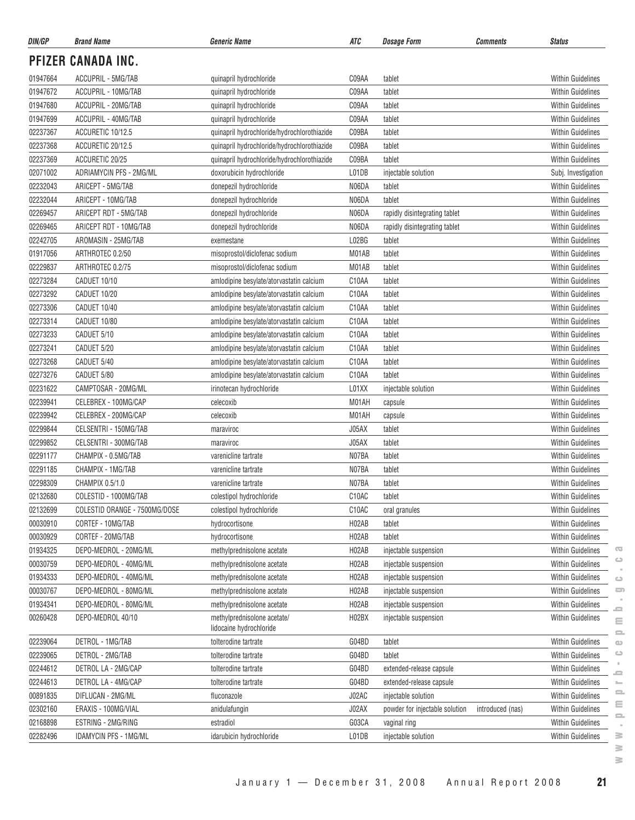| DIN/GP   | <b>Brand Name</b>             | <b>Generic Name</b>                         | ATC                | <b>Dosage Form</b><br><b>Comments</b>              | <b>Status</b>            |
|----------|-------------------------------|---------------------------------------------|--------------------|----------------------------------------------------|--------------------------|
|          | PFIZER CANADA INC.            |                                             |                    |                                                    |                          |
| 01947664 | ACCUPRIL - 5MG/TAB            | quinapril hydrochloride                     | C09AA              | tablet                                             | <b>Within Guidelines</b> |
| 01947672 | ACCUPRIL - 10MG/TAB           | quinapril hydrochloride                     | C09AA              | tablet                                             | <b>Within Guidelines</b> |
| 01947680 | ACCUPRIL - 20MG/TAB           | quinapril hydrochloride                     | C09AA              | tablet                                             | <b>Within Guidelines</b> |
| 01947699 | ACCUPRIL - 40MG/TAB           | quinapril hydrochloride                     | C09AA              | tablet                                             | <b>Within Guidelines</b> |
| 02237367 | ACCURETIC 10/12.5             | quinapril hydrochloride/hydrochlorothiazide | C09BA              | tablet                                             | <b>Within Guidelines</b> |
| 02237368 | ACCURETIC 20/12.5             | quinapril hydrochloride/hydrochlorothiazide | C09BA              | tablet                                             | <b>Within Guidelines</b> |
| 02237369 | ACCURETIC 20/25               | quinapril hydrochloride/hydrochlorothiazide | C09BA              | tablet                                             | <b>Within Guidelines</b> |
| 02071002 | ADRIAMYCIN PFS - 2MG/ML       | doxorubicin hydrochloride                   | L01DB              | injectable solution                                | Subj. Investigation      |
| 02232043 | ARICEPT - 5MG/TAB             | donepezil hydrochloride                     | N06DA              | tablet                                             | <b>Within Guidelines</b> |
| 02232044 | ARICEPT - 10MG/TAB            | donepezil hydrochloride                     | N06DA              | tablet                                             | <b>Within Guidelines</b> |
| 02269457 | ARICEPT RDT - 5MG/TAB         | donepezil hydrochloride                     | N06DA              | rapidly disintegrating tablet                      | <b>Within Guidelines</b> |
| 02269465 | ARICEPT RDT - 10MG/TAB        | donepezil hydrochloride                     | N06DA              | rapidly disintegrating tablet                      | <b>Within Guidelines</b> |
| 02242705 | AROMASIN - 25MG/TAB           | exemestane                                  | L02BG              | tablet                                             | <b>Within Guidelines</b> |
| 01917056 | ARTHROTEC 0.2/50              | misoprostol/diclofenac sodium               | M01AB              | tablet                                             | <b>Within Guidelines</b> |
| 02229837 | ARTHROTEC 0.2/75              | misoprostol/diclofenac sodium               | M01AB              | tablet                                             | Within Guidelines        |
| 02273284 | CADUET 10/10                  | amlodipine besylate/atorvastatin calcium    | C10AA              | tablet                                             | <b>Within Guidelines</b> |
| 02273292 | CADUET 10/20                  | amlodipine besylate/atorvastatin calcium    | C10AA              | tablet                                             | <b>Within Guidelines</b> |
| 02273306 | CADUET 10/40                  | amlodipine besylate/atorvastatin calcium    | C10AA              | tablet                                             | <b>Within Guidelines</b> |
| 02273314 | CADUET 10/80                  | amlodipine besylate/atorvastatin calcium    | C <sub>10</sub> AA | tablet                                             | <b>Within Guidelines</b> |
| 02273233 | CADUET 5/10                   | amlodipine besylate/atorvastatin calcium    | C10AA              | tablet                                             | <b>Within Guidelines</b> |
| 02273241 | CADUET 5/20                   | amlodipine besylate/atorvastatin calcium    | C10AA              | tablet                                             | <b>Within Guidelines</b> |
| 02273268 | CADUET 5/40                   | amlodipine besylate/atorvastatin calcium    | C10AA              | tablet                                             | <b>Within Guidelines</b> |
| 02273276 | CADUET 5/80                   | amlodipine besylate/atorvastatin calcium    | C <sub>10</sub> AA | tablet                                             | <b>Within Guidelines</b> |
| 02231622 | CAMPTOSAR - 20MG/ML           | irinotecan hydrochloride                    | L01XX              | injectable solution                                | <b>Within Guidelines</b> |
| 02239941 | CELEBREX - 100MG/CAP          | celecoxib                                   | M01AH              | capsule                                            | <b>Within Guidelines</b> |
| 02239942 | CELEBREX - 200MG/CAP          | celecoxib                                   | M01AH              | capsule                                            | <b>Within Guidelines</b> |
| 02299844 | CELSENTRI - 150MG/TAB         | maraviroc                                   | J05AX              | tablet                                             | <b>Within Guidelines</b> |
| 02299852 | CELSENTRI - 300MG/TAB         | maraviroc                                   | J05AX              | tablet                                             | <b>Within Guidelines</b> |
| 02291177 | CHAMPIX - 0.5MG/TAB           | varenicline tartrate                        | N07BA              | tablet                                             | <b>Within Guidelines</b> |
| 02291185 | CHAMPIX - 1MG/TAB             | varenicline tartrate                        | N07BA              | tablet                                             | <b>Within Guidelines</b> |
| 02298309 | CHAMPIX 0.5/1.0               | varenicline tartrate                        | N07BA              | tablet                                             | <b>Within Guidelines</b> |
| 02132680 | COLESTID - 1000MG/TAB         | colestipol hydrochloride                    | C10AC              | tablet                                             | <b>Within Guidelines</b> |
| 02132699 | COLESTID ORANGE - 7500MG/DOSE | colestipol hydrochloride                    | C10AC              | oral granules                                      | <b>Within Guidelines</b> |
| 00030910 | CORTEF - 10MG/TAB             | hydrocortisone                              | H02AB              | tablet                                             | Within Guidelines        |
| 00030929 | CORTEF - 20MG/TAB             | hydrocortisone                              | H02AB              | tablet                                             | <b>Within Guidelines</b> |
| 01934325 | DEPO-MEDROL - 20MG/ML         | methylprednisolone acetate                  | H <sub>02</sub> AB | injectable suspension                              | <b>Within Guidelines</b> |
| 00030759 | DEPO-MEDROL - 40MG/ML         | methylprednisolone acetate                  | H02AB              | injectable suspension                              | <b>Within Guidelines</b> |
| 01934333 | DEPO-MEDROL - 40MG/ML         | methylprednisolone acetate                  | H <sub>02</sub> AB | injectable suspension                              | <b>Within Guidelines</b> |
| 00030767 | DEPO-MEDROL - 80MG/ML         | methylprednisolone acetate                  | H02AB              | injectable suspension                              | Within Guidelines        |
| 01934341 | DEPO-MEDROL - 80MG/ML         | methylprednisolone acetate                  | H02AB              | injectable suspension                              | Within Guidelines        |
| 00260428 | DEPO-MEDROL 40/10             | methylprednisolone acetate/                 | H <sub>02</sub> BX | injectable suspension                              | <b>Within Guidelines</b> |
|          |                               | lidocaine hydrochloride                     |                    |                                                    |                          |
| 02239064 | DETROL - 1MG/TAB              | tolterodine tartrate                        | G04BD              | tablet                                             | Within Guidelines        |
| 02239065 | DETROL - 2MG/TAB              | tolterodine tartrate                        | G04BD              | tablet                                             | <b>Within Guidelines</b> |
| 02244612 | DETROL LA - 2MG/CAP           | tolterodine tartrate                        | G04BD              | extended-release capsule                           | <b>Within Guidelines</b> |
| 02244613 | DETROL LA - 4MG/CAP           | tolterodine tartrate                        | G04BD              | extended-release capsule                           | <b>Within Guidelines</b> |
| 00891835 | DIFLUCAN - 2MG/ML             | fluconazole                                 | J02AC              | injectable solution                                | <b>Within Guidelines</b> |
| 02302160 | ERAXIS - 100MG/VIAL           | anidulafungin                               | J02AX              | powder for injectable solution<br>introduced (nas) | Within Guidelines        |
| 02168898 | ESTRING - 2MG/RING            | estradiol                                   | G03CA              | vaginal ring                                       | <b>Within Guidelines</b> |
| 02282496 | <b>IDAMYCIN PFS - 1MG/ML</b>  | idarubicin hydrochloride                    | L01DB              | injectable solution                                | Within Guidelines        |
|          |                               |                                             |                    |                                                    |                          |

 $\geq$ 

 $\overline{\mathbb{C}}$  $\circ$  $\sim$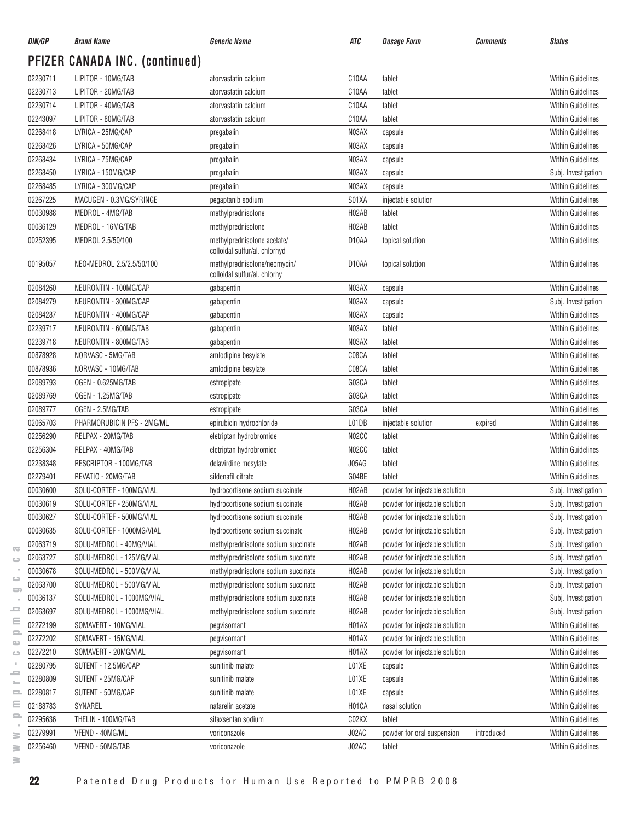| DIN/GP   | <b>Brand Name</b>                     | <b>Generic Name</b>                                          | ATC                | <b>Dosage Form</b><br><b>Comments</b>    | <b>Status</b>            |
|----------|---------------------------------------|--------------------------------------------------------------|--------------------|------------------------------------------|--------------------------|
|          | <b>PFIZER CANADA INC. (continued)</b> |                                                              |                    |                                          |                          |
| 02230711 | LIPITOR - 10MG/TAB                    | atorvastatin calcium                                         | C <sub>10</sub> AA | tablet                                   | <b>Within Guidelines</b> |
| 02230713 | LIPITOR - 20MG/TAB                    | atorvastatin calcium                                         | C10AA              | tablet                                   | <b>Within Guidelines</b> |
| 02230714 | LIPITOR - 40MG/TAB                    | atorvastatin calcium                                         | C10AA              | tablet                                   | <b>Within Guidelines</b> |
| 02243097 | LIPITOR - 80MG/TAB                    | atorvastatin calcium                                         | C10AA              | tablet                                   | <b>Within Guidelines</b> |
| 02268418 | LYRICA - 25MG/CAP                     | pregabalin                                                   | N03AX              | capsule                                  | <b>Within Guidelines</b> |
| 02268426 | LYRICA - 50MG/CAP                     | pregabalin                                                   | N03AX              | capsule                                  | <b>Within Guidelines</b> |
| 02268434 | LYRICA - 75MG/CAP                     | pregabalin                                                   | N03AX              | capsule                                  | <b>Within Guidelines</b> |
| 02268450 | LYRICA - 150MG/CAP                    | pregabalin                                                   | N03AX              | capsule                                  | Subj. Investigation      |
| 02268485 | LYRICA - 300MG/CAP                    | pregabalin                                                   | N03AX              | capsule                                  | <b>Within Guidelines</b> |
| 02267225 | MACUGEN - 0.3MG/SYRINGE               | pegaptanib sodium                                            | S01XA              | injectable solution                      | <b>Within Guidelines</b> |
| 00030988 | MEDROL - 4MG/TAB                      | methylprednisolone                                           | H02AB              | tablet                                   | <b>Within Guidelines</b> |
| 00036129 | MEDROL - 16MG/TAB                     | methylprednisolone                                           | H02AB              | tablet                                   | <b>Within Guidelines</b> |
| 00252395 | MEDROL 2.5/50/100                     | methylprednisolone acetate/<br>colloidal sulfur/al. chlorhyd | D10AA              | topical solution                         | <b>Within Guidelines</b> |
| 00195057 | NEO-MEDROL 2.5/2.5/50/100             | methylprednisolone/neomycin/<br>colloidal sulfur/al. chlorhy | D10AA              | topical solution                         | <b>Within Guidelines</b> |
| 02084260 | NEURONTIN - 100MG/CAP                 | gabapentin                                                   | N03AX              | capsule                                  | <b>Within Guidelines</b> |
| 02084279 | NEURONTIN - 300MG/CAP                 | gabapentin                                                   | N03AX              | capsule                                  | Subj. Investigation      |
| 02084287 | NEURONTIN - 400MG/CAP                 | gabapentin                                                   | N03AX              | capsule                                  | <b>Within Guidelines</b> |
| 02239717 | NEURONTIN - 600MG/TAB                 | gabapentin                                                   | N03AX              | tablet                                   | Within Guidelines        |
| 02239718 | NEURONTIN - 800MG/TAB                 | gabapentin                                                   | N03AX              | tablet                                   | <b>Within Guidelines</b> |
| 00878928 | NORVASC - 5MG/TAB                     | amlodipine besylate                                          | C08CA              | tablet                                   | <b>Within Guidelines</b> |
| 00878936 | NORVASC - 10MG/TAB                    | amlodipine besylate                                          | C08CA              | tablet                                   | <b>Within Guidelines</b> |
| 02089793 | OGEN - 0.625MG/TAB                    | estropipate                                                  | G03CA              | tablet                                   | <b>Within Guidelines</b> |
| 02089769 | OGEN - 1.25MG/TAB                     | estropipate                                                  | G03CA              | tablet                                   | <b>Within Guidelines</b> |
| 02089777 | OGEN - 2.5MG/TAB                      | estropipate                                                  | G03CA              | tablet                                   | <b>Within Guidelines</b> |
| 02065703 | PHARMORUBICIN PFS - 2MG/ML            | epirubicin hydrochloride                                     | L01DB              | injectable solution<br>expired           | <b>Within Guidelines</b> |
| 02256290 | RELPAX - 20MG/TAB                     | eletriptan hydrobromide                                      | N02CC              | tablet                                   | <b>Within Guidelines</b> |
| 02256304 | RELPAX - 40MG/TAB                     | eletriptan hydrobromide                                      | N02CC              | tablet                                   | <b>Within Guidelines</b> |
| 02238348 | RESCRIPTOR - 100MG/TAB                | delavirdine mesylate                                         | J05AG              | tablet                                   | <b>Within Guidelines</b> |
| 02279401 | REVATIO - 20MG/TAB                    | sildenafil citrate                                           | G04BE              | tablet                                   | <b>Within Guidelines</b> |
| 00030600 | SOLU-CORTEF - 100MG/VIAL              | hydrocortisone sodium succinate                              | H <sub>02</sub> AB | powder for injectable solution           | Subj. Investigation      |
| 00030619 | SOLU-CORTEF - 250MG/VIAL              | hydrocortisone sodium succinate                              | H02AB              | powder for injectable solution           | Subj. Investigation      |
| 00030627 | SOLU-CORTEF - 500MG/VIAL              | hydrocortisone sodium succinate                              | H02AB              | powder for injectable solution           | Subj. Investigation      |
| 00030635 | SOLU-CORTEF - 1000MG/VIAL             | hydrocortisone sodium succinate                              | H02AB              | powder for injectable solution           | Subj. Investigation      |
| 02063719 | SOLU-MEDROL - 40MG/VIAL               | methylprednisolone sodium succinate                          | H <sub>02</sub> AB | powder for injectable solution           | Subj. Investigation      |
| 02063727 | SOLU-MEDROL - 125MG/VIAL              | methylprednisolone sodium succinate                          | H02AB              | powder for injectable solution           | Subj. Investigation      |
| 00030678 | SOLU-MEDROL - 500MG/VIAL              | methylprednisolone sodium succinate                          | H <sub>02</sub> AB | powder for injectable solution           | Subj. Investigation      |
| 02063700 | SOLU-MEDROL - 500MG/VIAL              | methylprednisolone sodium succinate                          | H02AB              | powder for injectable solution           | Subj. Investigation      |
| 00036137 | SOLU-MEDROL - 1000MG/VIAL             | methylprednisolone sodium succinate                          | H02AB              | powder for injectable solution           | Subj. Investigation      |
| 02063697 | SOLU-MEDROL - 1000MG/VIAL             | methylprednisolone sodium succinate                          | H02AB              | powder for injectable solution           | Subj. Investigation      |
| 02272199 | SOMAVERT - 10MG/VIAL                  | pegvisomant                                                  | H01AX              | powder for injectable solution           | <b>Within Guidelines</b> |
| 02272202 | SOMAVERT - 15MG/VIAL                  | pegvisomant                                                  | H01AX              | powder for injectable solution           | <b>Within Guidelines</b> |
| 02272210 | SOMAVERT - 20MG/VIAL                  | pegvisomant                                                  | H01AX              | powder for injectable solution           | <b>Within Guidelines</b> |
| 02280795 | SUTENT - 12.5MG/CAP                   | sunitinib malate                                             | L01XE              | capsule                                  | Within Guidelines        |
| 02280809 | SUTENT - 25MG/CAP                     | sunitinib malate                                             | L01XE              | capsule                                  | <b>Within Guidelines</b> |
| 02280817 | SUTENT - 50MG/CAP                     |                                                              | L01XE              |                                          | Within Guidelines        |
| 02188783 | SYNAREL                               | sunitinib malate<br>nafarelin acetate                        | H01CA              | capsule<br>nasal solution                | <b>Within Guidelines</b> |
| 02295636 | THELIN - 100MG/TAB                    |                                                              | C02KX              |                                          | <b>Within Guidelines</b> |
|          |                                       | sitaxsentan sodium                                           |                    | tablet                                   |                          |
| 02279991 | VFEND - 40MG/ML                       | voriconazole                                                 | J02AC              | powder for oral suspension<br>introduced | <b>Within Guidelines</b> |
| 02256460 | VFEND - 50MG/TAB                      | voriconazole                                                 | J02AC              | tablet                                   | Within Guidelines        |

 $\overline{\infty}$  $\circ$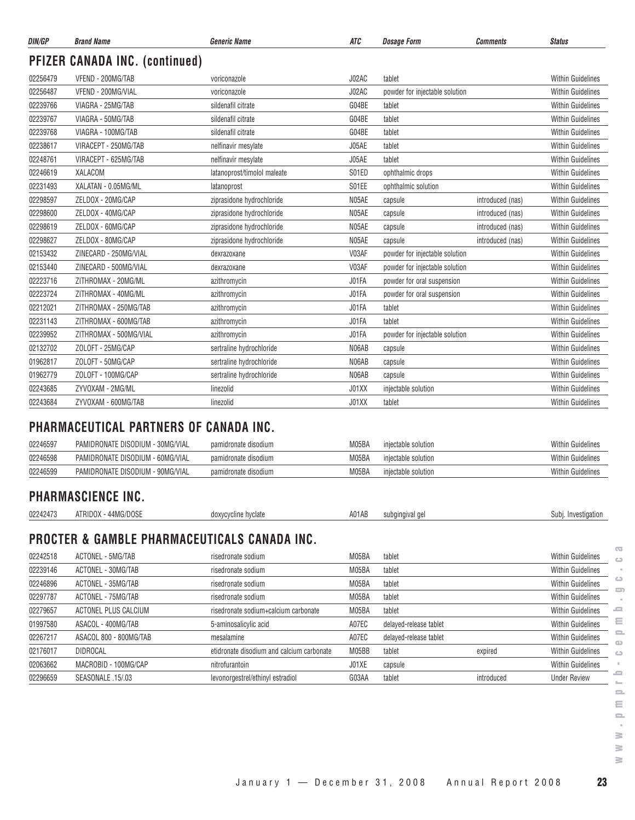| DIN/GP   | <b>Brand Name</b>                     | <b>Generic Name</b>         | <b>ATC</b> | <b>Dosage Form</b>             | <b>Comments</b>  | <b>Status</b>            |
|----------|---------------------------------------|-----------------------------|------------|--------------------------------|------------------|--------------------------|
|          | <b>PFIZER CANADA INC. (continued)</b> |                             |            |                                |                  |                          |
| 02256479 | VFEND - 200MG/TAB                     | voriconazole                | J02AC      | tablet                         |                  | <b>Within Guidelines</b> |
| 02256487 | VFEND - 200MG/VIAL                    | voriconazole                | J02AC      | powder for injectable solution |                  | <b>Within Guidelines</b> |
| 02239766 | VIAGRA - 25MG/TAB                     | sildenafil citrate          | G04BE      | tablet                         |                  | <b>Within Guidelines</b> |
| 02239767 | VIAGRA - 50MG/TAB                     | sildenafil citrate          | G04BE      | tablet                         |                  | <b>Within Guidelines</b> |
| 02239768 | VIAGRA - 100MG/TAB                    | sildenafil citrate          | G04BE      | tablet                         |                  | <b>Within Guidelines</b> |
| 02238617 | VIRACEPT - 250MG/TAB                  | nelfinavir mesylate         | J05AE      | tablet                         |                  | <b>Within Guidelines</b> |
| 02248761 | VIRACEPT - 625MG/TAB                  | nelfinavir mesylate         | J05AE      | tablet                         |                  | <b>Within Guidelines</b> |
| 02246619 | <b>XALACOM</b>                        | latanoprost/timolol maleate | S01ED      | ophthalmic drops               |                  | <b>Within Guidelines</b> |
| 02231493 | XALATAN - 0.05MG/ML                   | latanoprost                 | S01EE      | ophthalmic solution            |                  | <b>Within Guidelines</b> |
| 02298597 | ZELDOX - 20MG/CAP                     | ziprasidone hydrochloride   | N05AE      | capsule                        | introduced (nas) | <b>Within Guidelines</b> |
| 02298600 | ZELDOX - 40MG/CAP                     | ziprasidone hydrochloride   | N05AE      | capsule                        | introduced (nas) | <b>Within Guidelines</b> |
| 02298619 | ZELDOX - 60MG/CAP                     | ziprasidone hydrochloride   | N05AE      | capsule                        | introduced (nas) | <b>Within Guidelines</b> |
| 02298627 | ZELDOX - 80MG/CAP                     | ziprasidone hydrochloride   | N05AE      | capsule                        | introduced (nas) | <b>Within Guidelines</b> |
| 02153432 | ZINECARD - 250MG/VIAL                 | dexrazoxane                 | V03AF      | powder for injectable solution |                  | <b>Within Guidelines</b> |
| 02153440 | ZINECARD - 500MG/VIAL                 | dexrazoxane                 | V03AF      | powder for injectable solution |                  | <b>Within Guidelines</b> |
| 02223716 | ZITHROMAX - 20MG/ML                   | azithromycin                | J01FA      | powder for oral suspension     |                  | <b>Within Guidelines</b> |
| 02223724 | ZITHROMAX - 40MG/ML                   | azithromycin                | J01FA      | powder for oral suspension     |                  | <b>Within Guidelines</b> |
| 02212021 | ZITHROMAX - 250MG/TAB                 | azithromycin                | J01FA      | tablet                         |                  | <b>Within Guidelines</b> |
| 02231143 | ZITHROMAX - 600MG/TAB                 | azithromycin                | J01FA      | tablet                         |                  | <b>Within Guidelines</b> |
| 02239952 | ZITHROMAX - 500MG/VIAL                | azithromycin                | J01FA      | powder for injectable solution |                  | <b>Within Guidelines</b> |
| 02132702 | ZOLOFT - 25MG/CAP                     | sertraline hydrochloride    | N06AB      | capsule                        |                  | <b>Within Guidelines</b> |
| 01962817 | ZOLOFT - 50MG/CAP                     | sertraline hydrochloride    | N06AB      | capsule                        |                  | <b>Within Guidelines</b> |
| 01962779 | ZOLOFT - 100MG/CAP                    | sertraline hydrochloride    | N06AB      | capsule                        |                  | <b>Within Guidelines</b> |
| 02243685 | ZYVOXAM - 2MG/ML                      | linezolid                   | J01XX      | injectable solution            |                  | <b>Within Guidelines</b> |
| 02243684 | ZYVOXAM - 600MG/TAB                   | linezolid                   | J01XX      | tablet                         |                  | <b>Within Guidelines</b> |

#### **PHARMACEUTICAL PARTNERS OF CANADA INC.**

| 02246597 | ' - 30MG/VIAL<br>PAMIDRONATE DISODIUM | pamidronate disodium | M05B/  | iniectable solution | <b>Within Guidelines</b> |
|----------|---------------------------------------|----------------------|--------|---------------------|--------------------------|
| 02246598 | PAMIDRONATE DISODIUM - 60MG/VIAL      | pamidronate disodium | M05B/  | injectable solution | <b>Within Guidelines</b> |
| 02246599 | PAMIDRONATE DISODIUM - 90MG/VIAL      | pamidronate disodium | .M05BA | injectable solution | <b>Within Guidelines</b> |

#### **PHARMASCIENCE INC.**

| 02242473 | ./DOSF<br><b>DOV</b><br>AINIUUA<br>TIVIL.<br>$\sim$ $\sim$ | hyclate<br>doxycycline | A01AB | suboinoival oe | Investigation |
|----------|------------------------------------------------------------|------------------------|-------|----------------|---------------|
|          |                                                            |                        |       |                |               |

# **PROCTER & GAMBLE PHARMACEUTICALS CANADA INC.**

|          |                        |                                           |       |                        |            | $\overline{\mathbf{G}}$             |
|----------|------------------------|-------------------------------------------|-------|------------------------|------------|-------------------------------------|
| 02242518 | ACTONEL - 5MG/TAB      | risedronate sodium                        | M05BA | tablet                 |            | <b>Within Guidelines</b>            |
| 02239146 | ACTONEL - 30MG/TAB     | risedronate sodium                        | M05BA | tablet                 |            | <b>Within Guidelines</b>            |
| 02246896 | ACTONEL - 35MG/TAB     | risedronate sodium                        | M05BA | tablet                 |            | $\circ$<br><b>Within Guidelines</b> |
| 02297787 | ACTONEL - 75MG/TAB     | risedronate sodium                        | M05BA | tablet                 |            | <b>Within Guidelines</b>            |
| 02279657 | ACTONEL PLUS CALCIUM   | risedronate sodium+calcium carbonate      | M05BA | tablet                 |            | ᆖ<br><b>Within Guidelines</b>       |
| 01997580 | ASACOL - 400MG/TAB     | 5-aminosalicylic acid                     | A07EC | delayed-release tablet |            | Ξ<br><b>Within Guidelines</b>       |
| 02267217 | ASACOL 800 - 800MG/TAB | mesalamine                                | A07EC | delayed-release tablet |            | <b>Within Guidelines</b>            |
| 02176017 | <b>DIDROCAL</b>        | etidronate disodium and calcium carbonate | M05BB | tablet                 | expired    | <b>Within Guidelines</b>            |
| 02063662 | MACROBID - 100MG/CAP   | nitrofurantoin                            | J01XE | capsule                |            | <b>Within Guidelines</b>            |
| 02296659 | SEASONALE .15/.03      | levonorgestrel/ethinyl estradiol          | G03AA | tablet                 | introduced | -<br><b>Under Review</b>            |
|          |                        |                                           |       |                        |            |                                     |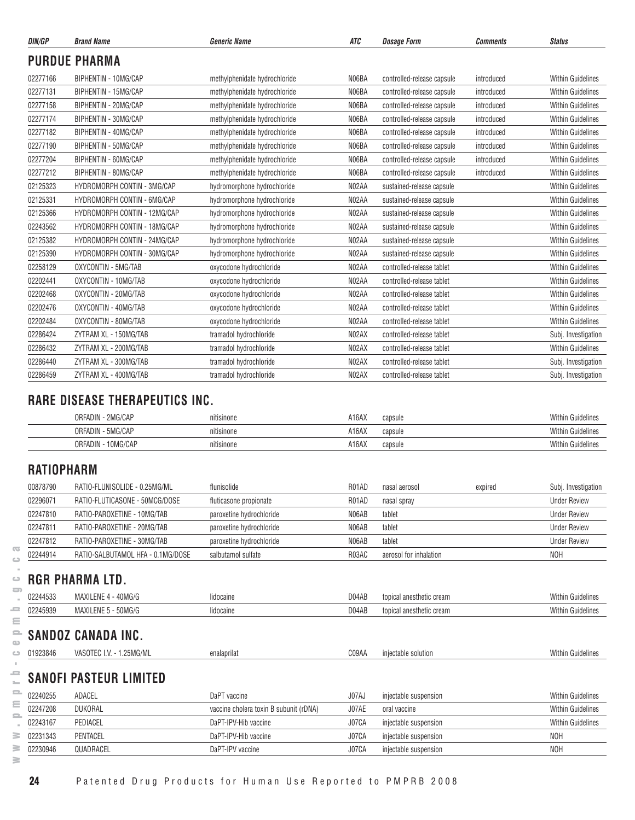| DIN/GP   | <b>Brand Name</b>                                     | <b>Generic Name</b>           | <b>ATC</b><br><b>Dosage Form</b> |                            | <b>Comments</b> | <b>Status</b>            |
|----------|-------------------------------------------------------|-------------------------------|----------------------------------|----------------------------|-----------------|--------------------------|
|          | <b>PURDUE PHARMA</b>                                  |                               |                                  |                            |                 |                          |
| 02277166 | BIPHENTIN - 10MG/CAP                                  | methylphenidate hydrochloride | N06BA                            | controlled-release capsule | introduced      | <b>Within Guidelines</b> |
| 02277131 | <b>BIPHENTIN - 15MG/CAP</b>                           | methylphenidate hydrochloride | N06BA                            | controlled-release capsule | introduced      | <b>Within Guidelines</b> |
| 02277158 | BIPHENTIN - 20MG/CAP                                  | methylphenidate hydrochloride | N06BA                            | controlled-release capsule | introduced      | <b>Within Guidelines</b> |
| 02277174 | BIPHENTIN - 30MG/CAP                                  | methylphenidate hydrochloride | N06BA                            | controlled-release capsule | introduced      | <b>Within Guidelines</b> |
| 02277182 | BIPHENTIN - 40MG/CAP<br>methylphenidate hydrochloride |                               | N06BA                            | controlled-release capsule | introduced      | <b>Within Guidelines</b> |
| 02277190 | BIPHENTIN - 50MG/CAP                                  | methylphenidate hydrochloride | N06BA                            | controlled-release capsule | introduced      | <b>Within Guidelines</b> |
| 02277204 | BIPHENTIN - 60MG/CAP                                  | methylphenidate hydrochloride | N06BA                            | controlled-release capsule | introduced      | <b>Within Guidelines</b> |
| 02277212 | BIPHENTIN - 80MG/CAP                                  | methylphenidate hydrochloride | N06BA                            | controlled-release capsule | introduced      | <b>Within Guidelines</b> |
| 02125323 | HYDROMORPH CONTIN - 3MG/CAP                           | hydromorphone hydrochloride   | N02AA                            | sustained-release capsule  |                 | <b>Within Guidelines</b> |
| 02125331 | HYDROMORPH CONTIN - 6MG/CAP                           | hydromorphone hydrochloride   | N02AA                            | sustained-release capsule  |                 | <b>Within Guidelines</b> |
| 02125366 | HYDROMORPH CONTIN - 12MG/CAP                          | hydromorphone hydrochloride   | N02AA                            | sustained-release capsule  |                 | <b>Within Guidelines</b> |
| 02243562 | HYDROMORPH CONTIN - 18MG/CAP                          | hydromorphone hydrochloride   | N02AA                            | sustained-release capsule  |                 | <b>Within Guidelines</b> |
| 02125382 | HYDROMORPH CONTIN - 24MG/CAP                          | hydromorphone hydrochloride   | N02AA                            | sustained-release capsule  |                 | <b>Within Guidelines</b> |
| 02125390 | HYDROMORPH CONTIN - 30MG/CAP                          | hydromorphone hydrochloride   | N02AA                            | sustained-release capsule  |                 | <b>Within Guidelines</b> |
| 02258129 | OXYCONTIN - 5MG/TAB                                   | oxycodone hydrochloride       | N02AA                            | controlled-release tablet  |                 | <b>Within Guidelines</b> |
| 02202441 | OXYCONTIN - 10MG/TAB                                  | oxycodone hydrochloride       | N02AA                            | controlled-release tablet  |                 | <b>Within Guidelines</b> |
| 02202468 | OXYCONTIN - 20MG/TAB                                  | oxycodone hydrochloride       | N02AA                            | controlled-release tablet  |                 | <b>Within Guidelines</b> |
| 02202476 | OXYCONTIN - 40MG/TAB                                  | oxycodone hydrochloride       | N02AA                            | controlled-release tablet  |                 | <b>Within Guidelines</b> |
| 02202484 | OXYCONTIN - 80MG/TAB                                  | oxycodone hydrochloride       | N02AA                            | controlled-release tablet  |                 | <b>Within Guidelines</b> |
| 02286424 | ZYTRAM XL - 150MG/TAB                                 | tramadol hydrochloride        | N02AX                            | controlled-release tablet  |                 | Subj. Investigation      |
| 02286432 | ZYTRAM XL - 200MG/TAB                                 | tramadol hydrochloride        | N02AX                            | controlled-release tablet  |                 | <b>Within Guidelines</b> |
| 02286440 | ZYTRAM XL - 300MG/TAB                                 | tramadol hydrochloride        | N02AX                            | controlled-release tablet  |                 | Subj. Investigation      |
| 02286459 | ZYTRAM XL - 400MG/TAB                                 | tramadol hydrochloride        | N02AX                            | controlled-release tablet  |                 | Subj. Investigation      |
|          | <b>DADE DICEACE THEDADEIITICS INC.</b>                |                               |                                  |                            |                 |                          |

#### **RARE DISEASE THERAPEUTICS INC.**

| 2MG/CAP             | 1.1        | A16AX            | <b>Within Guidelines</b> |
|---------------------|------------|------------------|--------------------------|
| ORFADIN             | nitisinone | capsule          |                          |
| I - 5MG/CAP         |            | A16AX            | <b>Within Guidelines</b> |
| ORFADIN             | nitisinone | capsule          |                          |
| 10MG/CAP<br>ORFADIN | nitisinone | A16AX<br>capsule | Within Guidelines        |

## **RATIOPHARM**

| 00878790 | RATIO-FLUNISOLIDE - 0.25MG/ML     | flunisolide              | R01AD | nasal aerosol          | expired | Subj. Investigation |
|----------|-----------------------------------|--------------------------|-------|------------------------|---------|---------------------|
| 02296071 | RATIO-FLUTICASONE - 50MCG/DOSE    | fluticasone propionate   | R01AD | nasal spray            |         | <b>Under Review</b> |
| 02247810 | RATIO-PAROXETINE - 10MG/TAB       | paroxetine hydrochloride | N06AB | tablet                 |         | <b>Under Review</b> |
| 02247811 | RATIO-PAROXETINE - 20MG/TAB       | paroxetine hydrochloride | N06AB | tablet                 |         | <b>Under Review</b> |
| 02247812 | RATIO-PAROXETINE - 30MG/TAB       | paroxetine hydrochloride | N06AB | tablet                 |         | <b>Under Review</b> |
| 02244914 | RATIO-SALBUTAMOL HFA - 0.1MG/DOSE | salbutamol sulfate       | R03AC | aerosol for inhalation |         | <b>NOH</b>          |

## **RGR PHARMA LTD.**

| 02244533 | MAXILENE 4 - 40MG/G           | lidocaine                              | D04AB | topical anesthetic cream | <b>Within Guidelines</b> |
|----------|-------------------------------|----------------------------------------|-------|--------------------------|--------------------------|
| 02245939 | MAXILENE 5 - 50MG/G           | lidocaine                              | D04AB | topical anesthetic cream | <b>Within Guidelines</b> |
|          |                               |                                        |       |                          |                          |
|          | <b>SANDOZ CANADA INC.</b>     |                                        |       |                          |                          |
| 01923846 | VASOTEC I.V. - 1.25MG/ML      | enalaprilat                            | C09AA | injectable solution      | <b>Within Guidelines</b> |
|          |                               |                                        |       |                          |                          |
|          | <b>SANOFI PASTEUR LIMITED</b> |                                        |       |                          |                          |
| 02240255 | ADACEL                        | DaPT vaccine                           | J07AJ | injectable suspension    | <b>Within Guidelines</b> |
| 02247208 | <b>DUKORAL</b>                | vaccine cholera toxin B subunit (rDNA) | J07AE | oral vaccine             | <b>Within Guidelines</b> |
| 02243167 | PEDIACEL                      | DaPT-IPV-Hib vaccine                   | J07CA | injectable suspension    | <b>Within Guidelines</b> |
| 02231343 | PENTACEL                      | DaPT-IPV-Hib vaccine                   | J07CA | injectable suspension    | <b>NOH</b>               |

 $\overline{\text{C}}$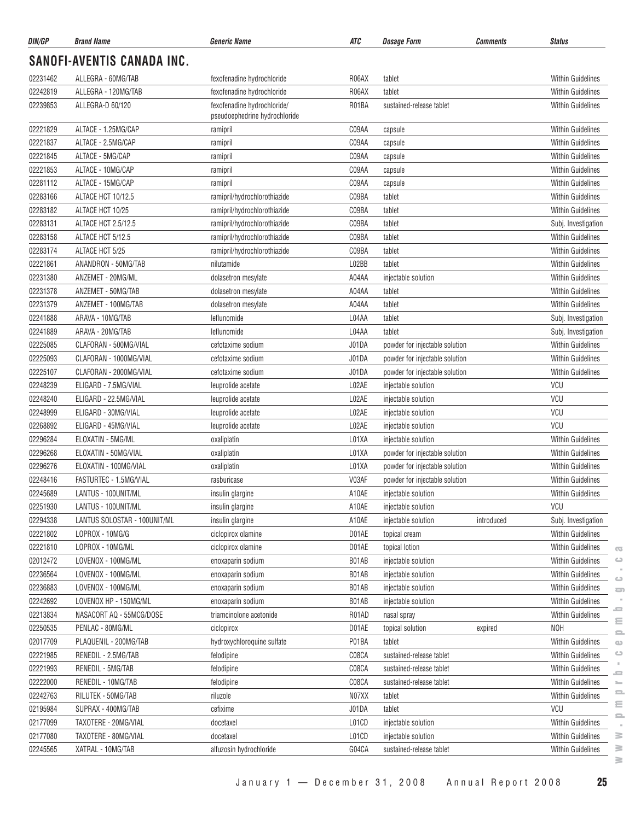| DIN/GP   | <b>Brand Name</b>                 | <b>Generic Name</b>                                          | ATC   | <b>Dosage Form</b>             | <b>Comments</b> | <b>Status</b>            |
|----------|-----------------------------------|--------------------------------------------------------------|-------|--------------------------------|-----------------|--------------------------|
|          | <b>SANOFI-AVENTIS CANADA INC.</b> |                                                              |       |                                |                 |                          |
| 02231462 | ALLEGRA - 60MG/TAB                | fexofenadine hydrochloride                                   | R06AX | tablet                         |                 | <b>Within Guidelines</b> |
| 02242819 | ALLEGRA - 120MG/TAB               | fexofenadine hydrochloride                                   | R06AX | tablet                         |                 | <b>Within Guidelines</b> |
| 02239853 | ALLEGRA-D 60/120                  | fexofenadine hydrochloride/<br>pseudoephedrine hydrochloride | R01BA | sustained-release tablet       |                 | <b>Within Guidelines</b> |
| 02221829 | ALTACE - 1.25MG/CAP               | ramipril                                                     | C09AA | capsule                        |                 | <b>Within Guidelines</b> |
| 02221837 | ALTACE - 2.5MG/CAP                | ramipril                                                     | C09AA | capsule                        |                 | <b>Within Guidelines</b> |
| 02221845 | ALTACE - 5MG/CAP                  | ramipril                                                     | C09AA | capsule                        |                 | <b>Within Guidelines</b> |
| 02221853 | ALTACE - 10MG/CAP                 | ramipril                                                     | C09AA | capsule                        |                 | <b>Within Guidelines</b> |
| 02281112 | ALTACE - 15MG/CAP                 | ramipril                                                     | C09AA | capsule                        |                 | <b>Within Guidelines</b> |
| 02283166 | ALTACE HCT 10/12.5                | ramipril/hydrochlorothiazide                                 | C09BA | tablet                         |                 | <b>Within Guidelines</b> |
| 02283182 | ALTACE HCT 10/25                  | ramipril/hydrochlorothiazide                                 | C09BA | tablet                         |                 | <b>Within Guidelines</b> |
| 02283131 | <b>ALTACE HCT 2.5/12.5</b>        | ramipril/hydrochlorothiazide                                 | C09BA | tablet                         |                 | Subj. Investigation      |
| 02283158 | ALTACE HCT 5/12.5                 | ramipril/hydrochlorothiazide                                 | C09BA | tablet                         |                 | <b>Within Guidelines</b> |
| 02283174 | ALTACE HCT 5/25                   | ramipril/hydrochlorothiazide                                 | C09BA | tablet                         |                 | <b>Within Guidelines</b> |
| 02221861 | ANANDRON - 50MG/TAB               | nilutamide                                                   | L02BB | tablet                         |                 | <b>Within Guidelines</b> |
| 02231380 | ANZEMET - 20MG/ML                 | dolasetron mesylate                                          | A04AA | injectable solution            |                 | <b>Within Guidelines</b> |
| 02231378 | ANZEMET - 50MG/TAB                | dolasetron mesylate                                          | A04AA | tablet                         |                 | <b>Within Guidelines</b> |
| 02231379 | ANZEMET - 100MG/TAB               | dolasetron mesylate                                          | A04AA | tablet                         |                 | <b>Within Guidelines</b> |
| 02241888 | ARAVA - 10MG/TAB                  | leflunomide                                                  | L04AA | tablet                         |                 | Subj. Investigation      |
| 02241889 | ARAVA - 20MG/TAB                  | leflunomide                                                  | L04AA | tablet                         |                 | Subj. Investigation      |
| 02225085 | CLAFORAN - 500MG/VIAL             | cefotaxime sodium                                            | J01DA | powder for injectable solution |                 | <b>Within Guidelines</b> |
| 02225093 | CLAFORAN - 1000MG/VIAL            | cefotaxime sodium                                            | J01DA | powder for injectable solution |                 | <b>Within Guidelines</b> |
| 02225107 | CLAFORAN - 2000MG/VIAL            | cefotaxime sodium                                            | J01DA | powder for injectable solution |                 | <b>Within Guidelines</b> |
| 02248239 | ELIGARD - 7.5MG/VIAL              | leuprolide acetate                                           | L02AE | injectable solution            |                 | VCU                      |
| 02248240 | ELIGARD - 22.5MG/VIAL             | leuprolide acetate                                           | L02AE | injectable solution            |                 | VCU                      |
| 02248999 | ELIGARD - 30MG/VIAL               | leuprolide acetate                                           | L02AE | injectable solution            |                 | <b>VCU</b>               |
| 02268892 | ELIGARD - 45MG/VIAL               | leuprolide acetate                                           | L02AE | injectable solution            |                 | <b>VCU</b>               |
| 02296284 | ELOXATIN - 5MG/ML                 | oxaliplatin                                                  | L01XA | injectable solution            |                 | <b>Within Guidelines</b> |
| 02296268 | ELOXATIN - 50MG/VIAL              | oxaliplatin                                                  | L01XA | powder for injectable solution |                 | <b>Within Guidelines</b> |
| 02296276 | ELOXATIN - 100MG/VIAL             | oxaliplatin                                                  | L01XA | powder for injectable solution |                 | <b>Within Guidelines</b> |
| 02248416 | FASTURTEC - 1.5MG/VIAL            | rasburicase                                                  | V03AF | powder for injectable solution |                 | <b>Within Guidelines</b> |
| 02245689 | LANTUS - 100UNIT/ML               | insulin glargine                                             | A10AE | injectable solution            |                 | Within Guidelines        |
| 02251930 | LANTUS - 100UNIT/ML               | insulin glargine                                             | A10AE | injectable solution            |                 | <b>VCU</b>               |
| 02294338 | LANTUS SOLOSTAR - 100UNIT/ML      | insulin glargine                                             | A10AE | injectable solution            | introduced      | Subj. Investigation      |
| 02221802 | LOPROX - 10MG/G                   | ciclopirox olamine                                           | D01AE | topical cream                  |                 | Within Guidelines        |
| 02221810 | LOPROX - 10MG/ML                  | ciclopirox olamine                                           | D01AE | topical lotion                 |                 | Within Guidelines        |
| 02012472 | LOVENOX - 100MG/ML                | enoxaparin sodium                                            | B01AB | injectable solution            |                 | Within Guidelines        |
| 02236564 | LOVENOX - 100MG/ML                | enoxaparin sodium                                            | B01AB | injectable solution            |                 | Within Guidelines        |
| 02236883 | LOVENOX - 100MG/ML                | enoxaparin sodium                                            | B01AB | injectable solution            |                 | Within Guidelines        |
| 02242692 | LOVENOX HP - 150MG/ML             | enoxaparin sodium                                            | B01AB | injectable solution            |                 | <b>Within Guidelines</b> |
| 02213834 | NASACORT AQ - 55MCG/DOSE          | triamcinolone acetonide                                      | R01AD | nasal spray                    |                 | <b>Within Guidelines</b> |
| 02250535 | PENLAC - 80MG/ML                  | ciclopirox                                                   | D01AE | topical solution               | expired         | <b>NOH</b>               |
| 02017709 | PLAQUENIL - 200MG/TAB             | hydroxychloroquine sulfate                                   | P01BA | tablet                         |                 | Within Guidelines        |
| 02221985 | RENEDIL - 2.5MG/TAB               | felodipine                                                   | C08CA | sustained-release tablet       |                 | Within Guidelines        |
| 02221993 | RENEDIL - 5MG/TAB                 | felodipine                                                   | C08CA | sustained-release tablet       |                 | Within Guidelines        |
| 02222000 | RENEDIL - 10MG/TAB                | felodipine                                                   | C08CA | sustained-release tablet       |                 | Within Guidelines        |
| 02242763 | RILUTEK - 50MG/TAB                | riluzole                                                     | N07XX | tablet                         |                 | <b>Within Guidelines</b> |
| 02195984 | SUPRAX - 400MG/TAB                | cefixime                                                     | J01DA | tablet                         |                 | VCU                      |
| 02177099 | TAXOTERE - 20MG/VIAL              | docetaxel                                                    | L01CD | injectable solution            |                 | Within Guidelines        |
| 02177080 | TAXOTERE - 80MG/VIAL              | docetaxel                                                    | L01CD | injectable solution            |                 | Within Guidelines        |
| 02245565 | XATRAL - 10MG/TAB                 | alfuzosin hydrochloride                                      | G04CA | sustained-release tablet       |                 | Within Guidelines        |
|          |                                   |                                                              |       |                                |                 |                          |

 $\geq$ 

 $\overline{\mathbb{C}}$  $\circ$  $\sim$  $\circ$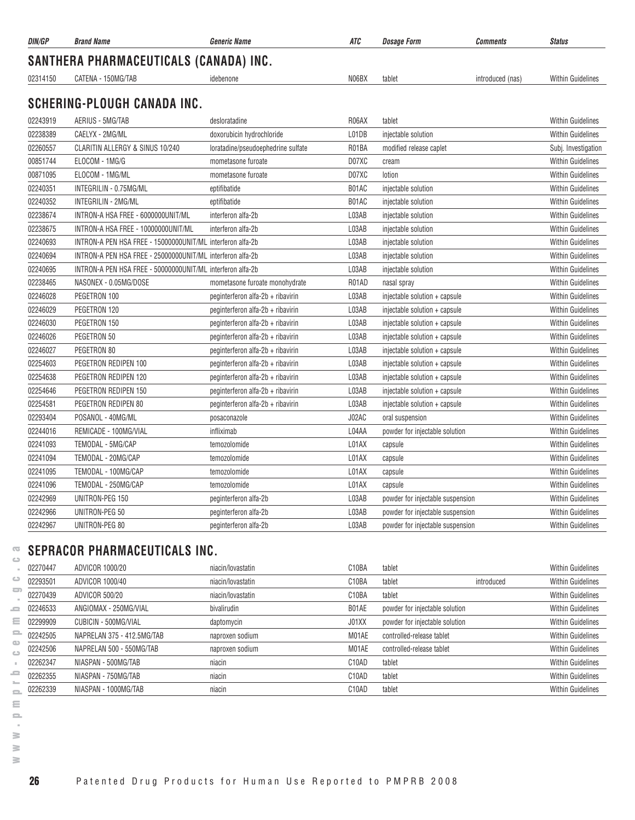| SANTHERA PHARMACEUTICALS (CANADA) INC.<br>N06BX<br>02314150<br>CATENA - 150MG/TAB<br>tablet<br>introduced (nas)<br>idebenone | <b>Within Guidelines</b> |
|------------------------------------------------------------------------------------------------------------------------------|--------------------------|
|                                                                                                                              |                          |
|                                                                                                                              |                          |
| SCHERING-PLOUGH CANADA INC.                                                                                                  |                          |
| 02243919<br>AERIUS - 5MG/TAB<br>desloratadine<br>R06AX<br>tablet                                                             | <b>Within Guidelines</b> |
| 02238389<br>CAELYX - 2MG/ML<br>doxorubicin hydrochloride<br>L01DB<br>injectable solution                                     | <b>Within Guidelines</b> |
| 02260557<br>CLARITIN ALLERGY & SINUS 10/240<br>R01BA<br>loratadine/pseudoephedrine sulfate<br>modified release caplet        | Subj. Investigation      |
| 00851744<br>ELOCOM - 1MG/G<br>D07XC<br>mometasone furoate<br>cream                                                           | Within Guidelines        |
| 00871095<br>D07XC<br>ELOCOM - 1MG/ML<br>mometasone furoate<br>lotion                                                         | <b>Within Guidelines</b> |
| 02240351<br>INTEGRILIN - 0.75MG/ML<br>B01AC<br>eptifibatide<br>injectable solution                                           | <b>Within Guidelines</b> |
| 02240352<br>INTEGRILIN - 2MG/ML<br>B01AC<br>eptifibatide<br>injectable solution                                              | <b>Within Guidelines</b> |
| 02238674<br>INTRON-A HSA FREE - 6000000UNIT/ML<br>L03AB<br>interferon alfa-2b<br>injectable solution                         | <b>Within Guidelines</b> |
| 02238675<br>INTRON-A HSA FREE - 10000000UNIT/ML<br>interferon alfa-2b<br>L03AB<br>injectable solution                        | <b>Within Guidelines</b> |
| 02240693<br>INTRON-A PEN HSA FREE - 15000000UNIT/ML interferon alfa-2b<br>L03AB<br>injectable solution                       | <b>Within Guidelines</b> |
| 02240694<br>INTRON-A PEN HSA FREE - 25000000UNIT/ML interferon alfa-2b<br>L03AB<br>injectable solution                       | <b>Within Guidelines</b> |
| 02240695<br>INTRON-A PEN HSA FREE - 50000000UNIT/ML interferon alfa-2b<br>L03AB<br>injectable solution                       | <b>Within Guidelines</b> |
| 02238465<br>NASONEX - 0.05MG/DOSE<br>R01AD<br>mometasone furoate monohydrate<br>nasal spray                                  | <b>Within Guidelines</b> |
| 02246028<br>PEGETRON 100<br>peginterferon alfa-2b + ribavirin<br>L03AB<br>injectable solution + capsule                      | <b>Within Guidelines</b> |
| 02246029<br>PEGETRON 120<br>peginterferon alfa-2b + ribavirin<br>L03AB<br>injectable solution + capsule                      | Within Guidelines        |
| 02246030<br>L03AB<br>PEGETRON 150<br>peginterferon alfa-2b + ribavirin<br>injectable solution + capsule                      | <b>Within Guidelines</b> |
| 02246026<br>PEGETRON 50<br>peginterferon alfa-2b + ribavirin<br>L03AB<br>injectable solution + capsule                       | <b>Within Guidelines</b> |
| 02246027<br>PEGETRON 80<br>peginterferon alfa-2b + ribavirin<br>L03AB<br>injectable solution + capsule                       | <b>Within Guidelines</b> |
| 02254603<br>PEGETRON REDIPEN 100<br>peginterferon alfa-2b + ribavirin<br>L03AB<br>injectable solution + capsule              | <b>Within Guidelines</b> |
| 02254638<br>PEGETRON REDIPEN 120<br>peginterferon alfa-2b + ribavirin<br>L03AB<br>injectable solution + capsule              | <b>Within Guidelines</b> |
| 02254646<br>PEGETRON REDIPEN 150<br>peginterferon alfa-2b + ribavirin<br>L03AB<br>injectable solution + capsule              | <b>Within Guidelines</b> |
| 02254581<br>PEGETRON REDIPEN 80<br>peginterferon alfa-2b + ribavirin<br>L03AB<br>injectable solution + capsule               | <b>Within Guidelines</b> |
| 02293404<br>POSANOL - 40MG/ML<br>J02AC<br>oral suspension<br>posaconazole                                                    | <b>Within Guidelines</b> |
| 02244016<br>L04AA<br>REMICADE - 100MG/VIAL<br>infliximab<br>powder for injectable solution                                   | <b>Within Guidelines</b> |
| 02241093<br>TEMODAL - 5MG/CAP<br>temozolomide<br>L01AX<br>capsule                                                            | <b>Within Guidelines</b> |
| 02241094<br>TEMODAL - 20MG/CAP<br>L01AX<br>temozolomide<br>capsule                                                           | <b>Within Guidelines</b> |
| 02241095<br>TEMODAL - 100MG/CAP<br>L01AX<br>temozolomide<br>capsule                                                          | Within Guidelines        |
| 02241096<br>TEMODAL - 250MG/CAP<br>temozolomide<br>L01AX<br>capsule                                                          | <b>Within Guidelines</b> |
| 02242969<br>UNITRON-PEG 150<br>L03AB<br>peginterferon alfa-2b<br>powder for injectable suspension                            | <b>Within Guidelines</b> |
| 02242966<br>UNITRON-PEG 50<br>peginterferon alfa-2b<br>L03AB<br>powder for injectable suspension                             | <b>Within Guidelines</b> |
| 02242967<br>L03AB<br>UNITRON-PEG 80<br>peginterferon alfa-2b<br>powder for injectable suspension                             | <b>Within Guidelines</b> |

# **SEPRACOR PHARMACEUTICALS INC.**

| 02270447 | ADVICOR 1000/20            | niacin/lovastatin | C10BA              | tablet                         |            | <b>Within Guidelines</b> |
|----------|----------------------------|-------------------|--------------------|--------------------------------|------------|--------------------------|
| 02293501 | ADVICOR 1000/40            | niacin/lovastatin | C <sub>10</sub> BA | tablet                         | introduced | <b>Within Guidelines</b> |
| 02270439 | ADVICOR 500/20             | niacin/lovastatin | C <sub>10</sub> BA | tablet                         |            | <b>Within Guidelines</b> |
| 02246533 | ANGIOMAX - 250MG/VIAL      | bivalirudin       | B01AE              | powder for injectable solution |            | <b>Within Guidelines</b> |
| 02299909 | CUBICIN - 500MG/VIAL       | daptomycin        | J01XX              | powder for injectable solution |            | <b>Within Guidelines</b> |
| 02242505 | NAPRELAN 375 - 412.5MG/TAB | naproxen sodium   | M01AE              | controlled-release tablet      |            | <b>Within Guidelines</b> |
| 02242506 | NAPRELAN 500 - 550MG/TAB   | naproxen sodium   | M01AE              | controlled-release tablet      |            | <b>Within Guidelines</b> |
| 02262347 | NIASPAN - 500MG/TAB        | niacin            | C <sub>10</sub> AD | tablet                         |            | <b>Within Guidelines</b> |
| 02262355 | NIASPAN - 750MG/TAB        | niacin            | C <sub>10</sub> AD | tablet                         |            | <b>Within Guidelines</b> |
| 02262339 | NIASPAN - 1000MG/TAB       | niacin            | C10AD              | tablet                         |            | <b>Within Guidelines</b> |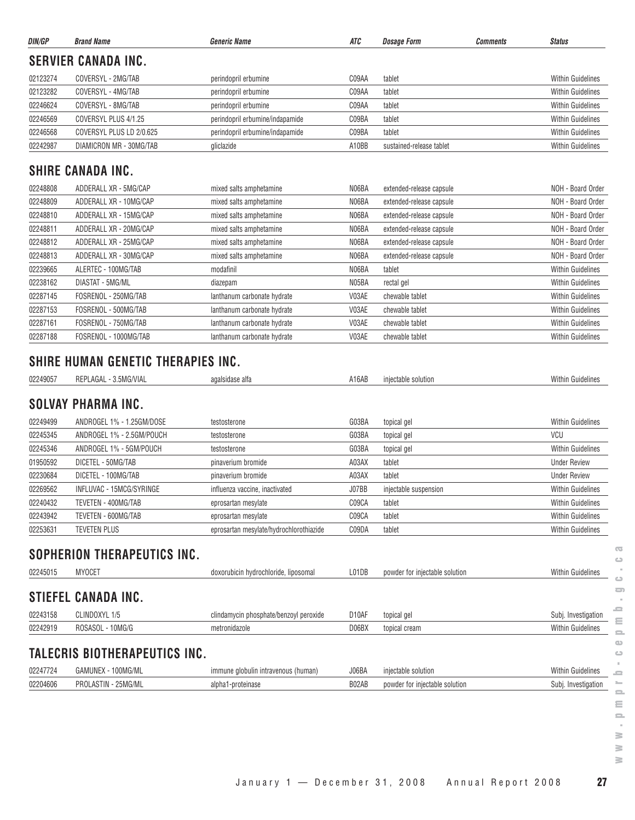| DIN/GP   | <b>Brand Name</b>                                                                 | <b>Generic Name</b>                     | ATC                | <b>Dosage Form</b>             | Comments | <b>Status</b>            |
|----------|-----------------------------------------------------------------------------------|-----------------------------------------|--------------------|--------------------------------|----------|--------------------------|
|          | <b>SERVIER CANADA INC.</b>                                                        |                                         |                    |                                |          |                          |
| 02123274 | COVERSYL - 2MG/TAB                                                                | perindopril erbumine                    | C09AA              | tablet                         |          | <b>Within Guidelines</b> |
| 02123282 | COVERSYL - 4MG/TAB                                                                | perindopril erbumine                    | C09AA              | tablet                         |          | <b>Within Guidelines</b> |
| 02246624 | COVERSYL - 8MG/TAB                                                                | perindopril erbumine                    | C09AA              | tablet                         |          | <b>Within Guidelines</b> |
| 02246569 | COVERSYL PLUS 4/1.25                                                              | perindopril erbumine/indapamide         | C09BA              | tablet                         |          | <b>Within Guidelines</b> |
| 02246568 | COVERSYL PLUS LD 2/0.625                                                          | perindopril erbumine/indapamide         | C09BA              | tablet                         |          | <b>Within Guidelines</b> |
| 02242987 | DIAMICRON MR - 30MG/TAB                                                           | gliclazide                              | A10BB              | sustained-release tablet       |          | <b>Within Guidelines</b> |
|          | SHIRE CANADA INC.                                                                 |                                         |                    |                                |          |                          |
| 02248808 | ADDERALL XR - 5MG/CAP                                                             | mixed salts amphetamine                 | N06BA              | extended-release capsule       |          | NOH - Board Order        |
| 02248809 | ADDERALL XR - 10MG/CAP                                                            | mixed salts amphetamine                 | N06BA              | extended-release capsule       |          | NOH - Board Order        |
| 02248810 | ADDERALL XR - 15MG/CAP                                                            | mixed salts amphetamine                 | N06BA              | extended-release capsule       |          | NOH - Board Order        |
| 02248811 | ADDERALL XR - 20MG/CAP                                                            | mixed salts amphetamine                 | N06BA              | extended-release capsule       |          | NOH - Board Order        |
| 02248812 | ADDERALL XR - 25MG/CAP                                                            | mixed salts amphetamine                 | N06BA              | extended-release capsule       |          | NOH - Board Order        |
| 02248813 | ADDERALL XR - 30MG/CAP                                                            | mixed salts amphetamine                 | N06BA              | extended-release capsule       |          | NOH - Board Order        |
| 02239665 | ALERTEC - 100MG/TAB                                                               | modafinil                               | N06BA              | tablet                         |          | <b>Within Guidelines</b> |
| 02238162 | DIASTAT - 5MG/ML                                                                  | diazepam                                | N05BA              | rectal gel                     |          | <b>Within Guidelines</b> |
| 02287145 | FOSRENOL - 250MG/TAB                                                              | lanthanum carbonate hydrate             | V03AE              | chewable tablet                |          | <b>Within Guidelines</b> |
| 02287153 | FOSRENOL - 500MG/TAB                                                              | lanthanum carbonate hydrate             | V03AE              | chewable tablet                |          | <b>Within Guidelines</b> |
| 02287161 | FOSRENOL - 750MG/TAB                                                              | lanthanum carbonate hydrate             | V03AE              | chewable tablet                |          | <b>Within Guidelines</b> |
| 02287188 | FOSRENOL - 1000MG/TAB                                                             | lanthanum carbonate hydrate             | V03AE              | chewable tablet                |          | <b>Within Guidelines</b> |
| 02249057 | SHIRE HUMAN GENETIC THERAPIES INC.<br>REPLAGAL - 3.5MG/VIAL<br>SOLVAY PHARMA INC. | agalsidase alfa                         | A16AB              | injectable solution            |          | <b>Within Guidelines</b> |
| 02249499 | ANDROGEL 1% - 1.25GM/DOSE                                                         | testosterone                            | G03BA              | topical gel                    |          | <b>Within Guidelines</b> |
| 02245345 | ANDROGEL 1% - 2.5GM/POUCH                                                         | testosterone                            | G03BA              | topical gel                    |          | <b>VCU</b>               |
| 02245346 | ANDROGEL 1% - 5GM/POUCH                                                           | testosterone                            | G03BA              | topical gel                    |          | <b>Within Guidelines</b> |
| 01950592 | DICETEL - 50MG/TAB                                                                | pinaverium bromide                      | A03AX              | tablet                         |          | <b>Under Review</b>      |
| 02230684 | DICETEL - 100MG/TAB                                                               | pinaverium bromide                      | A03AX              | tablet                         |          | <b>Under Review</b>      |
| 02269562 | INFLUVAC - 15MCG/SYRINGE                                                          | influenza vaccine, inactivated          | J07BB              | injectable suspension          |          | <b>Within Guidelines</b> |
| 02240432 | TEVETEN - 400MG/TAB                                                               | eprosartan mesylate                     | C09CA              | tablet                         |          | Within Guidelines        |
| 02243942 | TEVETEN - 600MG/TAB                                                               | eprosartan mesylate                     | C09CA              | tablet                         |          | <b>Within Guidelines</b> |
| 02253631 | <b>TEVETEN PLUS</b>                                                               | eprosartan mesylate/hydrochlorothiazide | C09DA              | tablet                         |          | <b>Within Guidelines</b> |
|          | SOPHERION THERAPEUTICS INC.                                                       |                                         |                    |                                |          |                          |
| 02245015 | <b>MYOCET</b>                                                                     | doxorubicin hydrochloride, liposomal    | L01DB              | powder for injectable solution |          | <b>Within Guidelines</b> |
|          | STIEFEL CANADA INC.                                                               |                                         |                    |                                |          |                          |
| 02243158 | CLINDOXYL 1/5                                                                     | clindamycin phosphate/benzoyl peroxide  | D <sub>10</sub> AF | topical gel                    |          | Subj. Investigation      |
| 02242919 | ROSASOL - 10MG/G                                                                  | metronidazole                           | D06BX              | topical cream                  |          | <b>Within Guidelines</b> |
|          | TALECRIS BIOTHERAPEUTICS INC.                                                     |                                         |                    |                                |          |                          |
| 02247724 | GAMUNEX - 100MG/ML                                                                | immune globulin intravenous (human)     | J06BA              | injectable solution            |          | <b>Within Guidelines</b> |
| 02204606 | PROLASTIN - 25MG/ML                                                               | alpha1-proteinase                       | B02AB              | powder for injectable solution |          | Subj. Investigation      |
|          |                                                                                   |                                         |                    |                                |          |                          |

 $\geq$  $\geq$ 

 $\overline{\mathbb{C}}$  $\circ$